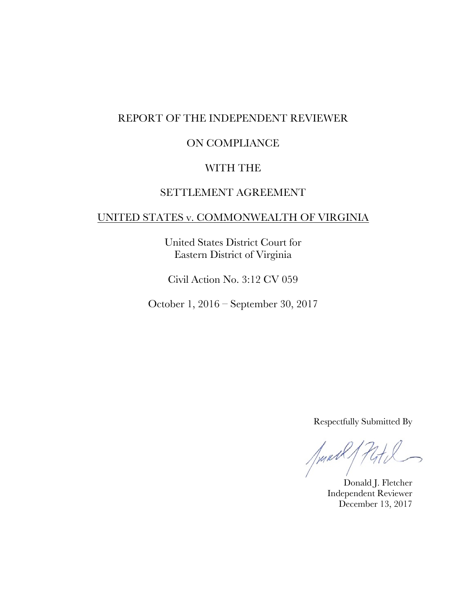## REPORT OF THE INDEPENDENT REVIEWER

## ON COMPLIANCE

### WITH THE

# SETTLEMENT AGREEMENT

### UNITED STATES v. COMMONWEALTH OF VIRGINIA

United States District Court for Eastern District of Virginia

Civil Action No. 3:12 CV 059

October 1, 2016 – September 30, 2017

Respectfully Submitted By

Junett,

Donald J. Fletcher Independent Reviewer December 13, 2017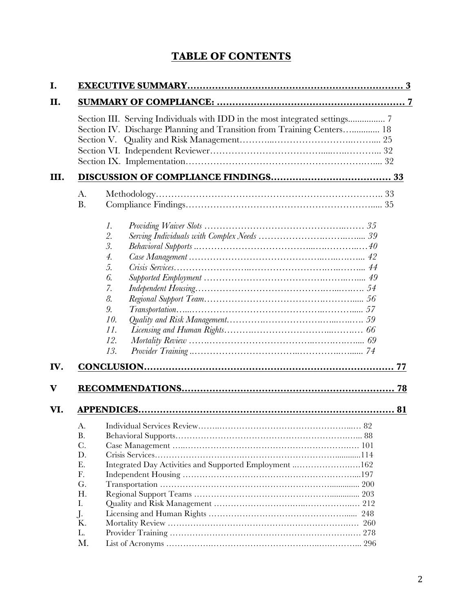# **TABLE OF CONTENTS**

|                 | Section III. Serving Individuals with IDD in the most integrated settings 7<br>Section IV. Discharge Planning and Transition from Training Centers 18 |
|-----------------|-------------------------------------------------------------------------------------------------------------------------------------------------------|
|                 |                                                                                                                                                       |
| A.<br><b>B.</b> |                                                                                                                                                       |
|                 | 1.                                                                                                                                                    |
|                 | 2.                                                                                                                                                    |
|                 | 3.                                                                                                                                                    |
|                 | $\overline{4}$ .                                                                                                                                      |
|                 | 5.                                                                                                                                                    |
|                 | 6.                                                                                                                                                    |
|                 | 7.                                                                                                                                                    |
|                 | 8.                                                                                                                                                    |
|                 | 9.                                                                                                                                                    |
|                 | 10.                                                                                                                                                   |
|                 | 11.                                                                                                                                                   |
|                 | 12.                                                                                                                                                   |
|                 | 13.                                                                                                                                                   |
|                 |                                                                                                                                                       |
|                 |                                                                                                                                                       |
|                 |                                                                                                                                                       |
|                 |                                                                                                                                                       |
|                 |                                                                                                                                                       |
|                 |                                                                                                                                                       |
| Β.              |                                                                                                                                                       |
| C.              |                                                                                                                                                       |
| D.<br>Е.        |                                                                                                                                                       |
| F.              | Integrated Day Activities and Supported Employment 162                                                                                                |
| G.              |                                                                                                                                                       |
| Η.              |                                                                                                                                                       |
| Ι.              |                                                                                                                                                       |
| J.              |                                                                                                                                                       |
| Κ.              |                                                                                                                                                       |
| L.              |                                                                                                                                                       |
| M.              |                                                                                                                                                       |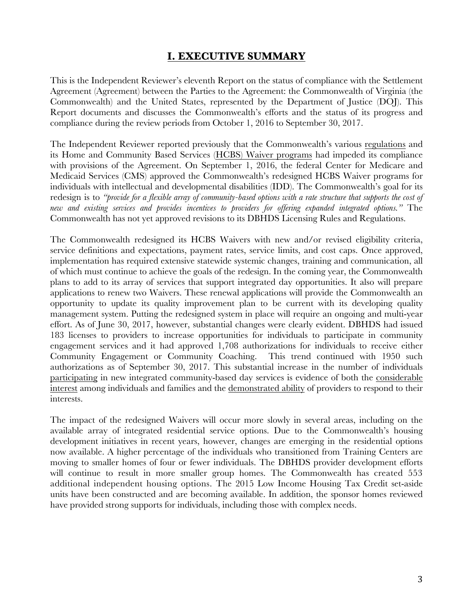## **I. EXECUTIVE SUMMARY**

This is the Independent Reviewer's eleventh Report on the status of compliance with the Settlement Agreement (Agreement) between the Parties to the Agreement: the Commonwealth of Virginia (the Commonwealth) and the United States, represented by the Department of Justice (DOJ). This Report documents and discusses the Commonwealth's efforts and the status of its progress and compliance during the review periods from October 1, 2016 to September 30, 2017.

The Independent Reviewer reported previously that the Commonwealth's various regulations and its Home and Community Based Services (HCBS) Waiver programs had impeded its compliance with provisions of the Agreement. On September 1, 2016, the federal Center for Medicare and Medicaid Services (CMS) approved the Commonwealth's redesigned HCBS Waiver programs for individuals with intellectual and developmental disabilities (IDD). The Commonwealth's goal for its redesign is to *"provide for a flexible array of community-based options with a rate structure that supports the cost of new and existing services and provides incentives to providers for offering expanded integrated options."* The Commonwealth has not yet approved revisions to its DBHDS Licensing Rules and Regulations.

The Commonwealth redesigned its HCBS Waivers with new and/or revised eligibility criteria, service definitions and expectations, payment rates, service limits, and cost caps. Once approved, implementation has required extensive statewide systemic changes, training and communication, all of which must continue to achieve the goals of the redesign. In the coming year, the Commonwealth plans to add to its array of services that support integrated day opportunities. It also will prepare applications to renew two Waivers. These renewal applications will provide the Commonwealth an opportunity to update its quality improvement plan to be current with its developing quality management system. Putting the redesigned system in place will require an ongoing and multi-year effort. As of June 30, 2017, however, substantial changes were clearly evident. DBHDS had issued 183 licenses to providers to increase opportunities for individuals to participate in community engagement services and it had approved 1,708 authorizations for individuals to receive either Community Engagement or Community Coaching. This trend continued with 1950 such authorizations as of September 30, 2017. This substantial increase in the number of individuals participating in new integrated community-based day services is evidence of both the considerable interest among individuals and families and the demonstrated ability of providers to respond to their interests.

The impact of the redesigned Waivers will occur more slowly in several areas, including on the available array of integrated residential service options. Due to the Commonwealth's housing development initiatives in recent years, however, changes are emerging in the residential options now available. A higher percentage of the individuals who transitioned from Training Centers are moving to smaller homes of four or fewer individuals. The DBHDS provider development efforts will continue to result in more smaller group homes. The Commonwealth has created 553 additional independent housing options. The 2015 Low Income Housing Tax Credit set-aside units have been constructed and are becoming available. In addition, the sponsor homes reviewed have provided strong supports for individuals, including those with complex needs.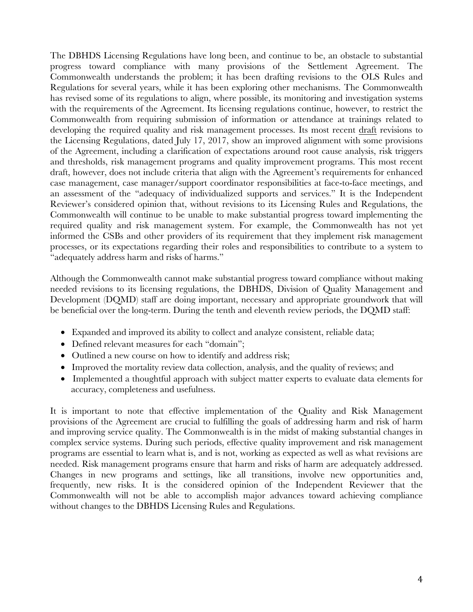The DBHDS Licensing Regulations have long been, and continue to be, an obstacle to substantial progress toward compliance with many provisions of the Settlement Agreement. The Commonwealth understands the problem; it has been drafting revisions to the OLS Rules and Regulations for several years, while it has been exploring other mechanisms. The Commonwealth has revised some of its regulations to align, where possible, its monitoring and investigation systems with the requirements of the Agreement. Its licensing regulations continue, however, to restrict the Commonwealth from requiring submission of information or attendance at trainings related to developing the required quality and risk management processes. Its most recent draft revisions to the Licensing Regulations, dated July 17, 2017, show an improved alignment with some provisions of the Agreement, including a clarification of expectations around root cause analysis, risk triggers and thresholds, risk management programs and quality improvement programs. This most recent draft, however, does not include criteria that align with the Agreement's requirements for enhanced case management, case manager/support coordinator responsibilities at face-to-face meetings, and an assessment of the "adequacy of individualized supports and services." It is the Independent Reviewer's considered opinion that, without revisions to its Licensing Rules and Regulations, the Commonwealth will continue to be unable to make substantial progress toward implementing the required quality and risk management system. For example, the Commonwealth has not yet informed the CSBs and other providers of its requirement that they implement risk management processes, or its expectations regarding their roles and responsibilities to contribute to a system to "adequately address harm and risks of harms."

Although the Commonwealth cannot make substantial progress toward compliance without making needed revisions to its licensing regulations, the DBHDS, Division of Quality Management and Development (DQMD) staff are doing important, necessary and appropriate groundwork that will be beneficial over the long-term. During the tenth and eleventh review periods, the DQMD staff:

- Expanded and improved its ability to collect and analyze consistent, reliable data;
- Defined relevant measures for each "domain";
- Outlined a new course on how to identify and address risk;
- Improved the mortality review data collection, analysis, and the quality of reviews; and
- Implemented a thoughtful approach with subject matter experts to evaluate data elements for accuracy, completeness and usefulness.

It is important to note that effective implementation of the Quality and Risk Management provisions of the Agreement are crucial to fulfilling the goals of addressing harm and risk of harm and improving service quality. The Commonwealth is in the midst of making substantial changes in complex service systems. During such periods, effective quality improvement and risk management programs are essential to learn what is, and is not, working as expected as well as what revisions are needed. Risk management programs ensure that harm and risks of harm are adequately addressed. Changes in new programs and settings, like all transitions, involve new opportunities and, frequently, new risks. It is the considered opinion of the Independent Reviewer that the Commonwealth will not be able to accomplish major advances toward achieving compliance without changes to the DBHDS Licensing Rules and Regulations.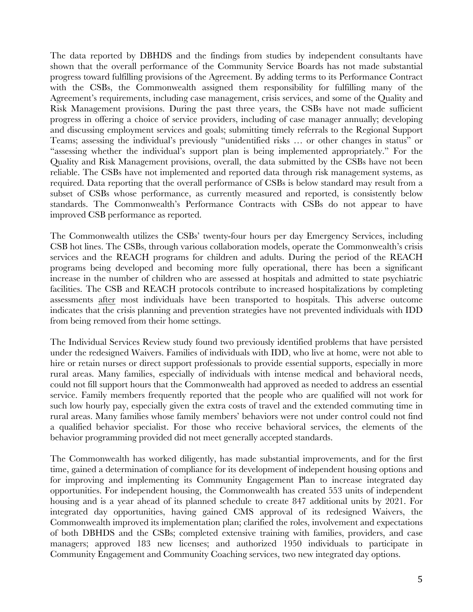The data reported by DBHDS and the findings from studies by independent consultants have shown that the overall performance of the Community Service Boards has not made substantial progress toward fulfilling provisions of the Agreement. By adding terms to its Performance Contract with the CSBs, the Commonwealth assigned them responsibility for fulfilling many of the Agreement's requirements, including case management, crisis services, and some of the Quality and Risk Management provisions. During the past three years, the CSBs have not made sufficient progress in offering a choice of service providers, including of case manager annually; developing and discussing employment services and goals; submitting timely referrals to the Regional Support Teams; assessing the individual's previously "unidentified risks … or other changes in status" or "assessing whether the individual's support plan is being implemented appropriately." For the Quality and Risk Management provisions, overall, the data submitted by the CSBs have not been reliable. The CSBs have not implemented and reported data through risk management systems, as required. Data reporting that the overall performance of CSBs is below standard may result from a subset of CSBs whose performance, as currently measured and reported, is consistently below standards. The Commonwealth's Performance Contracts with CSBs do not appear to have improved CSB performance as reported.

The Commonwealth utilizes the CSBs' twenty-four hours per day Emergency Services, including CSB hot lines. The CSBs, through various collaboration models, operate the Commonwealth's crisis services and the REACH programs for children and adults. During the period of the REACH programs being developed and becoming more fully operational, there has been a significant increase in the number of children who are assessed at hospitals and admitted to state psychiatric facilities. The CSB and REACH protocols contribute to increased hospitalizations by completing assessments after most individuals have been transported to hospitals. This adverse outcome indicates that the crisis planning and prevention strategies have not prevented individuals with IDD from being removed from their home settings.

The Individual Services Review study found two previously identified problems that have persisted under the redesigned Waivers. Families of individuals with IDD, who live at home, were not able to hire or retain nurses or direct support professionals to provide essential supports, especially in more rural areas. Many families, especially of individuals with intense medical and behavioral needs, could not fill support hours that the Commonwealth had approved as needed to address an essential service. Family members frequently reported that the people who are qualified will not work for such low hourly pay, especially given the extra costs of travel and the extended commuting time in rural areas. Many families whose family members' behaviors were not under control could not find a qualified behavior specialist. For those who receive behavioral services, the elements of the behavior programming provided did not meet generally accepted standards.

The Commonwealth has worked diligently, has made substantial improvements, and for the first time, gained a determination of compliance for its development of independent housing options and for improving and implementing its Community Engagement Plan to increase integrated day opportunities. For independent housing, the Commonwealth has created 553 units of independent housing and is a year ahead of its planned schedule to create 847 additional units by 2021. For integrated day opportunities, having gained CMS approval of its redesigned Waivers, the Commonwealth improved its implementation plan; clarified the roles, involvement and expectations of both DBHDS and the CSBs; completed extensive training with families, providers, and case managers; approved 183 new licenses; and authorized 1950 individuals to participate in Community Engagement and Community Coaching services, two new integrated day options.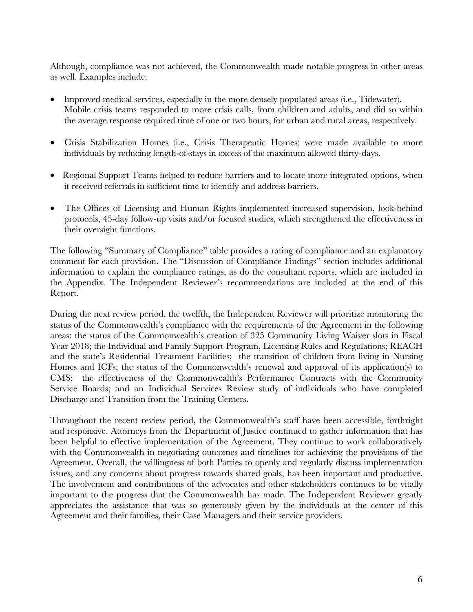Although, compliance was not achieved, the Commonwealth made notable progress in other areas as well. Examples include:

- Improved medical services, especially in the more densely populated areas (i.e., Tidewater). Mobile crisis teams responded to more crisis calls, from children and adults, and did so within the average response required time of one or two hours, for urban and rural areas, respectively.
- Crisis Stabilization Homes (i.e., Crisis Therapeutic Homes) were made available to more individuals by reducing length-of-stays in excess of the maximum allowed thirty-days.
- Regional Support Teams helped to reduce barriers and to locate more integrated options, when it received referrals in sufficient time to identify and address barriers.
- The Offices of Licensing and Human Rights implemented increased supervision, look-behind protocols, 45-day follow-up visits and/or focused studies, which strengthened the effectiveness in their oversight functions.

The following "Summary of Compliance" table provides a rating of compliance and an explanatory comment for each provision. The "Discussion of Compliance Findings" section includes additional information to explain the compliance ratings, as do the consultant reports, which are included in the Appendix. The Independent Reviewer's recommendations are included at the end of this Report.

During the next review period, the twelfth, the Independent Reviewer will prioritize monitoring the status of the Commonwealth's compliance with the requirements of the Agreement in the following areas: the status of the Commonwealth's creation of 325 Community Living Waiver slots in Fiscal Year 2018; the Individual and Family Support Program, Licensing Rules and Regulations; REACH and the state's Residential Treatment Facilities; the transition of children from living in Nursing Homes and ICFs; the status of the Commonwealth's renewal and approval of its application(s) to CMS; the effectiveness of the Commonwealth's Performance Contracts with the Community Service Boards; and an Individual Services Review study of individuals who have completed Discharge and Transition from the Training Centers.

Throughout the recent review period, the Commonwealth's staff have been accessible, forthright and responsive. Attorneys from the Department of Justice continued to gather information that has been helpful to effective implementation of the Agreement. They continue to work collaboratively with the Commonwealth in negotiating outcomes and timelines for achieving the provisions of the Agreement. Overall, the willingness of both Parties to openly and regularly discuss implementation issues, and any concerns about progress towards shared goals, has been important and productive. The involvement and contributions of the advocates and other stakeholders continues to be vitally important to the progress that the Commonwealth has made. The Independent Reviewer greatly appreciates the assistance that was so generously given by the individuals at the center of this Agreement and their families, their Case Managers and their service providers.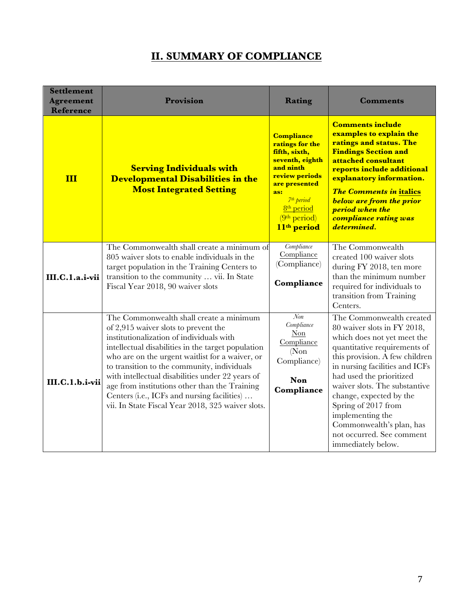# **II. SUMMARY OF COMPLIANCE**

| <b>Settlement</b><br><b>Agreement</b><br><b>Reference</b> | <b>Provision</b>                                                                                                                                                                                                                                                                                                                                                                                                                                                                             | Rating                                                                                                                                                                                                                                     | <b>Comments</b>                                                                                                                                                                                                                                                                                                                                                                                              |
|-----------------------------------------------------------|----------------------------------------------------------------------------------------------------------------------------------------------------------------------------------------------------------------------------------------------------------------------------------------------------------------------------------------------------------------------------------------------------------------------------------------------------------------------------------------------|--------------------------------------------------------------------------------------------------------------------------------------------------------------------------------------------------------------------------------------------|--------------------------------------------------------------------------------------------------------------------------------------------------------------------------------------------------------------------------------------------------------------------------------------------------------------------------------------------------------------------------------------------------------------|
| III                                                       | <b>Serving Individuals with</b><br><b>Developmental Disabilities in the</b><br><b>Most Integrated Setting</b>                                                                                                                                                                                                                                                                                                                                                                                | <b>Compliance</b><br>ratings for the<br>fifth, sixth,<br>seventh, eighth<br>and ninth<br>review periods<br>are presented<br>as:<br>7 <sup>th</sup> period<br>8 <sup>th</sup> period<br>(9 <sup>th</sup> period)<br>11 <sup>th</sup> period | <b>Comments include</b><br>examples to explain the<br>ratings and status. The<br><b>Findings Section and</b><br>attached consultant<br>reports include additional<br>explanatory information.<br><b>The Comments in italics</b><br><b>below are from the prior</b><br>period when the<br>compliance rating was<br>determined.                                                                                |
| III.C.1.a.i-vii                                           | The Commonwealth shall create a minimum of<br>805 waiver slots to enable individuals in the<br>target population in the Training Centers to<br>transition to the community  vii. In State<br>Fiscal Year 2018, 90 waiver slots                                                                                                                                                                                                                                                               | Compliance<br>Compliance<br>(Compliance)<br>Compliance                                                                                                                                                                                     | The Commonwealth<br>created 100 waiver slots<br>during FY 2018, ten more<br>than the minimum number<br>required for individuals to<br>transition from Training<br>Centers.                                                                                                                                                                                                                                   |
| III.C.1.b.i-vii                                           | The Commonwealth shall create a minimum<br>of 2,915 waiver slots to prevent the<br>institutionalization of individuals with<br>intellectual disabilities in the target population<br>who are on the urgent waitlist for a waiver, or<br>to transition to the community, individuals<br>with intellectual disabilities under 22 years of<br>age from institutions other than the Training<br>Centers (i.e., ICFs and nursing facilities)<br>vii. In State Fiscal Year 2018, 325 waiver slots. | $N$ on<br>Compliance<br>Non<br>Compliance<br>(Non)<br>Compliance)<br>Non<br>Compliance                                                                                                                                                     | The Commonwealth created<br>80 waiver slots in FY 2018,<br>which does not yet meet the<br>quantitative requirements of<br>this provision. A few children<br>in nursing facilities and ICFs<br>had used the prioritized<br>waiver slots. The substantive<br>change, expected by the<br>Spring of 2017 from<br>implementing the<br>Commonwealth's plan, has<br>not occurred. See comment<br>immediately below. |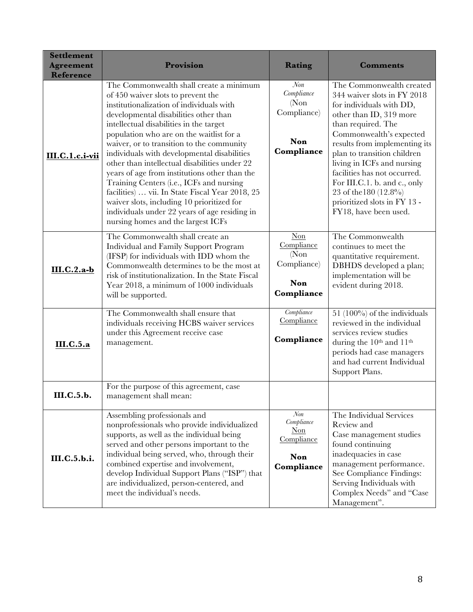| <b>Settlement</b><br><b>Agreement</b><br>Reference | Provision                                                                                                                                                                                                                                                                                                                                                                                                                                                                                                                                                                                                                                                                                   | Rating                                                                      | <b>Comments</b>                                                                                                                                                                                                                                                                                                                                                                                                    |
|----------------------------------------------------|---------------------------------------------------------------------------------------------------------------------------------------------------------------------------------------------------------------------------------------------------------------------------------------------------------------------------------------------------------------------------------------------------------------------------------------------------------------------------------------------------------------------------------------------------------------------------------------------------------------------------------------------------------------------------------------------|-----------------------------------------------------------------------------|--------------------------------------------------------------------------------------------------------------------------------------------------------------------------------------------------------------------------------------------------------------------------------------------------------------------------------------------------------------------------------------------------------------------|
| III.C.1.c.i-vii                                    | The Commonwealth shall create a minimum<br>of 450 waiver slots to prevent the<br>institutionalization of individuals with<br>developmental disabilities other than<br>intellectual disabilities in the target<br>population who are on the waitlist for a<br>waiver, or to transition to the community<br>individuals with developmental disabilities<br>other than intellectual disabilities under 22<br>years of age from institutions other than the<br>Training Centers (i.e., ICFs and nursing<br>facilities)  vii. In State Fiscal Year 2018, 25<br>waiver slots, including 10 prioritized for<br>individuals under 22 years of age residing in<br>nursing homes and the largest ICFs | $\mathcal{N}$ on<br>Compliance<br>(Non)<br>Compliance)<br>Non<br>Compliance | The Commonwealth created<br>344 waiver slots in FY 2018<br>for individuals with DD,<br>other than ID, 319 more<br>than required. The<br>Commonwealth's expected<br>results from implementing its<br>plan to transition children<br>living in ICFs and nursing<br>facilities has not occurred.<br>For III.C.1. b. and c., only<br>23 of the 180 $(12.8\%)$<br>prioritized slots in FY 13 -<br>FY18, have been used. |
| $III.C.2.a-b$                                      | The Commonwealth shall create an<br>Individual and Family Support Program<br>(IFSP) for individuals with IDD whom the<br>Commonwealth determines to be the most at<br>risk of institutionalization. In the State Fiscal<br>Year 2018, a minimum of 1000 individuals<br>will be supported.                                                                                                                                                                                                                                                                                                                                                                                                   | Non<br>Compliance<br>(Non)<br>Compliance)<br><b>Non</b><br>Compliance       | The Commonwealth<br>continues to meet the<br>quantitative requirement.<br>DBHDS developed a plan;<br>implementation will be<br>evident during 2018.                                                                                                                                                                                                                                                                |
| III.C.5.a                                          | The Commonwealth shall ensure that<br>individuals receiving HCBS waiver services<br>under this Agreement receive case<br>management.                                                                                                                                                                                                                                                                                                                                                                                                                                                                                                                                                        | Compliance<br>Compliance<br>Compliance                                      | 51 (100%) of the individuals<br>reviewed in the individual<br>services review studies<br>during the 10 <sup>th</sup> and 11 <sup>th</sup><br>periods had case managers<br>and had current Individual<br>Support Plans.                                                                                                                                                                                             |
| III.C.5.b.                                         | For the purpose of this agreement, case<br>management shall mean:                                                                                                                                                                                                                                                                                                                                                                                                                                                                                                                                                                                                                           |                                                                             |                                                                                                                                                                                                                                                                                                                                                                                                                    |
| III.C.5.b.i.                                       | Assembling professionals and<br>nonprofessionals who provide individualized<br>supports, as well as the individual being<br>served and other persons important to the<br>individual being served, who, through their<br>combined expertise and involvement,<br>develop Individual Support Plans ("ISP") that<br>are individualized, person-centered, and<br>meet the individual's needs.                                                                                                                                                                                                                                                                                                    | Non<br>Compliance<br>Non<br>Compliance<br>Non<br>Compliance                 | The Individual Services<br>Review and<br>Case management studies<br>found continuing<br>inadequacies in case<br>management performance.<br>See Compliance Findings:<br>Serving Individuals with<br>Complex Needs" and "Case<br>Management".                                                                                                                                                                        |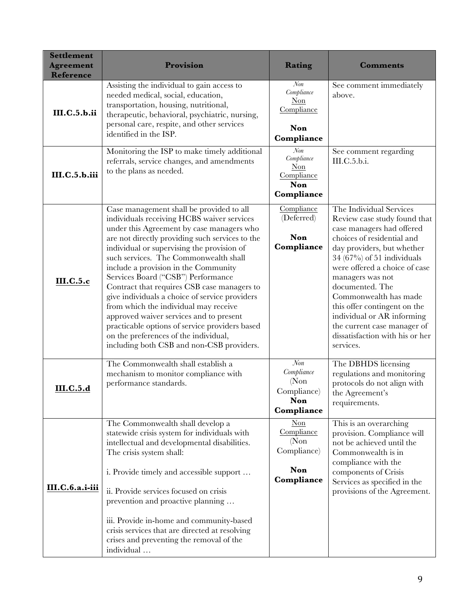| <b>Settlement</b><br><b>Agreement</b><br><b>Reference</b> | Provision                                                                                                                                                                                                                                                                                                                                                                                                                                                                                                                                                                                                                                                                                | Rating                                                                                            | <b>Comments</b>                                                                                                                                                                                                                                                                                                                                                                                                                |
|-----------------------------------------------------------|------------------------------------------------------------------------------------------------------------------------------------------------------------------------------------------------------------------------------------------------------------------------------------------------------------------------------------------------------------------------------------------------------------------------------------------------------------------------------------------------------------------------------------------------------------------------------------------------------------------------------------------------------------------------------------------|---------------------------------------------------------------------------------------------------|--------------------------------------------------------------------------------------------------------------------------------------------------------------------------------------------------------------------------------------------------------------------------------------------------------------------------------------------------------------------------------------------------------------------------------|
| <b>III.C.5.b.ii</b>                                       | Assisting the individual to gain access to<br>needed medical, social, education,<br>transportation, housing, nutritional,<br>therapeutic, behavioral, psychiatric, nursing,<br>personal care, respite, and other services<br>identified in the ISP.                                                                                                                                                                                                                                                                                                                                                                                                                                      | Non<br>Compliance<br>Non<br>Compliance<br>Non<br>Compliance                                       | See comment immediately<br>above.                                                                                                                                                                                                                                                                                                                                                                                              |
| III.C.5.b.iii                                             | Monitoring the ISP to make timely additional<br>referrals, service changes, and amendments<br>to the plans as needed.                                                                                                                                                                                                                                                                                                                                                                                                                                                                                                                                                                    | Non<br>Compliance<br>Non<br>Compliance<br>Non<br>Compliance                                       | See comment regarding<br>III.C.5.b.i.                                                                                                                                                                                                                                                                                                                                                                                          |
| <b>III.C.5.c</b>                                          | Case management shall be provided to all<br>individuals receiving HCBS waiver services<br>under this Agreement by case managers who<br>are not directly providing such services to the<br>individual or supervising the provision of<br>such services. The Commonwealth shall<br>include a provision in the Community<br>Services Board ("CSB") Performance<br>Contract that requires CSB case managers to<br>give individuals a choice of service providers<br>from which the individual may receive<br>approved waiver services and to present<br>practicable options of service providers based<br>on the preferences of the individual,<br>including both CSB and non-CSB providers. | Compliance<br>(Deferred)<br>Non<br>Compliance                                                     | The Individual Services<br>Review case study found that<br>case managers had offered<br>choices of residential and<br>day providers, but whether<br>$34(67\%)$ of 51 individuals<br>were offered a choice of case<br>managers was not<br>documented. The<br>Commonwealth has made<br>this offer contingent on the<br>individual or AR informing<br>the current case manager of<br>dissatisfaction with his or her<br>services. |
| III.C.5.d                                                 | The Commonwealth shall establish a<br>mechanism to monitor compliance with<br>performance standards.                                                                                                                                                                                                                                                                                                                                                                                                                                                                                                                                                                                     | $\overline{Non}$<br>Compliance<br>(Non)<br>Compliance)<br>Non<br>Compliance                       | The DBHDS licensing<br>regulations and monitoring<br>protocols do not align with<br>the Agreement's<br>requirements.                                                                                                                                                                                                                                                                                                           |
| III.C.6.a.i-iii                                           | The Commonwealth shall develop a<br>statewide crisis system for individuals with<br>intellectual and developmental disabilities.<br>The crisis system shall:<br>i. Provide timely and accessible support<br>ii. Provide services focused on crisis<br>prevention and proactive planning<br>iii. Provide in-home and community-based<br>crisis services that are directed at resolving<br>crises and preventing the removal of the<br>individual                                                                                                                                                                                                                                          | $\frac{\text{Non}}{\text{Non}}$<br>Compliance<br>(Non)<br>Compliance)<br><b>Non</b><br>Compliance | This is an overarching<br>provision. Compliance will<br>not be achieved until the<br>Commonwealth is in<br>compliance with the<br>components of Crisis<br>Services as specified in the<br>provisions of the Agreement.                                                                                                                                                                                                         |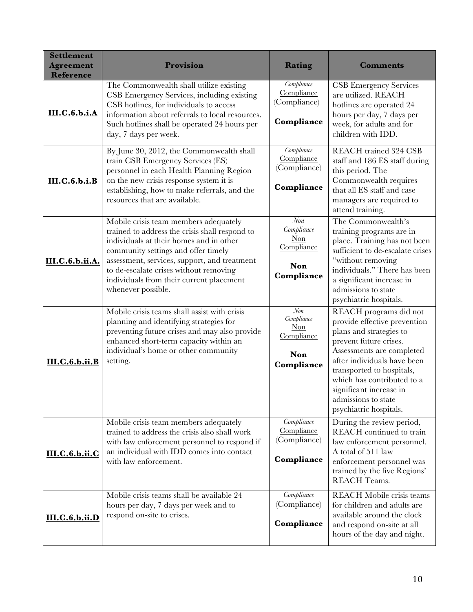| <b>Settlement</b><br><b>Agreement</b><br><b>Reference</b> | Provision                                                                                                                                                                                                                                                                                                                             | Rating                                                        | <b>Comments</b>                                                                                                                                                                                                                                                                                                |
|-----------------------------------------------------------|---------------------------------------------------------------------------------------------------------------------------------------------------------------------------------------------------------------------------------------------------------------------------------------------------------------------------------------|---------------------------------------------------------------|----------------------------------------------------------------------------------------------------------------------------------------------------------------------------------------------------------------------------------------------------------------------------------------------------------------|
| III.C.6.b.i.A                                             | The Commonwealth shall utilize existing<br>CSB Emergency Services, including existing<br>CSB hotlines, for individuals to access<br>information about referrals to local resources.<br>Such hotlines shall be operated 24 hours per<br>day, 7 days per week.                                                                          | Compliance<br>Compliance<br>(Compliance)<br>Compliance        | <b>CSB</b> Emergency Services<br>are utilized. REACH<br>hotlines are operated 24<br>hours per day, 7 days per<br>week, for adults and for<br>children with IDD.                                                                                                                                                |
| <b>III.C.6.b.i.B</b>                                      | By June 30, 2012, the Commonwealth shall<br>train CSB Emergency Services (ES)<br>personnel in each Health Planning Region<br>on the new crisis response system it is<br>establishing, how to make referrals, and the<br>resources that are available.                                                                                 | Compliance<br>Compliance<br>(Compliance)<br>Compliance        | <b>REACH</b> trained 324 CSB<br>staff and 186 ES staff during<br>this period. The<br>Commonwealth requires<br>that all ES staff and case<br>managers are required to<br>attend training.                                                                                                                       |
| III.C.6.b.ii.A.                                           | Mobile crisis team members adequately<br>trained to address the crisis shall respond to<br>individuals at their homes and in other<br>community settings and offer timely<br>assessment, services, support, and treatment<br>to de-escalate crises without removing<br>individuals from their current placement<br>whenever possible. | Non<br>Compliance<br>Non<br>Compliance<br>Non<br>Compliance   | The Commonwealth's<br>training programs are in<br>place. Training has not been<br>sufficient to de-escalate crises<br>"without removing<br>individuals." There has been<br>a significant increase in<br>admissions to state<br>psychiatric hospitals.                                                          |
| <b>III.C.6.b.ii.B</b>                                     | Mobile crisis teams shall assist with crisis<br>planning and identifying strategies for<br>preventing future crises and may also provide<br>enhanced short-term capacity within an<br>individual's home or other community<br>setting.                                                                                                | Non<br>Compliance<br>$Non$<br>Compliance<br>Non<br>Compliance | REACH programs did not<br>provide effective prevention<br>plans and strategies to<br>prevent future crises.<br>Assessments are completed<br>after individuals have been<br>transported to hospitals,<br>which has contributed to a<br>significant increase in<br>admissions to state<br>psychiatric hospitals. |
| <b>III.C.6.b.ii.C</b>                                     | Mobile crisis team members adequately<br>trained to address the crisis also shall work<br>with law enforcement personnel to respond if<br>an individual with IDD comes into contact<br>with law enforcement.                                                                                                                          | Compliance<br>Compliance<br>(Compliance)<br>Compliance        | During the review period,<br>REACH continued to train<br>law enforcement personnel.<br>A total of 511 law<br>enforcement personnel was<br>trained by the five Regions'<br><b>REACH Teams.</b>                                                                                                                  |
| III.C.6.b.ii.D                                            | Mobile crisis teams shall be available 24<br>hours per day, 7 days per week and to<br>respond on-site to crises.                                                                                                                                                                                                                      | Compliance<br>(Compliance)<br>Compliance                      | <b>REACH Mobile crisis teams</b><br>for children and adults are<br>available around the clock<br>and respond on-site at all<br>hours of the day and night.                                                                                                                                                     |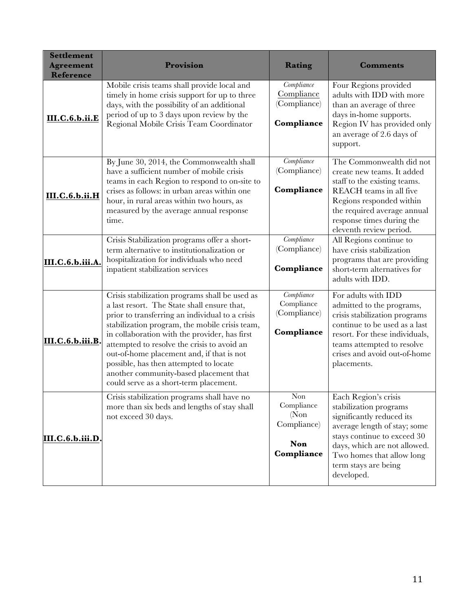| <b>Settlement</b><br><b>Agreement</b><br><b>Reference</b> | Provision                                                                                                                                                                                                                                                                                                                                                                                                                                                                     | Rating                                                                         | <b>Comments</b>                                                                                                                                                                                                                               |
|-----------------------------------------------------------|-------------------------------------------------------------------------------------------------------------------------------------------------------------------------------------------------------------------------------------------------------------------------------------------------------------------------------------------------------------------------------------------------------------------------------------------------------------------------------|--------------------------------------------------------------------------------|-----------------------------------------------------------------------------------------------------------------------------------------------------------------------------------------------------------------------------------------------|
| III.C.6.b.ii.E                                            | Mobile crisis teams shall provide local and<br>timely in home crisis support for up to three<br>days, with the possibility of an additional<br>period of up to 3 days upon review by the<br>Regional Mobile Crisis Team Coordinator                                                                                                                                                                                                                                           | Compliance<br>Compliance<br>(Compliance)<br>Compliance                         | Four Regions provided<br>adults with IDD with more<br>than an average of three<br>days in-home supports.<br>Region IV has provided only<br>an average of 2.6 days of<br>support.                                                              |
| <b>III.C.6.b.ii.H</b>                                     | By June 30, 2014, the Commonwealth shall<br>have a sufficient number of mobile crisis<br>teams in each Region to respond to on-site to<br>crises as follows: in urban areas within one<br>hour, in rural areas within two hours, as<br>measured by the average annual response<br>time.                                                                                                                                                                                       | Compliance<br>(Compliance)<br>Compliance                                       | The Commonwealth did not<br>create new teams. It added<br>staff to the existing teams.<br>REACH teams in all five<br>Regions responded within<br>the required average annual<br>response times during the<br>eleventh review period.          |
| III.C.6.b.iii.A.                                          | Crisis Stabilization programs offer a short-<br>term alternative to institutionalization or<br>hospitalization for individuals who need<br>inpatient stabilization services                                                                                                                                                                                                                                                                                                   | Compliance<br>(Compliance)<br>Compliance                                       | All Regions continue to<br>have crisis stabilization<br>programs that are providing<br>short-term alternatives for<br>adults with IDD.                                                                                                        |
| III.C.6.b.iii.B.                                          | Crisis stabilization programs shall be used as<br>a last resort. The State shall ensure that,<br>prior to transferring an individual to a crisis<br>stabilization program, the mobile crisis team,<br>in collaboration with the provider, has first<br>attempted to resolve the crisis to avoid an<br>out-of-home placement and, if that is not<br>possible, has then attempted to locate<br>another community-based placement that<br>could serve as a short-term placement. | Compliance<br>Compliance<br>(Compliance)<br>Compliance                         | For adults with IDD<br>admitted to the programs,<br>crisis stabilization programs<br>continue to be used as a last<br>resort. For these individuals,<br>teams attempted to resolve<br>crises and avoid out-of-home<br>placements.             |
| III.C.6.b.iii.D.                                          | Crisis stabilization programs shall have no<br>more than six beds and lengths of stay shall<br>not exceed 30 days.                                                                                                                                                                                                                                                                                                                                                            | $\mbox{Non}$<br>Compliance<br>(Non)<br>Compliance)<br><b>Non</b><br>Compliance | Each Region's crisis<br>stabilization programs<br>significantly reduced its<br>average length of stay; some<br>stays continue to exceed 30<br>days, which are not allowed.<br>Two homes that allow long<br>term stays are being<br>developed. |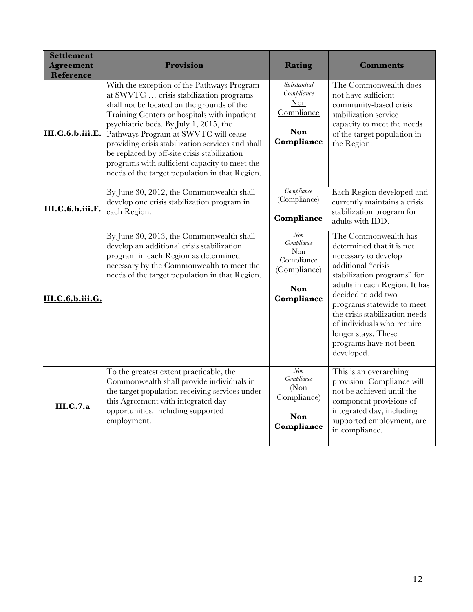| <b>Settlement</b><br><b>Agreement</b><br><b>Reference</b> | Provision                                                                                                                                                                                                                                                                                                                                                                                                                                                                     | Rating                                                                                | <b>Comments</b>                                                                                                                                                                                                                                                                                                                                    |
|-----------------------------------------------------------|-------------------------------------------------------------------------------------------------------------------------------------------------------------------------------------------------------------------------------------------------------------------------------------------------------------------------------------------------------------------------------------------------------------------------------------------------------------------------------|---------------------------------------------------------------------------------------|----------------------------------------------------------------------------------------------------------------------------------------------------------------------------------------------------------------------------------------------------------------------------------------------------------------------------------------------------|
| III.C.6.b.iii.E.                                          | With the exception of the Pathways Program<br>at SWVTC  crisis stabilization programs<br>shall not be located on the grounds of the<br>Training Centers or hospitals with inpatient<br>psychiatric beds. By July 1, 2015, the<br>Pathways Program at SWVTC will cease<br>providing crisis stabilization services and shall<br>be replaced by off-site crisis stabilization<br>programs with sufficient capacity to meet the<br>needs of the target population in that Region. | <b>Substantial</b><br>Compliance<br>Non<br>Compliance<br><b>Non</b><br>Compliance     | The Commonwealth does<br>not have sufficient<br>community-based crisis<br>stabilization service<br>capacity to meet the needs<br>of the target population in<br>the Region.                                                                                                                                                                        |
| III.C.6.b.iii.F.                                          | By June 30, 2012, the Commonwealth shall<br>develop one crisis stabilization program in<br>each Region.                                                                                                                                                                                                                                                                                                                                                                       | Compliance<br>(Compliance)<br>Compliance                                              | Each Region developed and<br>currently maintains a crisis<br>stabilization program for<br>adults with IDD.                                                                                                                                                                                                                                         |
| III.C.6.b.iii.G.                                          | By June 30, 2013, the Commonwealth shall<br>develop an additional crisis stabilization<br>program in each Region as determined<br>necessary by the Commonwealth to meet the<br>needs of the target population in that Region.                                                                                                                                                                                                                                                 | $N$ on<br>Compliance<br>Non<br>Compliance<br>(Compliance)<br><b>Non</b><br>Compliance | The Commonwealth has<br>determined that it is not<br>necessary to develop<br>additional "crisis<br>stabilization programs" for<br>adults in each Region. It has<br>decided to add two<br>programs statewide to meet<br>the crisis stabilization needs<br>of individuals who require<br>longer stays. These<br>programs have not been<br>developed. |
| <b>III.C.7.a</b>                                          | To the greatest extent practicable, the<br>Commonwealth shall provide individuals in<br>the target population receiving services under<br>this Agreement with integrated day<br>opportunities, including supported<br>employment.                                                                                                                                                                                                                                             | Non<br>Compliance<br>(Non)<br>Compliance)<br>Non<br>Compliance                        | This is an overarching<br>provision. Compliance will<br>not be achieved until the<br>component provisions of<br>integrated day, including<br>supported employment, are<br>in compliance.                                                                                                                                                           |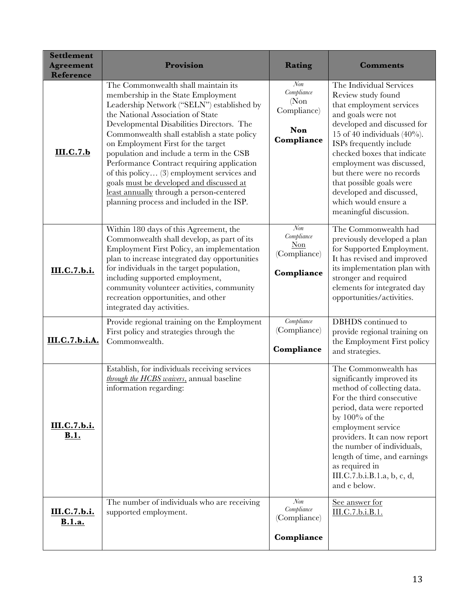| <b>Settlement</b><br><b>Agreement</b><br><b>Reference</b> | Provision                                                                                                                                                                                                                                                                                                                                                                                                                                                                                                                                                                   | Rating                                                         | <b>Comments</b>                                                                                                                                                                                                                                                                                                                                                                                 |
|-----------------------------------------------------------|-----------------------------------------------------------------------------------------------------------------------------------------------------------------------------------------------------------------------------------------------------------------------------------------------------------------------------------------------------------------------------------------------------------------------------------------------------------------------------------------------------------------------------------------------------------------------------|----------------------------------------------------------------|-------------------------------------------------------------------------------------------------------------------------------------------------------------------------------------------------------------------------------------------------------------------------------------------------------------------------------------------------------------------------------------------------|
| III.C.7.b                                                 | The Commonwealth shall maintain its<br>membership in the State Employment<br>Leadership Network ("SELN") established by<br>the National Association of State<br>Developmental Disabilities Directors. The<br>Commonwealth shall establish a state policy<br>on Employment First for the target<br>population and include a term in the CSB<br>Performance Contract requiring application<br>of this policy (3) employment services and<br>goals must be developed and discussed at<br>least annually through a person-centered<br>planning process and included in the ISP. | Non<br>Compliance<br>(Non)<br>Compliance)<br>Non<br>Compliance | The Individual Services<br>Review study found<br>that employment services<br>and goals were not<br>developed and discussed for<br>15 of 40 individuals $(40\%)$ .<br>ISPs frequently include<br>checked boxes that indicate<br>employment was discussed,<br>but there were no records<br>that possible goals were<br>developed and discussed,<br>which would ensure a<br>meaningful discussion. |
| III.C.7.b.i.                                              | Within 180 days of this Agreement, the<br>Commonwealth shall develop, as part of its<br>Employment First Policy, an implementation<br>plan to increase integrated day opportunities<br>for individuals in the target population,<br>including supported employment,<br>community volunteer activities, community<br>recreation opportunities, and other<br>integrated day activities.                                                                                                                                                                                       | Non<br>Compliance<br>$Non$<br>(Compliance)<br>Compliance       | The Commonwealth had<br>previously developed a plan<br>for Supported Employment.<br>It has revised and improved<br>its implementation plan with<br>stronger and required<br>elements for integrated day<br>opportunities/activities.                                                                                                                                                            |
| III.C.7.b.i.A.                                            | Provide regional training on the Employment<br>First policy and strategies through the<br>Commonwealth.                                                                                                                                                                                                                                                                                                                                                                                                                                                                     | Compliance<br>(Compliance)<br>Compliance                       | DBHDS continued to<br>provide regional training on<br>the Employment First policy<br>and strategies.                                                                                                                                                                                                                                                                                            |
| <u>III.C.7.b.i.</u><br><u>B.1.</u>                        | Establish, for individuals receiving services<br>through the HCBS waivers, annual baseline<br>information regarding:                                                                                                                                                                                                                                                                                                                                                                                                                                                        |                                                                | The Commonwealth has<br>significantly improved its<br>method of collecting data.<br>For the third consecutive<br>period, data were reported<br>by $100\%$ of the<br>employment service<br>providers. It can now report<br>the number of individuals,<br>length of time, and earnings<br>as required in<br>III.C.7.b.i.B.1.a, b, c, d,<br>and e below.                                           |
| III.C.7.b.i.<br><b>B.1.a.</b>                             | The number of individuals who are receiving<br>supported employment.                                                                                                                                                                                                                                                                                                                                                                                                                                                                                                        | $N$ on<br>Compliance<br>(Compliance)<br>Compliance             | See answer for<br>III.C.7.b.i.B.1.                                                                                                                                                                                                                                                                                                                                                              |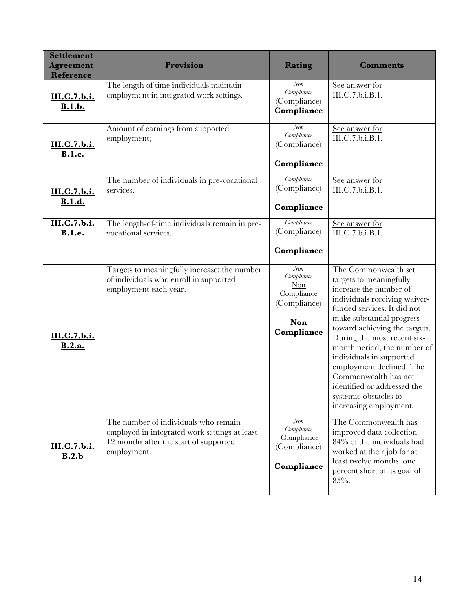| <b>Settlement</b><br><b>Agreement</b><br><b>Reference</b> | Provision                                                                                                                                      | Rating                                                                                          | <b>Comments</b>                                                                                                                                                                                                                                                                                                                                                                                                                         |
|-----------------------------------------------------------|------------------------------------------------------------------------------------------------------------------------------------------------|-------------------------------------------------------------------------------------------------|-----------------------------------------------------------------------------------------------------------------------------------------------------------------------------------------------------------------------------------------------------------------------------------------------------------------------------------------------------------------------------------------------------------------------------------------|
| III.C.7.b.i.<br><b>B.1.b.</b>                             | The length of time individuals maintain<br>employment in integrated work settings.                                                             | $\mathcal{N}$ on<br>Compliance<br>(Compliance)<br>Compliance                                    | See answer for<br>III.C.7.b.i.B.1.                                                                                                                                                                                                                                                                                                                                                                                                      |
| III.C.7.b.i.<br><b>B.1.c.</b>                             | Amount of earnings from supported<br>employment;                                                                                               | $\mathcal{N}$ on<br>Compliance<br>(Compliance)<br>Compliance                                    | See answer for<br>III.C.7.b.i.B.1.                                                                                                                                                                                                                                                                                                                                                                                                      |
| III.C.7.b.i.<br><b>B.1.d.</b>                             | The number of individuals in pre-vocational<br>services.                                                                                       | Compliance<br>(Compliance)<br>Compliance                                                        | See answer for<br>III.C.7.b.i.B.1.                                                                                                                                                                                                                                                                                                                                                                                                      |
| III.C.7.b.i.<br><b>B.1.e.</b>                             | The length-of-time individuals remain in pre-<br>vocational services.                                                                          | Compliance<br>(Compliance)<br>Compliance                                                        | See answer for<br>III.C.7.b.i.B.1.                                                                                                                                                                                                                                                                                                                                                                                                      |
| III.C.7.b.i.<br>B.2.a.                                    | Targets to meaningfully increase: the number<br>of individuals who enroll in supported<br>employment each year.                                | $\mathcal{N}$ on<br>Compliance<br>Non<br>Compliance<br>(Compliance)<br><b>Non</b><br>Compliance | The Commonwealth set<br>targets to meaningfully<br>increase the number of<br>individuals receiving waiver-<br>funded services. It did not<br>make substantial progress<br>toward achieving the targets.<br>During the most recent six-<br>month period, the number of<br>individuals in supported<br>employment declined. The<br>Commonwealth has not<br>identified or addressed the<br>systemic obstacles to<br>increasing employment. |
| III.C.7.b.i.<br>B.2.b                                     | The number of individuals who remain<br>employed in integrated work settings at least<br>12 months after the start of supported<br>employment. | $\mathcal{N}$ on<br>Compliance<br>Compliance<br>(Compliance)<br>Compliance                      | The Commonwealth has<br>improved data collection.<br>84% of the individuals had<br>worked at their job for at<br>least twelve months, one<br>percent short of its goal of<br>$85\%$ .                                                                                                                                                                                                                                                   |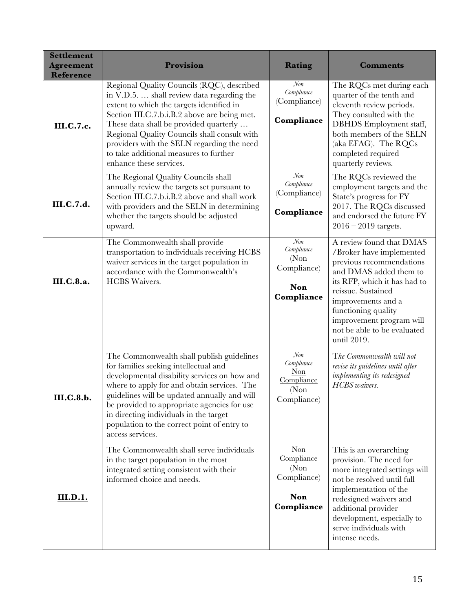| <b>Settlement</b><br><b>Agreement</b><br><b>Reference</b> | Provision                                                                                                                                                                                                                                                                                                                                                                                          | Rating                                                                      | <b>Comments</b>                                                                                                                                                                                                                                                                         |
|-----------------------------------------------------------|----------------------------------------------------------------------------------------------------------------------------------------------------------------------------------------------------------------------------------------------------------------------------------------------------------------------------------------------------------------------------------------------------|-----------------------------------------------------------------------------|-----------------------------------------------------------------------------------------------------------------------------------------------------------------------------------------------------------------------------------------------------------------------------------------|
| <b>III.C.7.c.</b>                                         | Regional Quality Councils (RQC), described<br>in V.D.5.  shall review data regarding the<br>extent to which the targets identified in<br>Section III.C.7.b.i.B.2 above are being met.<br>These data shall be provided quarterly<br>Regional Quality Councils shall consult with<br>providers with the SELN regarding the need<br>to take additional measures to further<br>enhance these services. | $N\!on$<br>Compliance<br>(Compliance)<br>Compliance                         | The RQCs met during each<br>quarter of the tenth and<br>eleventh review periods.<br>They consulted with the<br><b>DBHDS</b> Employment staff,<br>both members of the SELN<br>(aka EFAG). The RQCs<br>completed required<br>quarterly reviews.                                           |
| III.C.7.d.                                                | The Regional Quality Councils shall<br>annually review the targets set pursuant to<br>Section III.C.7.b.i.B.2 above and shall work<br>with providers and the SELN in determining<br>whether the targets should be adjusted<br>upward.                                                                                                                                                              | Non<br>Compliance<br>(Compliance)<br>Compliance                             | The RQCs reviewed the<br>employment targets and the<br>State's progress for FY<br>2017. The RQCs discussed<br>and endorsed the future FY<br>$2016 - 2019$ targets.                                                                                                                      |
| III.C.8.a.                                                | The Commonwealth shall provide<br>transportation to individuals receiving HCBS<br>waiver services in the target population in<br>accordance with the Commonwealth's<br><b>HCBS</b> Waivers.                                                                                                                                                                                                        | $N$ on<br>Compliance<br>(Non)<br>Compliance)<br><b>Non</b><br>Compliance    | A review found that DMAS<br>/Broker have implemented<br>previous recommendations<br>and DMAS added them to<br>its RFP, which it has had to<br>reissue. Sustained<br>improvements and a<br>functioning quality<br>improvement program will<br>not be able to be evaluated<br>until 2019. |
| <u>III.C.8.b.</u>                                         | The Commonwealth shall publish guidelines<br>for families seeking intellectual and<br>developmental disability services on how and<br>where to apply for and obtain services. The<br>guidelines will be updated annually and will<br>be provided to appropriate agencies for use<br>in directing individuals in the target<br>population to the correct point of entry to<br>access services.      | $\mathcal{N}$ on<br>Compliance<br>Non<br>Compliance<br>(Non)<br>Compliance) | The Commonwealth will not<br>revise its guidelines until after<br>implementing its redesigned<br><b>HCBS</b> waivers.                                                                                                                                                                   |
| <b>III.D.1.</b>                                           | The Commonwealth shall serve individuals<br>in the target population in the most<br>integrated setting consistent with their<br>informed choice and needs.                                                                                                                                                                                                                                         | $Non$<br>Compliance<br>(Non)<br>Compliance)<br>Non<br>Compliance            | This is an overarching<br>provision. The need for<br>more integrated settings will<br>not be resolved until full<br>implementation of the<br>redesigned waivers and<br>additional provider<br>development, especially to<br>serve individuals with<br>intense needs.                    |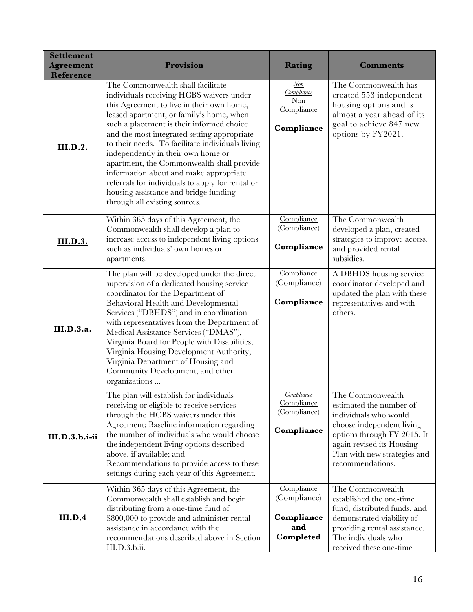| <b>Settlement</b><br><b>Agreement</b><br><b>Reference</b> | Provision                                                                                                                                                                                                                                                                                                                                                                                                                                                                                                                                                                         | Rating                                                       | <b>Comments</b>                                                                                                                                                                                                   |
|-----------------------------------------------------------|-----------------------------------------------------------------------------------------------------------------------------------------------------------------------------------------------------------------------------------------------------------------------------------------------------------------------------------------------------------------------------------------------------------------------------------------------------------------------------------------------------------------------------------------------------------------------------------|--------------------------------------------------------------|-------------------------------------------------------------------------------------------------------------------------------------------------------------------------------------------------------------------|
| <b>III.D.2.</b>                                           | The Commonwealth shall facilitate<br>individuals receiving HCBS waivers under<br>this Agreement to live in their own home,<br>leased apartment, or family's home, when<br>such a placement is their informed choice<br>and the most integrated setting appropriate<br>to their needs. To facilitate individuals living<br>independently in their own home or<br>apartment, the Commonwealth shall provide<br>information about and make appropriate<br>referrals for individuals to apply for rental or<br>housing assistance and bridge funding<br>through all existing sources. | Non<br>Compliance<br>Non<br>Compliance<br>Compliance         | The Commonwealth has<br>created 553 independent<br>housing options and is<br>almost a year ahead of its<br>goal to achieve 847 new<br>options by FY2021.                                                          |
| <b>III.D.3.</b>                                           | Within 365 days of this Agreement, the<br>Commonwealth shall develop a plan to<br>increase access to independent living options<br>such as individuals' own homes or<br>apartments.                                                                                                                                                                                                                                                                                                                                                                                               | Compliance<br>(Compliance)<br>Compliance                     | The Commonwealth<br>developed a plan, created<br>strategies to improve access,<br>and provided rental<br>subsidies.                                                                                               |
| III.D.3.a.                                                | The plan will be developed under the direct<br>supervision of a dedicated housing service<br>coordinator for the Department of<br>Behavioral Health and Developmental<br>Services ("DBHDS") and in coordination<br>with representatives from the Department of<br>Medical Assistance Services ("DMAS"),<br>Virginia Board for People with Disabilities,<br>Virginia Housing Development Authority,<br>Virginia Department of Housing and<br>Community Development, and other<br>organizations                                                                                     | Compliance<br>(Compliance)<br>Compliance                     | A DBHDS housing service<br>coordinator developed and<br>updated the plan with these<br>representatives and with<br>others.                                                                                        |
| III.D.3.b.i-ii                                            | The plan will establish for individuals<br>receiving or eligible to receive services<br>through the HCBS waivers under this<br>Agreement: Baseline information regarding<br>the number of individuals who would choose<br>the independent living options described<br>above, if available; and<br>Recommendations to provide access to these<br>settings during each year of this Agreement.                                                                                                                                                                                      | Compliance<br>Compliance<br>(Compliance)<br>Compliance       | The Commonwealth<br>estimated the number of<br>individuals who would<br>choose independent living<br>options through FY 2015. It<br>again revised its Housing<br>Plan with new strategies and<br>recommendations. |
| <b>III.D.4</b>                                            | Within 365 days of this Agreement, the<br>Commonwealth shall establish and begin<br>distributing from a one-time fund of<br>\$800,000 to provide and administer rental<br>assistance in accordance with the<br>recommendations described above in Section<br>III.D.3.b.ii.                                                                                                                                                                                                                                                                                                        | Compliance<br>(Compliance)<br>Compliance<br>and<br>Completed | The Commonwealth<br>established the one-time<br>fund, distributed funds, and<br>demonstrated viability of<br>providing rental assistance.<br>The individuals who<br>received these one-time                       |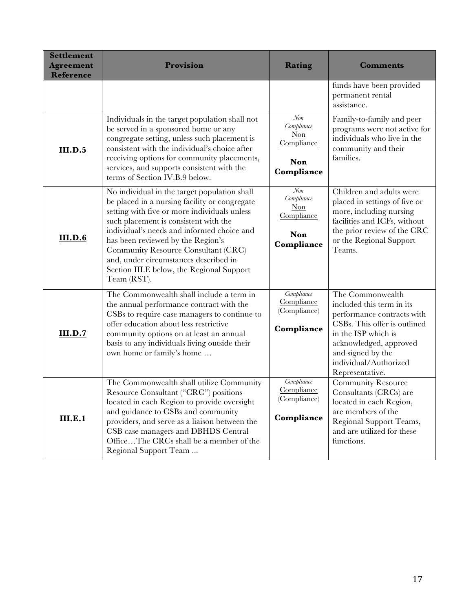| <b>Settlement</b><br><b>Agreement</b><br><b>Reference</b> | <b>Provision</b>                                                                                                                                                                                                                                                                                                                                                                                                      | Rating                                                           | <b>Comments</b>                                                                                                                                                                                                               |
|-----------------------------------------------------------|-----------------------------------------------------------------------------------------------------------------------------------------------------------------------------------------------------------------------------------------------------------------------------------------------------------------------------------------------------------------------------------------------------------------------|------------------------------------------------------------------|-------------------------------------------------------------------------------------------------------------------------------------------------------------------------------------------------------------------------------|
|                                                           |                                                                                                                                                                                                                                                                                                                                                                                                                       |                                                                  | funds have been provided<br>permanent rental<br>assistance.                                                                                                                                                                   |
| III.D.5                                                   | Individuals in the target population shall not<br>be served in a sponsored home or any<br>congregate setting, unless such placement is<br>consistent with the individual's choice after<br>receiving options for community placements,<br>services, and supports consistent with the<br>terms of Section IV.B.9 below.                                                                                                | $N$ on<br>Compliance<br>$Non$<br>Compliance<br>Non<br>Compliance | Family-to-family and peer<br>programs were not active for<br>individuals who live in the<br>community and their<br>families.                                                                                                  |
| III.D.6                                                   | No individual in the target population shall<br>be placed in a nursing facility or congregate<br>setting with five or more individuals unless<br>such placement is consistent with the<br>individual's needs and informed choice and<br>has been reviewed by the Region's<br>Community Resource Consultant (CRC)<br>and, under circumstances described in<br>Section III.E below, the Regional Support<br>Team (RST). | Non<br>Compliance<br>$Non$<br>Compliance<br>Non<br>Compliance    | Children and adults were<br>placed in settings of five or<br>more, including nursing<br>facilities and ICFs, without<br>the prior review of the CRC<br>or the Regional Support<br>Teams.                                      |
| <b>III.D.7</b>                                            | The Commonwealth shall include a term in<br>the annual performance contract with the<br>CSBs to require case managers to continue to<br>offer education about less restrictive<br>community options on at least an annual<br>basis to any individuals living outside their<br>own home or family's home                                                                                                               | Compliance<br>Compliance<br>(Compliance)<br>Compliance           | The Commonwealth<br>included this term in its<br>performance contracts with<br>CSBs. This offer is outlined<br>in the ISP which is<br>acknowledged, approved<br>and signed by the<br>individual/Authorized<br>Representative. |
| III.E.1                                                   | The Commonwealth shall utilize Community<br>Resource Consultant ("CRC") positions<br>located in each Region to provide oversight<br>and guidance to CSBs and community<br>providers, and serve as a liaison between the<br>CSB case managers and DBHDS Central<br>OfficeThe CRCs shall be a member of the<br>Regional Support Team                                                                                    | Compliance<br>Compliance<br>(Compliance)<br>Compliance           | <b>Community Resource</b><br>Consultants (CRCs) are<br>located in each Region,<br>are members of the<br>Regional Support Teams,<br>and are utilized for these<br>functions.                                                   |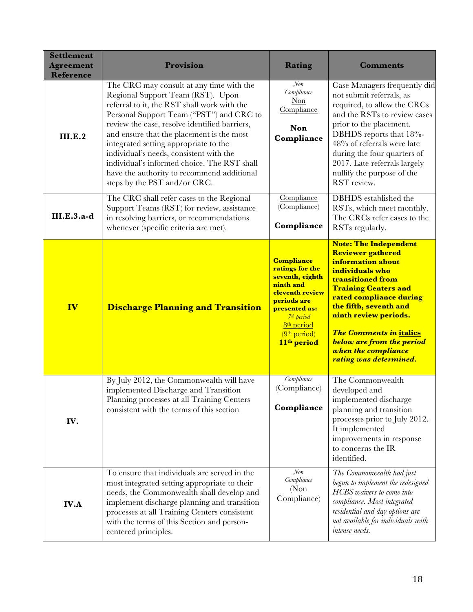| <b>Settlement</b><br><b>Agreement</b><br><b>Reference</b> | Provision                                                                                                                                                                                                                                                                                                                                                                                                                                                                               | Rating                                                                                                                                                                                                                             | <b>Comments</b>                                                                                                                                                                                                                                                                                                                                           |
|-----------------------------------------------------------|-----------------------------------------------------------------------------------------------------------------------------------------------------------------------------------------------------------------------------------------------------------------------------------------------------------------------------------------------------------------------------------------------------------------------------------------------------------------------------------------|------------------------------------------------------------------------------------------------------------------------------------------------------------------------------------------------------------------------------------|-----------------------------------------------------------------------------------------------------------------------------------------------------------------------------------------------------------------------------------------------------------------------------------------------------------------------------------------------------------|
| III.E.2                                                   | The CRC may consult at any time with the<br>Regional Support Team (RST). Upon<br>referral to it, the RST shall work with the<br>Personal Support Team ("PST") and CRC to<br>review the case, resolve identified barriers,<br>and ensure that the placement is the most<br>integrated setting appropriate to the<br>individual's needs, consistent with the<br>individual's informed choice. The RST shall<br>have the authority to recommend additional<br>steps by the PST and/or CRC. | $\mathcal{N}$ on<br>Compliance<br>$Non$<br>Compliance<br>Non<br>Compliance                                                                                                                                                         | Case Managers frequently did<br>not submit referrals, as<br>required, to allow the CRCs<br>and the RSTs to review cases<br>prior to the placement.<br>DBHDS reports that 18%-<br>48% of referrals were late<br>during the four quarters of<br>2017. Late referrals largely<br>nullify the purpose of the<br>RST review.                                   |
| III.E.3.a-d                                               | The CRC shall refer cases to the Regional<br>Support Teams (RST) for review, assistance<br>in resolving barriers, or recommendations<br>whenever (specific criteria are met).                                                                                                                                                                                                                                                                                                           | Compliance<br>(Compliance)<br>Compliance                                                                                                                                                                                           | DBHDS established the<br>RSTs, which meet monthly.<br>The CRCs refer cases to the<br>RSTs regularly.                                                                                                                                                                                                                                                      |
| IV                                                        | <b>Discharge Planning and Transition</b>                                                                                                                                                                                                                                                                                                                                                                                                                                                | <b>Compliance</b><br>ratings for the<br>seventh, eighth<br>ninth and<br>eleventh review<br>periods are<br>presented as:<br>7 <sup>th</sup> period<br>8 <sup>th</sup> period<br>(9 <sup>th</sup> period)<br>11 <sup>th</sup> period | <b>Note: The Independent</b><br><b>Reviewer gathered</b><br>information about<br>individuals who<br>transitioned from<br><b>Training Centers and</b><br>rated compliance during<br>the fifth, seventh and<br>ninth review periods.<br><b>The Comments in italics</b><br><b>below are from the period</b><br>when the compliance<br>rating was determined. |
| IV.                                                       | By July 2012, the Commonwealth will have<br>implemented Discharge and Transition<br>Planning processes at all Training Centers<br>consistent with the terms of this section                                                                                                                                                                                                                                                                                                             | Compliance<br>(Compliance)<br>Compliance                                                                                                                                                                                           | The Commonwealth<br>developed and<br>implemented discharge<br>planning and transition<br>processes prior to July 2012.<br>It implemented<br>improvements in response<br>to concerns the IR<br>identified.                                                                                                                                                 |
| <b>IV.A</b>                                               | To ensure that individuals are served in the<br>most integrated setting appropriate to their<br>needs, the Commonwealth shall develop and<br>implement discharge planning and transition<br>processes at all Training Centers consistent<br>with the terms of this Section and person-<br>centered principles.                                                                                                                                                                          | $\mathcal{N}$ on<br>Compliance<br>(Non)<br>Compliance)                                                                                                                                                                             | The Commonwealth had just<br>begun to implement the redesigned<br>HCBS waivers to come into<br>compliance. Most integrated<br>residential and day options are<br>not available for individuals with<br>intense needs.                                                                                                                                     |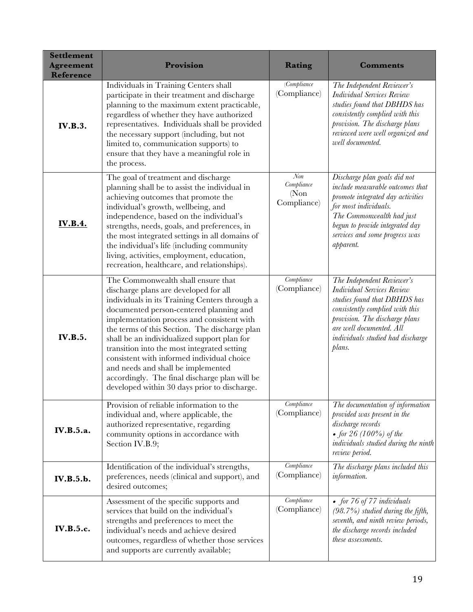| <b>Settlement</b><br><b>Agreement</b><br>Reference | Provision                                                                                                                                                                                                                                                                                                                                                                                                                                                                                                                                                 | Rating                                                 | <b>Comments</b>                                                                                                                                                                                                                                 |
|----------------------------------------------------|-----------------------------------------------------------------------------------------------------------------------------------------------------------------------------------------------------------------------------------------------------------------------------------------------------------------------------------------------------------------------------------------------------------------------------------------------------------------------------------------------------------------------------------------------------------|--------------------------------------------------------|-------------------------------------------------------------------------------------------------------------------------------------------------------------------------------------------------------------------------------------------------|
| <b>IV.B.3.</b>                                     | Individuals in Training Centers shall<br>participate in their treatment and discharge<br>planning to the maximum extent practicable,<br>regardless of whether they have authorized<br>representatives. Individuals shall be provided<br>the necessary support (including, but not<br>limited to, communication supports) to<br>ensure that they have a meaningful role in<br>the process.                                                                                                                                                                 | (Compliance)<br>(Compliance)                           | The Independent Reviewer's<br><b>Individual Services Review</b><br>studies found that DBHDS has<br>consistently complied with this<br>provision. The discharge plans<br>reviewed were well organized and<br>well documented.                    |
| <b>IV.B.4.</b>                                     | The goal of treatment and discharge<br>planning shall be to assist the individual in<br>achieving outcomes that promote the<br>individual's growth, wellbeing, and<br>independence, based on the individual's<br>strengths, needs, goals, and preferences, in<br>the most integrated settings in all domains of<br>the individual's life (including community<br>living, activities, employment, education,<br>recreation, healthcare, and relationships).                                                                                                | $\mathcal{N}$ on<br>Compliance<br>(Non)<br>Compliance) | Discharge plan goals did not<br>include measurable outcomes that<br>promote integrated day activities<br>for most individuals.<br>The Commonwealth had just<br>begun to provide integrated day<br>services and some progress was<br>apparent.   |
| <b>IV.B.5.</b>                                     | The Commonwealth shall ensure that<br>discharge plans are developed for all<br>individuals in its Training Centers through a<br>documented person-centered planning and<br>implementation process and consistent with<br>the terms of this Section. The discharge plan<br>shall be an individualized support plan for<br>transition into the most integrated setting<br>consistent with informed individual choice<br>and needs and shall be implemented<br>accordingly. The final discharge plan will be<br>developed within 30 days prior to discharge. | Compliance<br>(Compliance)                             | The Independent Reviewer's<br><b>Individual Services Review</b><br>studies found that DBHDS has<br>consistently complied with this<br>provision. The discharge plans<br>are well documented. All<br>individuals studied had discharge<br>plans. |
| <b>IV.B.5.a.</b>                                   | Provision of reliable information to the<br>individual and, where applicable, the<br>authorized representative, regarding<br>community options in accordance with<br>Section IV.B.9;                                                                                                                                                                                                                                                                                                                                                                      | Compliance<br>(Compliance)                             | The documentation of information<br>provided was present in the<br>discharge records<br>• for $26(100\%)$ of the<br>individuals studied during the ninth<br>review period.                                                                      |
| <b>IV.B.5.b.</b>                                   | Identification of the individual's strengths,<br>preferences, needs (clinical and support), and<br>desired outcomes;                                                                                                                                                                                                                                                                                                                                                                                                                                      | Compliance<br>(Compliance)                             | The discharge plans included this<br>information.                                                                                                                                                                                               |
| <b>IV.B.5.c.</b>                                   | Assessment of the specific supports and<br>services that build on the individual's<br>strengths and preferences to meet the<br>individual's needs and achieve desired<br>outcomes, regardless of whether those services<br>and supports are currently available;                                                                                                                                                                                                                                                                                          | Compliance<br>(Compliance)                             | • for 76 of 77 individuals<br>$(98.7%)$ studied during the fifth,<br>seventh, and ninth review periods,<br>the discharge records included<br>these assessments.                                                                                 |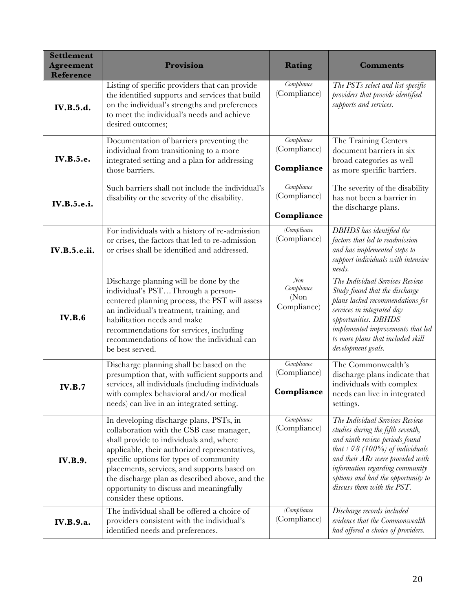| <b>Settlement</b><br><b>Agreement</b><br><b>Reference</b> | Provision                                                                                                                                                                                                                                                                                                                                                                                         | Rating                                    | <b>Comments</b>                                                                                                                                                                                                                                                                          |
|-----------------------------------------------------------|---------------------------------------------------------------------------------------------------------------------------------------------------------------------------------------------------------------------------------------------------------------------------------------------------------------------------------------------------------------------------------------------------|-------------------------------------------|------------------------------------------------------------------------------------------------------------------------------------------------------------------------------------------------------------------------------------------------------------------------------------------|
| <b>IV.B.5.d.</b>                                          | Listing of specific providers that can provide<br>the identified supports and services that build<br>on the individual's strengths and preferences<br>to meet the individual's needs and achieve<br>desired outcomes;                                                                                                                                                                             | Compliance<br>(Compliance)                | The PSTs select and list specific<br>providers that provide identified<br>supports and services.                                                                                                                                                                                         |
| <b>IV.B.5.e.</b>                                          | Documentation of barriers preventing the<br>individual from transitioning to a more<br>integrated setting and a plan for addressing<br>those barriers.                                                                                                                                                                                                                                            | Compliance<br>(Compliance)<br>Compliance  | The Training Centers<br>document barriers in six<br>broad categories as well<br>as more specific barriers.                                                                                                                                                                               |
| <b>IV.B.5.e.i.</b>                                        | Such barriers shall not include the individual's<br>disability or the severity of the disability.                                                                                                                                                                                                                                                                                                 | Compliance<br>(Compliance)<br>Compliance  | The severity of the disability<br>has not been a barrier in<br>the discharge plans.                                                                                                                                                                                                      |
| <b>IV.B.5.e.ii.</b>                                       | For individuals with a history of re-admission<br>or crises, the factors that led to re-admission<br>or crises shall be identified and addressed.                                                                                                                                                                                                                                                 | (Complane)<br>(Compliance)                | DBHDS has identified the<br>factors that led to readmission<br>and has implemented steps to<br>support individuals with intensive<br>needs.                                                                                                                                              |
| <b>IV.B.6</b>                                             | Discharge planning will be done by the<br>individual's PSTThrough a person-<br>centered planning process, the PST will assess<br>an individual's treatment, training, and<br>habilitation needs and make<br>recommendations for services, including<br>recommendations of how the individual can<br>be best served.                                                                               | Non<br>Compliance<br>(Non)<br>Compliance) | The Individual Services Review<br>Study found that the discharge<br>plans lacked recommendations for<br>services in integrated day<br>opportunities. DBHDS<br>implemented improvements that led<br>to more plans that included skill<br>development goals.                               |
| <b>IV.B.7</b>                                             | Discharge planning shall be based on the<br>presumption that, with sufficient supports and<br>services, all individuals (including individuals<br>with complex behavioral and/or medical<br>needs) can live in an integrated setting.                                                                                                                                                             | Compliance<br>(Compliance)<br>Compliance  | The Commonwealth's<br>discharge plans indicate that<br>individuals with complex<br>needs can live in integrated<br>settings.                                                                                                                                                             |
| <b>IV.B.9.</b>                                            | In developing discharge plans, PSTs, in<br>collaboration with the CSB case manager,<br>shall provide to individuals and, where<br>applicable, their authorized representatives,<br>specific options for types of community<br>placements, services, and supports based on<br>the discharge plan as described above, and the<br>opportunity to discuss and meaningfully<br>consider these options. | Compliance<br>(Compliance)                | The Individual Services Review<br>studies during the fifth seventh,<br>and ninth review periods found<br>that $\Box 78$ (100%) of individuals<br>and their ARs were provided with<br>information regarding community<br>options and had the opportunity to<br>discuss them with the PST. |
| IV.B.9.a.                                                 | The individual shall be offered a choice of<br>providers consistent with the individual's<br>identified needs and preferences.                                                                                                                                                                                                                                                                    | (Compliance)<br>(Compliance)              | Discharge records included<br>evidence that the Commonwealth<br>had offered a choice of providers.                                                                                                                                                                                       |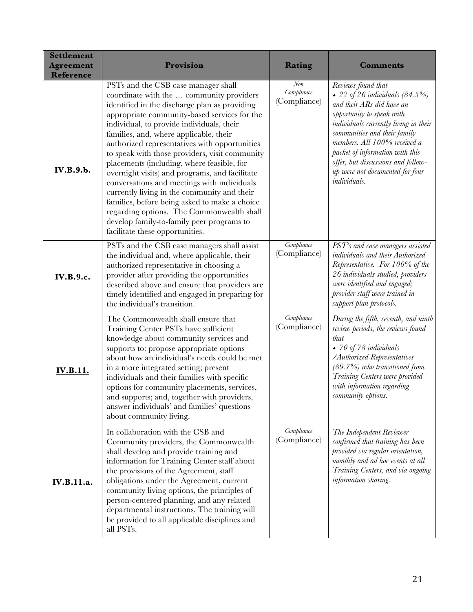| <b>Settlement</b><br><b>Agreement</b><br><b>Reference</b> | Provision                                                                                                                                                                                                                                                                                                                                                                                                                                                                                                                                                                                                                                                                                                                                              | Rating                                         | <b>Comments</b>                                                                                                                                                                                                                                                                                                                                        |
|-----------------------------------------------------------|--------------------------------------------------------------------------------------------------------------------------------------------------------------------------------------------------------------------------------------------------------------------------------------------------------------------------------------------------------------------------------------------------------------------------------------------------------------------------------------------------------------------------------------------------------------------------------------------------------------------------------------------------------------------------------------------------------------------------------------------------------|------------------------------------------------|--------------------------------------------------------------------------------------------------------------------------------------------------------------------------------------------------------------------------------------------------------------------------------------------------------------------------------------------------------|
| IV.B.9.b.                                                 | PSTs and the CSB case manager shall<br>coordinate with the  community providers<br>identified in the discharge plan as providing<br>appropriate community-based services for the<br>individual, to provide individuals, their<br>families, and, where applicable, their<br>authorized representatives with opportunities<br>to speak with those providers, visit community<br>placements (including, where feasible, for<br>overnight visits) and programs, and facilitate<br>conversations and meetings with individuals<br>currently living in the community and their<br>families, before being asked to make a choice<br>regarding options. The Commonwealth shall<br>develop family-to-family peer programs to<br>facilitate these opportunities. | $\mathcal{N}$ on<br>Compliance<br>(Compliance) | Reviews found that<br>• 22 of 26 individuals $(84.5\%)$<br>and their ARs did have an<br>opportunity to speak with<br>individuals currently living in their<br>communities and their family<br>members. All 100% received a<br>packet of information with this<br>offer, but discussions and follow-<br>up were not documented for four<br>individuals. |
| <u>IV.B.9.c.</u>                                          | PSTs and the CSB case managers shall assist<br>the individual and, where applicable, their<br>authorized representative in choosing a<br>provider after providing the opportunities<br>described above and ensure that providers are<br>timely identified and engaged in preparing for<br>the individual's transition.                                                                                                                                                                                                                                                                                                                                                                                                                                 | Compliance<br>(Compliance)                     | PST's and case managers assisted<br>individuals and their Authorized<br>Representative. For 100% of the<br>26 individuals studied, providers<br>were identified and engaged;<br>provider staff were trained in<br>support plan protocols.                                                                                                              |
| <b>IV.B.11.</b>                                           | The Commonwealth shall ensure that<br>Training Center PSTs have sufficient<br>knowledge about community services and<br>supports to: propose appropriate options<br>about how an individual's needs could be met<br>in a more integrated setting; present<br>individuals and their families with specific<br>options for community placements, services,<br>and supports; and, together with providers,<br>answer individuals' and families' questions<br>about community living.                                                                                                                                                                                                                                                                      | Compliance<br>(Compliance)                     | During the fifth, seventh, and ninth<br>review periods, the reviews found<br>that<br>• 70 of 78 individuals<br>/Authorized Representatives<br>$(89.7%)$ who transitioned from<br>Training Centers were provided<br>with information regarding<br>community options.                                                                                    |
| IV.B.11.a.                                                | In collaboration with the CSB and<br>Community providers, the Commonwealth<br>shall develop and provide training and<br>information for Training Center staff about<br>the provisions of the Agreement, staff<br>obligations under the Agreement, current<br>community living options, the principles of<br>person-centered planning, and any related<br>departmental instructions. The training will<br>be provided to all applicable disciplines and<br>all PSTs.                                                                                                                                                                                                                                                                                    | Compliance<br>(Compliance)                     | The Independent Reviewer<br>confirmed that training has been<br>provided via regular orientation,<br>monthly and ad hoc events at all<br>Training Centers, and via ongoing<br>information sharing.                                                                                                                                                     |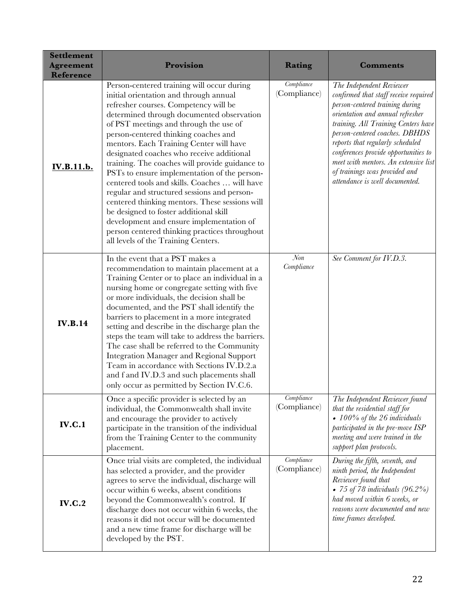| <b>Settlement</b><br><b>Agreement</b><br><b>Reference</b> | Provision                                                                                                                                                                                                                                                                                                                                                                                                                                                                                                                                                                                                                                                                                                                                                                              | Rating                     | <b>Comments</b>                                                                                                                                                                                                                                                                                                                                                                                          |
|-----------------------------------------------------------|----------------------------------------------------------------------------------------------------------------------------------------------------------------------------------------------------------------------------------------------------------------------------------------------------------------------------------------------------------------------------------------------------------------------------------------------------------------------------------------------------------------------------------------------------------------------------------------------------------------------------------------------------------------------------------------------------------------------------------------------------------------------------------------|----------------------------|----------------------------------------------------------------------------------------------------------------------------------------------------------------------------------------------------------------------------------------------------------------------------------------------------------------------------------------------------------------------------------------------------------|
| <b>IV.B.11.b.</b>                                         | Person-centered training will occur during<br>initial orientation and through annual<br>refresher courses. Competency will be<br>determined through documented observation<br>of PST meetings and through the use of<br>person-centered thinking coaches and<br>mentors. Each Training Center will have<br>designated coaches who receive additional<br>training. The coaches will provide guidance to<br>PSTs to ensure implementation of the person-<br>centered tools and skills. Coaches  will have<br>regular and structured sessions and person-<br>centered thinking mentors. These sessions will<br>be designed to foster additional skill<br>development and ensure implementation of<br>person centered thinking practices throughout<br>all levels of the Training Centers. | Compliance<br>(Compliance) | The Independent Reviewer<br>confirmed that staff receive required<br>person-centered training during<br>orientation and annual refresher<br>training. All Training Centers have<br>person-centered coaches. DBHDS<br>reports that regularly scheduled<br>conferences provide opportunities to<br>meet with mentors. An extensive list<br>of trainings was provided and<br>attendance is well documented. |
| <b>IV.B.14</b>                                            | In the event that a PST makes a<br>recommendation to maintain placement at a<br>Training Center or to place an individual in a<br>nursing home or congregate setting with five<br>or more individuals, the decision shall be<br>documented, and the PST shall identify the<br>barriers to placement in a more integrated<br>setting and describe in the discharge plan the<br>steps the team will take to address the barriers.<br>The case shall be referred to the Community<br><b>Integration Manager and Regional Support</b><br>Team in accordance with Sections IV.D.2.a<br>and f and IV.D.3 and such placements shall<br>only occur as permitted by Section IV.C.6.                                                                                                             | Non<br>Compliance          | See Comment for IV.D.3.                                                                                                                                                                                                                                                                                                                                                                                  |
| <b>IV.C.1</b>                                             | Once a specific provider is selected by an<br>individual, the Commonwealth shall invite<br>and encourage the provider to actively<br>participate in the transition of the individual<br>from the Training Center to the community<br>placement.                                                                                                                                                                                                                                                                                                                                                                                                                                                                                                                                        | Compliance<br>(Compliance) | The Independent Reviewer found<br>that the residential staff for<br>• $100\%$ of the 26 individuals<br>participated in the pre-move ISP<br>meeting and were trained in the<br>support plan protocols.                                                                                                                                                                                                    |
| <b>IV.C.2</b>                                             | Once trial visits are completed, the individual<br>has selected a provider, and the provider<br>agrees to serve the individual, discharge will<br>occur within 6 weeks, absent conditions<br>beyond the Commonwealth's control. If<br>discharge does not occur within 6 weeks, the<br>reasons it did not occur will be documented<br>and a new time frame for discharge will be<br>developed by the PST.                                                                                                                                                                                                                                                                                                                                                                               | Compliance<br>(Compliance) | During the fifth, seventh, and<br>ninth period, the Independent<br>Reviewer found that<br>• 75 of 78 individuals $(96.2\%)$<br>had moved within 6 weeks, or<br>reasons were documented and new<br>time frames developed.                                                                                                                                                                                 |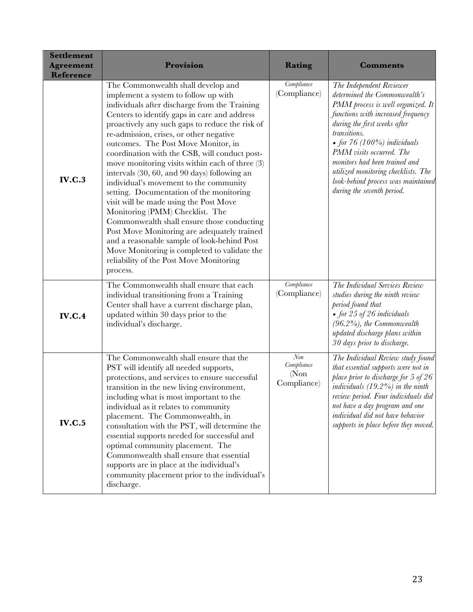| <b>Settlement</b><br><b>Agreement</b><br><b>Reference</b> | Provision                                                                                                                                                                                                                                                                                                                                                                                                                                                                                                                                                                                                                                                                                                                                                                                                                                                                                    | Rating                                                  | <b>Comments</b>                                                                                                                                                                                                                                                                                                                                                                               |
|-----------------------------------------------------------|----------------------------------------------------------------------------------------------------------------------------------------------------------------------------------------------------------------------------------------------------------------------------------------------------------------------------------------------------------------------------------------------------------------------------------------------------------------------------------------------------------------------------------------------------------------------------------------------------------------------------------------------------------------------------------------------------------------------------------------------------------------------------------------------------------------------------------------------------------------------------------------------|---------------------------------------------------------|-----------------------------------------------------------------------------------------------------------------------------------------------------------------------------------------------------------------------------------------------------------------------------------------------------------------------------------------------------------------------------------------------|
| <b>IV.C.3</b>                                             | The Commonwealth shall develop and<br>implement a system to follow up with<br>individuals after discharge from the Training<br>Centers to identify gaps in care and address<br>proactively any such gaps to reduce the risk of<br>re-admission, crises, or other negative<br>outcomes. The Post Move Monitor, in<br>coordination with the CSB, will conduct post-<br>move monitoring visits within each of three $(3)$<br>intervals (30, 60, and 90 days) following an<br>individual's movement to the community<br>setting. Documentation of the monitoring<br>visit will be made using the Post Move<br>Monitoring (PMM) Checklist. The<br>Commonwealth shall ensure those conducting<br>Post Move Monitoring are adequately trained<br>and a reasonable sample of look-behind Post<br>Move Monitoring is completed to validate the<br>reliability of the Post Move Monitoring<br>process. | Compliance<br>(Compliance)                              | The Independent Reviewer<br>determined the Commonwealth's<br>PMM process is well organized. It<br>functions with increased frequency<br>during the first weeks after<br>transitions.<br>• for $76$ (100%) individuals<br>PMM visits occurred. The<br>monitors had been trained and<br>utilized monitoring checklists. The<br>look-behind process was maintained<br>during the seventh period. |
| <b>IV.C.4</b>                                             | The Commonwealth shall ensure that each<br>individual transitioning from a Training<br>Center shall have a current discharge plan,<br>updated within 30 days prior to the<br>individual's discharge.                                                                                                                                                                                                                                                                                                                                                                                                                                                                                                                                                                                                                                                                                         | Compliance<br>(Compliance)                              | The Individual Services Review<br>studies during the ninth review<br>period found that<br>• for $25$ of $26$ individuals<br>$(96.2\%)$ , the Commonwealth<br>updated discharge plans within<br>30 days prior to discharge.                                                                                                                                                                    |
| <b>IV.C.5</b>                                             | The Commonwealth shall ensure that the<br>PST will identify all needed supports,<br>protections, and services to ensure successful<br>transition in the new living environment,<br>including what is most important to the<br>individual as it relates to community<br>placement. The Commonwealth, in<br>consultation with the PST, will determine the<br>essential supports needed for successful and<br>optimal community placement. The<br>Commonwealth shall ensure that essential<br>supports are in place at the individual's<br>community placement prior to the individual's<br>discharge.                                                                                                                                                                                                                                                                                          | $\mathcal{N}\!on$<br>Compliance<br>(Non)<br>Compliance) | The Individual Review study found<br>that essential supports were not in<br>place prior to discharge for 5 of 26<br>individuals $(19.2\%)$ in the ninth<br>review period. Four individuals did<br>not have a day program and one<br>individual did not have behavior<br>supports in place before they moved.                                                                                  |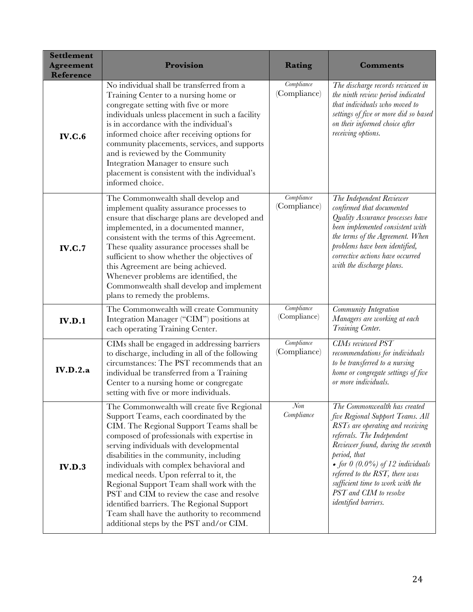| <b>Settlement</b><br><b>Agreement</b><br>Reference | Provision                                                                                                                                                                                                                                                                                                                                                                                                                                                                                                                                                                                    | Rating                     | <b>Comments</b>                                                                                                                                                                                                                                                                                                                                        |
|----------------------------------------------------|----------------------------------------------------------------------------------------------------------------------------------------------------------------------------------------------------------------------------------------------------------------------------------------------------------------------------------------------------------------------------------------------------------------------------------------------------------------------------------------------------------------------------------------------------------------------------------------------|----------------------------|--------------------------------------------------------------------------------------------------------------------------------------------------------------------------------------------------------------------------------------------------------------------------------------------------------------------------------------------------------|
| IV.C.6                                             | No individual shall be transferred from a<br>Training Center to a nursing home or<br>congregate setting with five or more<br>individuals unless placement in such a facility<br>is in accordance with the individual's<br>informed choice after receiving options for<br>community placements, services, and supports<br>and is reviewed by the Community<br>Integration Manager to ensure such<br>placement is consistent with the individual's<br>informed choice.                                                                                                                         | Compliance<br>(Compliance) | The discharge records reviewed in<br>the ninth review period indicated<br>that individuals who moved to<br>settings of five or more did so based<br>on their informed choice after<br>receiving options.                                                                                                                                               |
| <b>IV.C.7</b>                                      | The Commonwealth shall develop and<br>implement quality assurance processes to<br>ensure that discharge plans are developed and<br>implemented, in a documented manner,<br>consistent with the terms of this Agreement.<br>These quality assurance processes shall be<br>sufficient to show whether the objectives of<br>this Agreement are being achieved.<br>Whenever problems are identified, the<br>Commonwealth shall develop and implement<br>plans to remedy the problems.                                                                                                            | Compliance<br>(Compliance) | The Independent Reviewer<br>confirmed that documented<br>Quality Assurance processes have<br>been implemented consistent with<br>the terms of the Agreement. When<br>problems have been identified,<br>corrective actions have occurred<br>with the discharge plans.                                                                                   |
| IV.D.1                                             | The Commonwealth will create Community<br>Integration Manager ("CIM") positions at<br>each operating Training Center.                                                                                                                                                                                                                                                                                                                                                                                                                                                                        | Compliance<br>(Compliance) | Community Integration<br>Managers are working at each<br>Training Center.                                                                                                                                                                                                                                                                              |
| IV.D.2.a                                           | CIMs shall be engaged in addressing barriers<br>to discharge, including in all of the following<br>circumstances: The PST recommends that an<br>individual be transferred from a Training<br>Center to a nursing home or congregate<br>setting with five or more individuals.                                                                                                                                                                                                                                                                                                                | Compliance<br>(Compliance) | <b>CIMs</b> reviewed PST<br>recommendations for individuals<br>to be transferred to a nursing<br>home or congregate settings of five<br>or more individuals.                                                                                                                                                                                           |
| IV.D.3                                             | The Commonwealth will create five Regional<br>Support Teams, each coordinated by the<br>CIM. The Regional Support Teams shall be<br>composed of professionals with expertise in<br>serving individuals with developmental<br>disabilities in the community, including<br>individuals with complex behavioral and<br>medical needs. Upon referral to it, the<br>Regional Support Team shall work with the<br>PST and CIM to review the case and resolve<br>identified barriers. The Regional Support<br>Team shall have the authority to recommend<br>additional steps by the PST and/or CIM. | Non<br>Compliance          | The Commonwealth has created<br>five Regional Support Teams. All<br>RSTs are operating and receiving<br>referrals. The Independent<br>Reviewer found, during the seventh<br>period, that<br>• for $0$ (0.0%) of 12 individuals<br>referred to the RST, there was<br>sufficient time to work with the<br>PST and CIM to resolve<br>identified barriers. |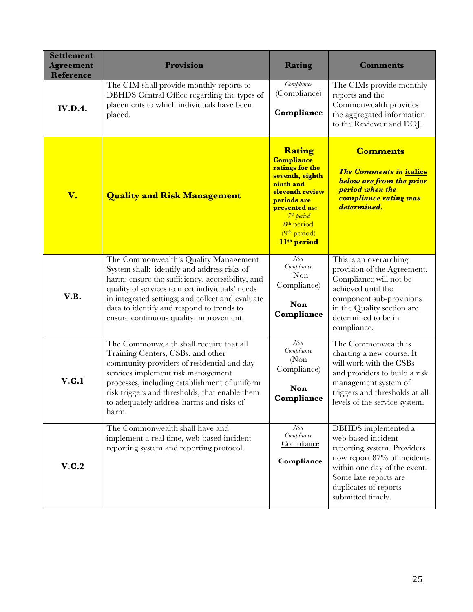| <b>Settlement</b><br><b>Agreement</b><br>Reference | Provision                                                                                                                                                                                                                                                                                                                             | Rating                                                                                                                                                                                                                                       | <b>Comments</b>                                                                                                                                                                                                |
|----------------------------------------------------|---------------------------------------------------------------------------------------------------------------------------------------------------------------------------------------------------------------------------------------------------------------------------------------------------------------------------------------|----------------------------------------------------------------------------------------------------------------------------------------------------------------------------------------------------------------------------------------------|----------------------------------------------------------------------------------------------------------------------------------------------------------------------------------------------------------------|
| <b>IV.D.4.</b>                                     | The CIM shall provide monthly reports to<br>DBHDS Central Office regarding the types of<br>placements to which individuals have been<br>placed.                                                                                                                                                                                       | Compliance<br>(Compliance)<br>Compliance                                                                                                                                                                                                     | The CIMs provide monthly<br>reports and the<br>Commonwealth provides<br>the aggregated information<br>to the Reviewer and DOJ.                                                                                 |
| V.                                                 | <b>Quality and Risk Management</b>                                                                                                                                                                                                                                                                                                    | Rating<br><b>Compliance</b><br>ratings for the<br>seventh, eighth<br>ninth and<br>eleventh review<br>periods are<br>presented as:<br>7 <sup>th</sup> period<br>8 <sup>th</sup> period<br>(9 <sup>th</sup> period)<br>11 <sup>th</sup> period | <b>Comments</b><br><b>The Comments in italics</b><br><b>below are from the prior</b><br>period when the<br>compliance rating was<br>determined.                                                                |
| V.B.                                               | The Commonwealth's Quality Management<br>System shall: identify and address risks of<br>harm; ensure the sufficiency, accessibility, and<br>quality of services to meet individuals' needs<br>in integrated settings; and collect and evaluate<br>data to identify and respond to trends to<br>ensure continuous quality improvement. | Non<br>Compliance<br>(Non)<br>Compliance)<br><b>Non</b><br>Compliance                                                                                                                                                                        | This is an overarching<br>provision of the Agreement.<br>Compliance will not be<br>achieved until the<br>component sub-provisions<br>in the Quality section are<br>determined to be in<br>compliance.          |
| V.C.1                                              | The Commonwealth shall require that all<br>Training Centers, CSBs, and other<br>community providers of residential and day<br>services implement risk management<br>processes, including establishment of uniform<br>risk triggers and thresholds, that enable them<br>to adequately address harms and risks of<br>harm.              | $\mathcal{N}$ on<br>Compliance<br>(Non)<br>Compliance)<br>Non<br>Compliance                                                                                                                                                                  | The Commonwealth is<br>charting a new course. It<br>will work with the CSBs<br>and providers to build a risk<br>management system of<br>triggers and thresholds at all<br>levels of the service system.        |
| V.C.2                                              | The Commonwealth shall have and<br>implement a real time, web-based incident<br>reporting system and reporting protocol.                                                                                                                                                                                                              | $\mathcal{N}$ on<br>Compliance<br>Compliance<br>Compliance                                                                                                                                                                                   | DBHDS implemented a<br>web-based incident<br>reporting system. Providers<br>now report 87% of incidents<br>within one day of the event.<br>Some late reports are<br>duplicates of reports<br>submitted timely. |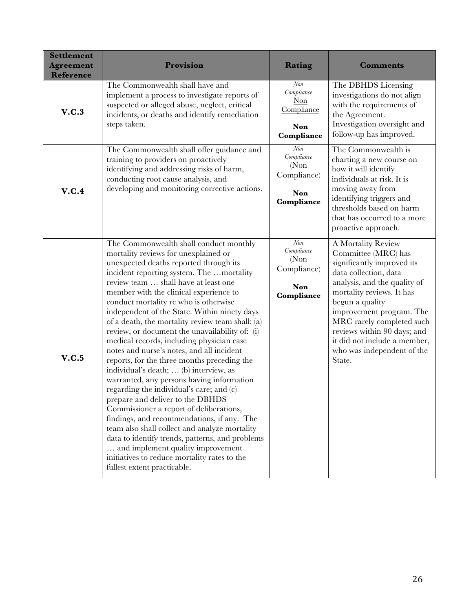| <b>Settlement</b><br><b>Agreement</b><br><b>Reference</b> | Provision                                                                                                                                                                                                                                                                                                                                                                                                                                                                                                                                                                                                                                                                                                                                                                                                                                                                                                                                                                                                                                                                              | Rating                                                                   | <b>Comments</b>                                                                                                                                                                                                                                                                                                                                  |
|-----------------------------------------------------------|----------------------------------------------------------------------------------------------------------------------------------------------------------------------------------------------------------------------------------------------------------------------------------------------------------------------------------------------------------------------------------------------------------------------------------------------------------------------------------------------------------------------------------------------------------------------------------------------------------------------------------------------------------------------------------------------------------------------------------------------------------------------------------------------------------------------------------------------------------------------------------------------------------------------------------------------------------------------------------------------------------------------------------------------------------------------------------------|--------------------------------------------------------------------------|--------------------------------------------------------------------------------------------------------------------------------------------------------------------------------------------------------------------------------------------------------------------------------------------------------------------------------------------------|
| V.C.3                                                     | The Commonwealth shall have and<br>implement a process to investigate reports of<br>suspected or alleged abuse, neglect, critical<br>incidents, or deaths and identify remediation<br>steps taken.                                                                                                                                                                                                                                                                                                                                                                                                                                                                                                                                                                                                                                                                                                                                                                                                                                                                                     | $\mathcal{N}$ on<br>Compliance<br>Non<br>Compliance<br>Non<br>Compliance | The DBHDS Licensing<br>investigations do not align<br>with the requirements of<br>the Agreement.<br>Investigation oversight and<br>follow-up has improved.                                                                                                                                                                                       |
| V.C.4                                                     | The Commonwealth shall offer guidance and<br>training to providers on proactively<br>identifying and addressing risks of harm,<br>conducting root cause analysis, and<br>developing and monitoring corrective actions.                                                                                                                                                                                                                                                                                                                                                                                                                                                                                                                                                                                                                                                                                                                                                                                                                                                                 | Non<br>Compliance<br>(Non)<br>Compliance)<br><b>Non</b><br>Compliance    | The Commonwealth is<br>charting a new course on<br>how it will identify<br>individuals at risk. It is<br>moving away from<br>identifying triggers and<br>thresholds based on harm<br>that has occurred to a more<br>proactive approach.                                                                                                          |
| V.C.5                                                     | The Commonwealth shall conduct monthly<br>mortality reviews for unexplained or<br>unexpected deaths reported through its<br>incident reporting system. The mortality<br>review team  shall have at least one<br>member with the clinical experience to<br>conduct mortality re who is otherwise<br>independent of the State. Within ninety days<br>of a death, the mortality review team shall: (a)<br>review, or document the unavailability of: (i)<br>medical records, including physician case<br>notes and nurse's notes, and all incident<br>reports, for the three months preceding the<br>individual's death;  (b) interview, as<br>warranted, any persons having information<br>regarding the individual's care; and (c)<br>prepare and deliver to the DBHDS<br>Commissioner a report of deliberations,<br>findings, and recommendations, if any. The<br>team also shall collect and analyze mortality<br>data to identify trends, patterns, and problems<br>and implement quality improvement<br>initiatives to reduce mortality rates to the<br>fullest extent practicable. | Non<br>Compliance<br>(Non)<br>Compliance)<br><b>Non</b><br>Compliance    | A Mortality Review<br>Committee (MRC) has<br>significantly improved its<br>data collection, data<br>analysis, and the quality of<br>mortality reviews. It has<br>begun a quality<br>improvement program. The<br>MRC rarely completed such<br>reviews within 90 days; and<br>it did not include a member,<br>who was independent of the<br>State. |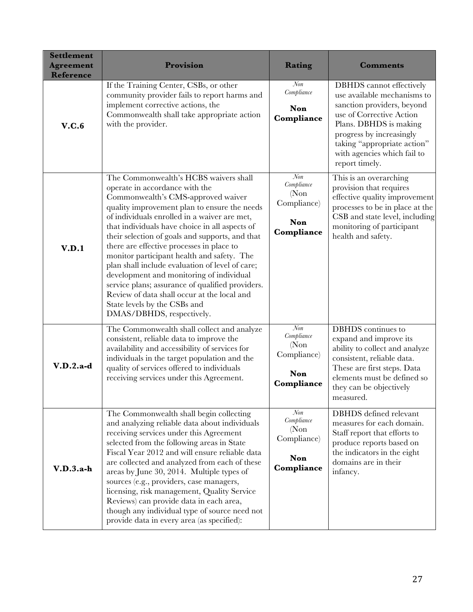| <b>Settlement</b><br><b>Agreement</b><br><b>Reference</b> | Provision                                                                                                                                                                                                                                                                                                                                                                                                                                                                                                                                                                                                                                                                    | Rating                                                                       | <b>Comments</b>                                                                                                                                                                                                                                                |
|-----------------------------------------------------------|------------------------------------------------------------------------------------------------------------------------------------------------------------------------------------------------------------------------------------------------------------------------------------------------------------------------------------------------------------------------------------------------------------------------------------------------------------------------------------------------------------------------------------------------------------------------------------------------------------------------------------------------------------------------------|------------------------------------------------------------------------------|----------------------------------------------------------------------------------------------------------------------------------------------------------------------------------------------------------------------------------------------------------------|
| V.C.6                                                     | If the Training Center, CSBs, or other<br>community provider fails to report harms and<br>implement corrective actions, the<br>Commonwealth shall take appropriate action<br>with the provider.                                                                                                                                                                                                                                                                                                                                                                                                                                                                              | Non<br>Compliance<br>Non<br>Compliance                                       | <b>DBHDS</b> cannot effectively<br>use available mechanisms to<br>sanction providers, beyond<br>use of Corrective Action<br>Plans. DBHDS is making<br>progress by increasingly<br>taking "appropriate action"<br>with agencies which fail to<br>report timely. |
| V.D.1                                                     | The Commonwealth's HCBS waivers shall<br>operate in accordance with the<br>Commonwealth's CMS-approved waiver<br>quality improvement plan to ensure the needs<br>of individuals enrolled in a waiver are met,<br>that individuals have choice in all aspects of<br>their selection of goals and supports, and that<br>there are effective processes in place to<br>monitor participant health and safety. The<br>plan shall include evaluation of level of care;<br>development and monitoring of individual<br>service plans; assurance of qualified providers.<br>Review of data shall occur at the local and<br>State levels by the CSBs and<br>DMAS/DBHDS, respectively. | $\overline{N}$ on<br>Compliance<br>(Non)<br>Compliance)<br>Non<br>Compliance | This is an overarching<br>provision that requires<br>effective quality improvement<br>processes to be in place at the<br>CSB and state level, including<br>monitoring of participant<br>health and safety.                                                     |
| $V.D.2.a-d$                                               | The Commonwealth shall collect and analyze<br>consistent, reliable data to improve the<br>availability and accessibility of services for<br>individuals in the target population and the<br>quality of services offered to individuals<br>receiving services under this Agreement.                                                                                                                                                                                                                                                                                                                                                                                           | Non<br>Compliance<br>(Non)<br>Compliance)<br>Non<br>Compliance               | <b>DBHDS</b> continues to<br>expand and improve its<br>ability to collect and analyze<br>consistent, reliable data.<br>These are first steps. Data<br>elements must be defined so<br>they can be objectively<br>measured.                                      |
| $V.D.3.a-h$                                               | The Commonwealth shall begin collecting<br>and analyzing reliable data about individuals<br>receiving services under this Agreement<br>selected from the following areas in State<br>Fiscal Year 2012 and will ensure reliable data<br>are collected and analyzed from each of these<br>areas by June 30, 2014. Multiple types of<br>sources (e.g., providers, case managers,<br>licensing, risk management, Quality Service<br>Reviews) can provide data in each area,<br>though any individual type of source need not<br>provide data in every area (as specified):                                                                                                       | $N$ on<br>Compliance<br>(Non)<br>Compliance)<br><b>Non</b><br>Compliance     | DBHDS defined relevant<br>measures for each domain.<br>Staff report that efforts to<br>produce reports based on<br>the indicators in the eight<br>domains are in their<br>infancy.                                                                             |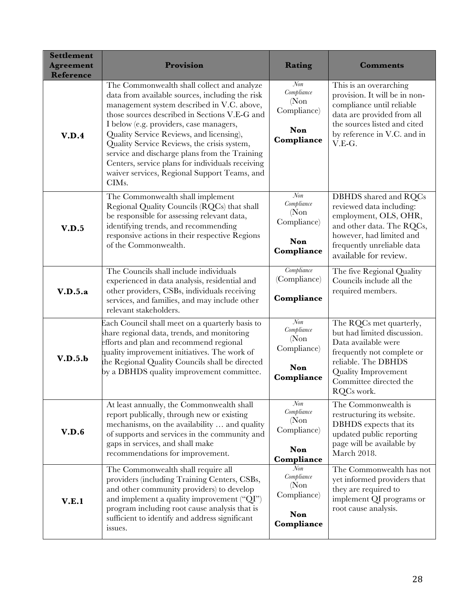| <b>Settlement</b><br><b>Agreement</b><br>Reference | Provision                                                                                                                                                                                                                                                                                                                                                                                                                                                                                                     | Rating                                                                     | <b>Comments</b>                                                                                                                                                                                          |
|----------------------------------------------------|---------------------------------------------------------------------------------------------------------------------------------------------------------------------------------------------------------------------------------------------------------------------------------------------------------------------------------------------------------------------------------------------------------------------------------------------------------------------------------------------------------------|----------------------------------------------------------------------------|----------------------------------------------------------------------------------------------------------------------------------------------------------------------------------------------------------|
| V.D.4                                              | The Commonwealth shall collect and analyze<br>data from available sources, including the risk<br>management system described in V.C. above,<br>those sources described in Sections V.E-G and<br>I below (e.g. providers, case managers,<br>Quality Service Reviews, and licensing),<br>Quality Service Reviews, the crisis system,<br>service and discharge plans from the Training<br>Centers, service plans for individuals receiving<br>waiver services, Regional Support Teams, and<br>CIM <sub>s</sub> . | Non<br>Compliance<br>(Non)<br>Compliance)<br>Non<br>Compliance             | This is an overarching<br>provision. It will be in non-<br>compliance until reliable<br>data are provided from all<br>the sources listed and cited<br>by reference in V.C. and in<br>V.E-G.              |
| V.D.5                                              | The Commonwealth shall implement<br>Regional Quality Councils (RQCs) that shall<br>be responsible for assessing relevant data,<br>identifying trends, and recommending<br>responsive actions in their respective Regions<br>of the Commonwealth.                                                                                                                                                                                                                                                              | N <sub>on</sub><br>Compliance<br>(Non)<br>Compliance)<br>Non<br>Compliance | DBHDS shared and RQCs<br>reviewed data including:<br>employment, OLS, OHR,<br>and other data. The RQCs,<br>however, had limited and<br>frequently unreliable data<br>available for review.               |
| V.D.5.a                                            | The Councils shall include individuals<br>experienced in data analysis, residential and<br>other providers, CSBs, individuals receiving<br>services, and families, and may include other<br>relevant stakeholders.                                                                                                                                                                                                                                                                                            | Compliance<br>(Compliance)<br>Compliance                                   | The five Regional Quality<br>Councils include all the<br>required members.                                                                                                                               |
| V.D.5.b                                            | Each Council shall meet on a quarterly basis to<br>share regional data, trends, and monitoring<br>efforts and plan and recommend regional<br>quality improvement initiatives. The work of<br>the Regional Quality Councils shall be directed<br>by a DBHDS quality improvement committee.                                                                                                                                                                                                                     | Non<br>Compliance<br>(Non)<br>Compliance)<br>Non<br>Compliance             | The RQCs met quarterly,<br>but had limited discussion.<br>Data available were<br>frequently not complete or<br>reliable. The DBHDS<br><b>Quality Improvement</b><br>Committee directed the<br>RQCs work. |
| V.D.6                                              | At least annually, the Commonwealth shall<br>report publically, through new or existing<br>mechanisms, on the availability  and quality<br>of supports and services in the community and<br>gaps in services, and shall make<br>recommendations for improvement.                                                                                                                                                                                                                                              | Non<br>Compliance<br>(Non)<br>Compliance)<br>Non<br>Compliance             | The Commonwealth is<br>restructuring its website.<br>DBHDS expects that its<br>updated public reporting<br>page will be available by<br>March 2018.                                                      |
| V.E.1                                              | The Commonwealth shall require all<br>providers (including Training Centers, CSBs,<br>and other community providers) to develop<br>and implement a quality improvement ("QI")<br>program including root cause analysis that is<br>sufficient to identify and address significant<br>issues.                                                                                                                                                                                                                   | $N$ on<br>Compliance<br>(Non)<br>Compliance)<br>Non<br>Compliance          | The Commonwealth has not<br>yet informed providers that<br>they are required to<br>implement QI programs or<br>root cause analysis.                                                                      |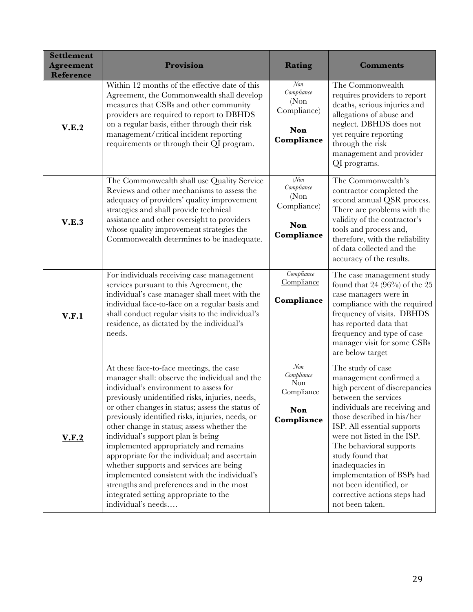| <b>Settlement</b><br><b>Agreement</b><br><b>Reference</b> | Provision                                                                                                                                                                                                                                                                                                                                                                                                                                                                                                                                                                                                                                                                           | Rating                                                                             | <b>Comments</b>                                                                                                                                                                                                                                                                                                                                                                                                 |
|-----------------------------------------------------------|-------------------------------------------------------------------------------------------------------------------------------------------------------------------------------------------------------------------------------------------------------------------------------------------------------------------------------------------------------------------------------------------------------------------------------------------------------------------------------------------------------------------------------------------------------------------------------------------------------------------------------------------------------------------------------------|------------------------------------------------------------------------------------|-----------------------------------------------------------------------------------------------------------------------------------------------------------------------------------------------------------------------------------------------------------------------------------------------------------------------------------------------------------------------------------------------------------------|
| V.E.2                                                     | Within 12 months of the effective date of this<br>Agreement, the Commonwealth shall develop<br>measures that CSBs and other community<br>providers are required to report to DBHDS<br>on a regular basis, either through their risk<br>management/critical incident reporting<br>requirements or through their QI program.                                                                                                                                                                                                                                                                                                                                                          | Non<br>Compliance<br>(Non)<br>Compliance)<br>Non<br>Compliance                     | The Commonwealth<br>requires providers to report<br>deaths, serious injuries and<br>allegations of abuse and<br>neglect. DBHDS does not<br>yet require reporting<br>through the risk<br>management and provider<br>QI programs.                                                                                                                                                                                 |
| V.E.3                                                     | The Commonwealth shall use Quality Service<br>Reviews and other mechanisms to assess the<br>adequacy of providers' quality improvement<br>strategies and shall provide technical<br>assistance and other oversight to providers<br>whose quality improvement strategies the<br>Commonwealth determines to be inadequate.                                                                                                                                                                                                                                                                                                                                                            | $\mathcal N\!on$<br>Compliance<br>(Non)<br>Compliance)<br><b>Non</b><br>Compliance | The Commonwealth's<br>contractor completed the<br>second annual QSR process.<br>There are problems with the<br>validity of the contractor's<br>tools and process and,<br>therefore, with the reliability<br>of data collected and the<br>accuracy of the results.                                                                                                                                               |
| <b>V.F.1</b>                                              | For individuals receiving case management<br>services pursuant to this Agreement, the<br>individual's case manager shall meet with the<br>individual face-to-face on a regular basis and<br>shall conduct regular visits to the individual's<br>residence, as dictated by the individual's<br>needs.                                                                                                                                                                                                                                                                                                                                                                                | Compliance<br>Compliance<br>Compliance                                             | The case management study<br>found that 24 $(96\%)$ of the 25<br>case managers were in<br>compliance with the required<br>frequency of visits. DBHDS<br>has reported data that<br>frequency and type of case<br>manager visit for some CSBs<br>are below target                                                                                                                                                 |
| <u>V.F.2</u>                                              | At these face-to-face meetings, the case<br>manager shall: observe the individual and the<br>individual's environment to assess for<br>previously unidentified risks, injuries, needs,<br>or other changes in status; assess the status of<br>previously identified risks, injuries, needs, or<br>other change in status; assess whether the<br>individual's support plan is being<br>implemented appropriately and remains<br>appropriate for the individual; and ascertain<br>whether supports and services are being<br>implemented consistent with the individual's<br>strengths and preferences and in the most<br>integrated setting appropriate to the<br>individual's needs | $\mathcal{N}$ on<br>Compliance<br>$Non$<br>Compliance<br>Non<br>Compliance         | The study of case<br>management confirmed a<br>high percent of discrepancies<br>between the services<br>individuals are receiving and<br>those described in his/her<br>ISP. All essential supports<br>were not listed in the ISP.<br>The behavioral supports<br>study found that<br>inadequacies in<br>implementation of BSPs had<br>not been identified, or<br>corrective actions steps had<br>not been taken. |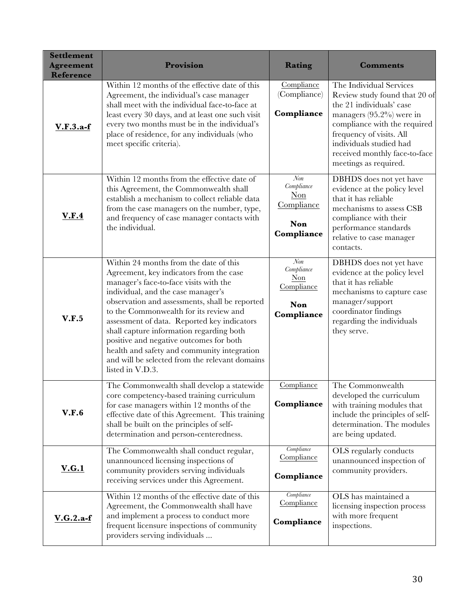| <b>Settlement</b><br><b>Agreement</b><br><b>Reference</b> | Provision                                                                                                                                                                                                                                                                                                                                                                                                                                                                                                                | Rating                                                                  | <b>Comments</b>                                                                                                                                                                                                                                                      |  |  |
|-----------------------------------------------------------|--------------------------------------------------------------------------------------------------------------------------------------------------------------------------------------------------------------------------------------------------------------------------------------------------------------------------------------------------------------------------------------------------------------------------------------------------------------------------------------------------------------------------|-------------------------------------------------------------------------|----------------------------------------------------------------------------------------------------------------------------------------------------------------------------------------------------------------------------------------------------------------------|--|--|
| $V.F.3.a-f$                                               | Within 12 months of the effective date of this<br>Agreement, the individual's case manager<br>shall meet with the individual face-to-face at<br>least every 30 days, and at least one such visit<br>every two months must be in the individual's<br>place of residence, for any individuals (who<br>meet specific criteria).                                                                                                                                                                                             | Compliance<br>(Compliance)<br>Compliance                                | The Individual Services<br>Review study found that 20 of<br>the 21 individuals' case<br>managers $(95.2\%)$ were in<br>compliance with the required<br>frequency of visits. All<br>individuals studied had<br>received monthly face-to-face<br>meetings as required. |  |  |
| V.F.4                                                     | Within 12 months from the effective date of<br>this Agreement, the Commonwealth shall<br>establish a mechanism to collect reliable data<br>from the case managers on the number, type,<br>and frequency of case manager contacts with<br>the individual.                                                                                                                                                                                                                                                                 | $N$ on<br>Compliance<br>$Non$<br>Compliance<br><b>Non</b><br>Compliance | DBHDS does not yet have<br>evidence at the policy level<br>that it has reliable<br>mechanisms to assess CSB<br>compliance with their<br>performance standards<br>relative to case manager<br>contacts.                                                               |  |  |
| V.F.5                                                     | Within 24 months from the date of this<br>Agreement, key indicators from the case<br>manager's face-to-face visits with the<br>individual, and the case manager's<br>observation and assessments, shall be reported<br>to the Commonwealth for its review and<br>assessment of data. Reported key indicators<br>shall capture information regarding both<br>positive and negative outcomes for both<br>health and safety and community integration<br>and will be selected from the relevant domains<br>listed in V.D.3. | Non<br>Compliance<br>Non<br>Compliance<br><b>Non</b><br>Compliance      | DBHDS does not yet have<br>evidence at the policy level<br>that it has reliable<br>mechanisms to capture case<br>manager/support<br>coordinator findings<br>regarding the individuals<br>they serve.                                                                 |  |  |
| V.F.6                                                     | The Commonwealth shall develop a statewide<br>core competency-based training curriculum<br>for case managers within 12 months of the<br>effective date of this Agreement. This training<br>shall be built on the principles of self-<br>determination and person-centeredness.                                                                                                                                                                                                                                           | Compliance<br>Compliance                                                | The Commonwealth<br>developed the curriculum<br>with training modules that<br>include the principles of self-<br>determination. The modules<br>are being updated.                                                                                                    |  |  |
| <u>V.G.1</u>                                              | The Commonwealth shall conduct regular,<br>unannounced licensing inspections of<br>community providers serving individuals<br>receiving services under this Agreement.                                                                                                                                                                                                                                                                                                                                                   | Compliance<br>Compliance<br>Compliance                                  | OLS regularly conducts<br>unannounced inspection of<br>community providers.                                                                                                                                                                                          |  |  |
| $V.G.2.a-f$                                               | Within 12 months of the effective date of this<br>Agreement, the Commonwealth shall have<br>and implement a process to conduct more<br>frequent licensure inspections of community<br>providers serving individuals                                                                                                                                                                                                                                                                                                      | Compliance<br>Compliance<br>Compliance                                  | OLS has maintained a<br>licensing inspection process<br>with more frequent<br>inspections.                                                                                                                                                                           |  |  |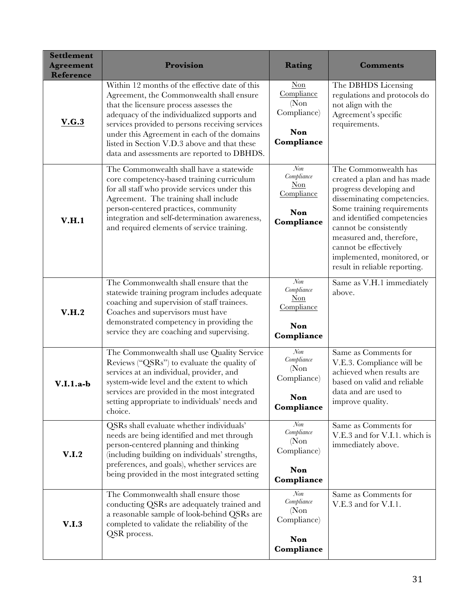| <b>Settlement</b><br><b>Agreement</b><br><b>Reference</b> | Provision                                                                                                                                                                                                                                                                                                                                                                             | Rating                                                                      | <b>Comments</b>                                                                                                                                                                                                                                                                                                          |  |  |
|-----------------------------------------------------------|---------------------------------------------------------------------------------------------------------------------------------------------------------------------------------------------------------------------------------------------------------------------------------------------------------------------------------------------------------------------------------------|-----------------------------------------------------------------------------|--------------------------------------------------------------------------------------------------------------------------------------------------------------------------------------------------------------------------------------------------------------------------------------------------------------------------|--|--|
| V.G.3                                                     | Within 12 months of the effective date of this<br>Agreement, the Commonwealth shall ensure<br>that the licensure process assesses the<br>adequacy of the individualized supports and<br>services provided to persons receiving services<br>under this Agreement in each of the domains<br>listed in Section V.D.3 above and that these<br>data and assessments are reported to DBHDS. | Non<br>Compliance<br>(Non)<br>Compliance)<br>Non<br>Compliance              | The DBHDS Licensing<br>regulations and protocols do<br>not align with the<br>Agreement's specific<br>requirements.                                                                                                                                                                                                       |  |  |
| V.H.1                                                     | The Commonwealth shall have a statewide<br>core competency-based training curriculum<br>for all staff who provide services under this<br>Agreement. The training shall include<br>person-centered practices, community<br>integration and self-determination awareness,<br>and required elements of service training.                                                                 | Non<br>Compliance<br>Non<br>Compliance<br>Non<br>Compliance                 | The Commonwealth has<br>created a plan and has made<br>progress developing and<br>disseminating competencies.<br>Some training requirements<br>and identified competencies<br>cannot be consistently<br>measured and, therefore,<br>cannot be effectively<br>implemented, monitored, or<br>result in reliable reporting. |  |  |
| V.H.2                                                     | The Commonwealth shall ensure that the<br>statewide training program includes adequate<br>coaching and supervision of staff trainees.<br>Coaches and supervisors must have<br>demonstrated competency in providing the<br>service they are coaching and supervising.                                                                                                                  | Non<br>Compliance<br>Non<br>Compliance<br>Non<br>Compliance                 | Same as V.H.1 immediately<br>above.                                                                                                                                                                                                                                                                                      |  |  |
| $V.I.1.a-b$                                               | The Commonwealth shall use Quality Service<br>Reviews ("QSRs") to evaluate the quality of<br>services at an individual, provider, and<br>system-wide level and the extent to which<br>services are provided in the most integrated<br>setting appropriate to individuals' needs and<br>choice.                                                                                        | $\mathcal{N}$ on<br>Compliance<br>(Non)<br>Compliance)<br>Non<br>Compliance | Same as Comments for<br>V.E.3. Compliance will be<br>achieved when results are<br>based on valid and reliable<br>data and are used to<br>improve quality.                                                                                                                                                                |  |  |
| V.I.2                                                     | QSRs shall evaluate whether individuals'<br>needs are being identified and met through<br>person-centered planning and thinking<br>(including building on individuals' strengths,<br>preferences, and goals), whether services are<br>being provided in the most integrated setting                                                                                                   | $\mathcal{N}$ on<br>Compliance<br>(Non)<br>Compliance)<br>Non<br>Compliance | Same as Comments for<br>V.E.3 and for V.I.1. which is<br>immediately above.                                                                                                                                                                                                                                              |  |  |
| V.I.3                                                     | The Commonwealth shall ensure those<br>conducting QSRs are adequately trained and<br>a reasonable sample of look-behind QSRs are<br>completed to validate the reliability of the<br>QSR process.                                                                                                                                                                                      | Non<br>Compliance<br>(Non)<br>Compliance)<br>Non<br>Compliance              | Same as Comments for<br>V.E.3 and for V.I.1.                                                                                                                                                                                                                                                                             |  |  |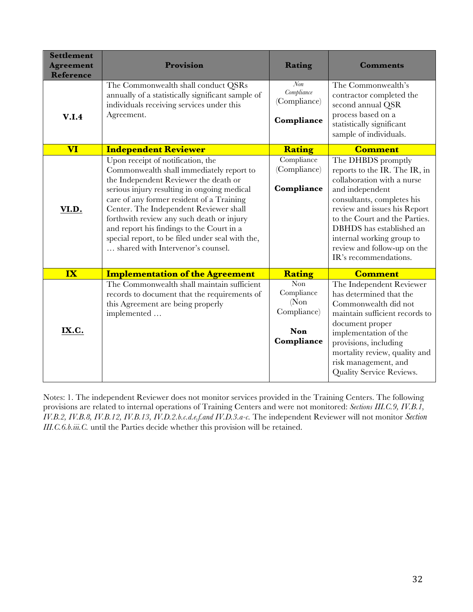| <b>Settlement</b><br><b>Agreement</b><br><b>Reference</b> | <b>Provision</b>                                                                                                                                                                                                                                                                                                                                                                                                                                | Rating                                                                | <b>Comments</b>                                                                                                                                                                                                                                                                                                      |
|-----------------------------------------------------------|-------------------------------------------------------------------------------------------------------------------------------------------------------------------------------------------------------------------------------------------------------------------------------------------------------------------------------------------------------------------------------------------------------------------------------------------------|-----------------------------------------------------------------------|----------------------------------------------------------------------------------------------------------------------------------------------------------------------------------------------------------------------------------------------------------------------------------------------------------------------|
| V.I.4                                                     | The Commonwealth shall conduct QSRs<br>annually of a statistically significant sample of<br>individuals receiving services under this<br>Agreement.                                                                                                                                                                                                                                                                                             | $\mathcal{N}$ on<br>Compliance<br>(Compliance)<br>Compliance          | The Commonwealth's<br>contractor completed the<br>second annual QSR<br>process based on a<br>statistically significant<br>sample of individuals.                                                                                                                                                                     |
| <b>VI</b>                                                 | <b>Independent Reviewer</b>                                                                                                                                                                                                                                                                                                                                                                                                                     | <b>Rating</b>                                                         | <b>Comment</b>                                                                                                                                                                                                                                                                                                       |
| VI.D.                                                     | Upon receipt of notification, the<br>Commonwealth shall immediately report to<br>the Independent Reviewer the death or<br>serious injury resulting in ongoing medical<br>care of any former resident of a Training<br>Center. The Independent Reviewer shall<br>forthwith review any such death or injury<br>and report his findings to the Court in a<br>special report, to be filed under seal with the,<br>shared with Intervenor's counsel. | Compliance<br>(Compliance)<br>Compliance                              | The DHBDS promptly<br>reports to the IR. The IR, in<br>collaboration with a nurse<br>and independent<br>consultants, completes his<br>review and issues his Report<br>to the Court and the Parties.<br>DBHDS has established an<br>internal working group to<br>review and follow-up on the<br>IR's recommendations. |
| IX                                                        | <b>Implementation of the Agreement</b>                                                                                                                                                                                                                                                                                                                                                                                                          | Rating                                                                | <b>Comment</b>                                                                                                                                                                                                                                                                                                       |
| IX.C.                                                     | The Commonwealth shall maintain sufficient<br>records to document that the requirements of<br>this Agreement are being properly<br>implemented                                                                                                                                                                                                                                                                                                  | <b>Non</b><br>Compliance<br>(Non)<br>Compliance)<br>Non<br>Compliance | The Independent Reviewer<br>has determined that the<br>Commonwealth did not<br>maintain sufficient records to<br>document proper<br>implementation of the<br>provisions, including<br>mortality review, quality and<br>risk management, and<br>Quality Service Reviews.                                              |

Notes: 1. The independent Reviewer does not monitor services provided in the Training Centers. The following provisions are related to internal operations of Training Centers and were not monitored: *Sections III.C.9, IV.B.1, IV.B.2, IV.B.8, IV.B.12, IV.B.13, IV.D.2.b.c.d.e.f.and IV.D.3.a-c.* The independent Reviewer will not monitor *Section III.C.6.b.iii.C.* until the Parties decide whether this provision will be retained.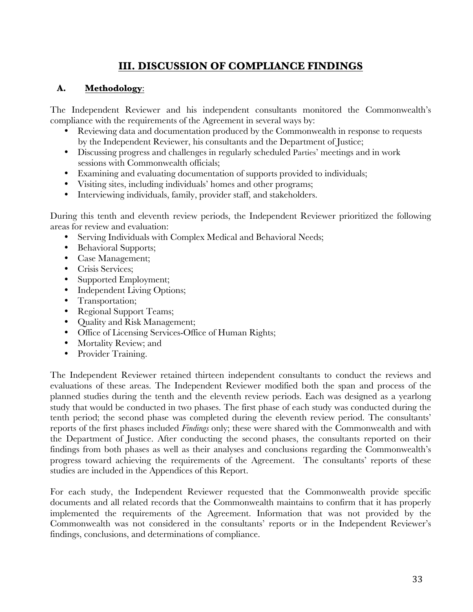## **III. DISCUSSION OF COMPLIANCE FINDINGS**

## **A. Methodology**:

The Independent Reviewer and his independent consultants monitored the Commonwealth's compliance with the requirements of the Agreement in several ways by:

- Reviewing data and documentation produced by the Commonwealth in response to requests by the Independent Reviewer, his consultants and the Department of Justice;
- Discussing progress and challenges in regularly scheduled Parties' meetings and in work sessions with Commonwealth officials;
- Examining and evaluating documentation of supports provided to individuals;
- Visiting sites, including individuals' homes and other programs;
- Interviewing individuals, family, provider staff, and stakeholders.

During this tenth and eleventh review periods, the Independent Reviewer prioritized the following areas for review and evaluation:

- Serving Individuals with Complex Medical and Behavioral Needs;
- Behavioral Supports;
- Case Management;
- Crisis Services;
- Supported Employment;
- Independent Living Options;
- Transportation;
- Regional Support Teams;
- Quality and Risk Management;
- Office of Licensing Services-Office of Human Rights;
- Mortality Review; and
- Provider Training.

The Independent Reviewer retained thirteen independent consultants to conduct the reviews and evaluations of these areas. The Independent Reviewer modified both the span and process of the planned studies during the tenth and the eleventh review periods. Each was designed as a yearlong study that would be conducted in two phases. The first phase of each study was conducted during the tenth period; the second phase was completed during the eleventh review period. The consultants' reports of the first phases included *Findings* only; these were shared with the Commonwealth and with the Department of Justice. After conducting the second phases, the consultants reported on their findings from both phases as well as their analyses and conclusions regarding the Commonwealth's progress toward achieving the requirements of the Agreement. The consultants' reports of these studies are included in the Appendices of this Report.

For each study, the Independent Reviewer requested that the Commonwealth provide specific documents and all related records that the Commonwealth maintains to confirm that it has properly implemented the requirements of the Agreement. Information that was not provided by the Commonwealth was not considered in the consultants' reports or in the Independent Reviewer's findings, conclusions, and determinations of compliance.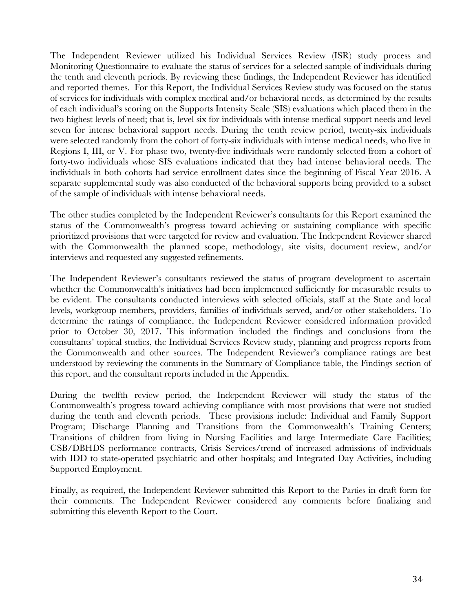The Independent Reviewer utilized his Individual Services Review (ISR) study process and Monitoring Questionnaire to evaluate the status of services for a selected sample of individuals during the tenth and eleventh periods. By reviewing these findings, the Independent Reviewer has identified and reported themes.For this Report, the Individual Services Review study was focused on the status of services for individuals with complex medical and/or behavioral needs, as determined by the results of each individual's scoring on the Supports Intensity Scale (SIS) evaluations which placed them in the two highest levels of need; that is, level six for individuals with intense medical support needs and level seven for intense behavioral support needs. During the tenth review period, twenty-six individuals were selected randomly from the cohort of forty-six individuals with intense medical needs, who live in Regions I, III, or V. For phase two, twenty-five individuals were randomly selected from a cohort of forty-two individuals whose SIS evaluations indicated that they had intense behavioral needs. The individuals in both cohorts had service enrollment dates since the beginning of Fiscal Year 2016. A separate supplemental study was also conducted of the behavioral supports being provided to a subset of the sample of individuals with intense behavioral needs.

The other studies completed by the Independent Reviewer's consultants for this Report examined the status of the Commonwealth's progress toward achieving or sustaining compliance with specific prioritized provisions that were targeted for review and evaluation. The Independent Reviewer shared with the Commonwealth the planned scope, methodology, site visits, document review, and/or interviews and requested any suggested refinements.

The Independent Reviewer's consultants reviewed the status of program development to ascertain whether the Commonwealth's initiatives had been implemented sufficiently for measurable results to be evident. The consultants conducted interviews with selected officials, staff at the State and local levels, workgroup members, providers, families of individuals served, and/or other stakeholders. To determine the ratings of compliance, the Independent Reviewer considered information provided prior to October 30, 2017. This information included the findings and conclusions from the consultants' topical studies, the Individual Services Review study, planning and progress reports from the Commonwealth and other sources. The Independent Reviewer's compliance ratings are best understood by reviewing the comments in the Summary of Compliance table, the Findings section of this report, and the consultant reports included in the Appendix.

During the twelfth review period, the Independent Reviewer will study the status of the Commonwealth's progress toward achieving compliance with most provisions that were not studied during the tenth and eleventh periods. These provisions include: Individual and Family Support Program; Discharge Planning and Transitions from the Commonwealth's Training Centers; Transitions of children from living in Nursing Facilities and large Intermediate Care Facilities; CSB/DBHDS performance contracts, Crisis Services/trend of increased admissions of individuals with IDD to state-operated psychiatric and other hospitals; and Integrated Day Activities, including Supported Employment.

Finally, as required, the Independent Reviewer submitted this Report to the Parties in draft form for their comments. The Independent Reviewer considered any comments before finalizing and submitting this eleventh Report to the Court.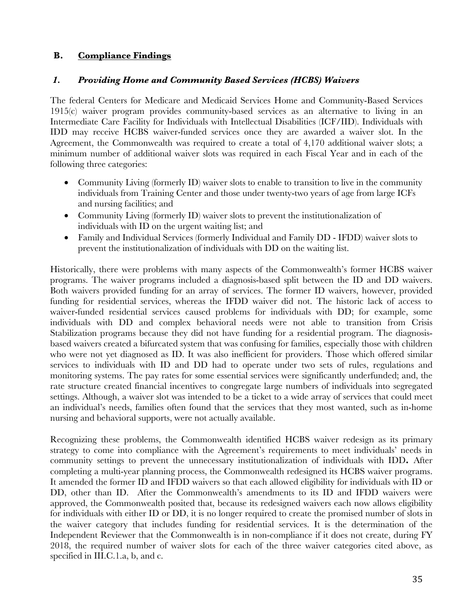## **B. Compliance Findings**

#### *1. Providing Home and Community Based Services (HCBS) Waivers*

The federal Centers for Medicare and Medicaid Services Home and Community-Based Services 1915(c) waiver program provides community-based services as an alternative to living in an Intermediate Care Facility for Individuals with Intellectual Disabilities (ICF/IID). Individuals with IDD may receive HCBS waiver-funded services once they are awarded a waiver slot. In the Agreement, the Commonwealth was required to create a total of 4,170 additional waiver slots; a minimum number of additional waiver slots was required in each Fiscal Year and in each of the following three categories:

- Community Living (formerly ID) waiver slots to enable to transition to live in the community individuals from Training Center and those under twenty-two years of age from large ICFs and nursing facilities; and
- Community Living (formerly ID) waiver slots to prevent the institutionalization of individuals with ID on the urgent waiting list; and
- Family and Individual Services (formerly Individual and Family DD IFDD) waiver slots to prevent the institutionalization of individuals with DD on the waiting list.

Historically, there were problems with many aspects of the Commonwealth's former HCBS waiver programs. The waiver programs included a diagnosis-based split between the ID and DD waivers. Both waivers provided funding for an array of services. The former ID waivers, however, provided funding for residential services, whereas the IFDD waiver did not. The historic lack of access to waiver-funded residential services caused problems for individuals with DD; for example, some individuals with DD and complex behavioral needs were not able to transition from Crisis Stabilization programs because they did not have funding for a residential program. The diagnosisbased waivers created a bifurcated system that was confusing for families, especially those with children who were not yet diagnosed as ID. It was also inefficient for providers. Those which offered similar services to individuals with ID and DD had to operate under two sets of rules, regulations and monitoring systems. The pay rates for some essential services were significantly underfunded; and, the rate structure created financial incentives to congregate large numbers of individuals into segregated settings. Although, a waiver slot was intended to be a ticket to a wide array of services that could meet an individual's needs, families often found that the services that they most wanted, such as in-home nursing and behavioral supports, were not actually available.

Recognizing these problems, the Commonwealth identified HCBS waiver redesign as its primary strategy to come into compliance with the Agreement's requirements to meet individuals' needs in community settings to prevent the unnecessary institutionalization of individuals with IDD**.** After completing a multi-year planning process, the Commonwealth redesigned its HCBS waiver programs. It amended the former ID and IFDD waivers so that each allowed eligibility for individuals with ID or DD, other than ID. After the Commonwealth's amendments to its ID and IFDD waivers were approved, the Commonwealth posited that, because its redesigned waivers each now allows eligibility for individuals with either ID or DD, it is no longer required to create the promised number of slots in the waiver category that includes funding for residential services. It is the determination of the Independent Reviewer that the Commonwealth is in non-compliance if it does not create, during FY 2018, the required number of waiver slots for each of the three waiver categories cited above, as specified in III.C.1.a, b, and c.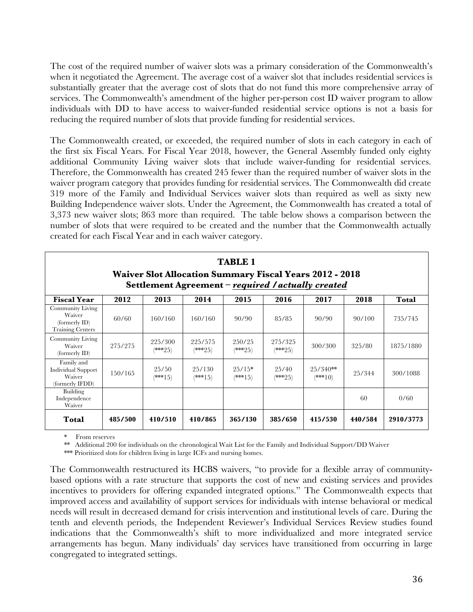The cost of the required number of waiver slots was a primary consideration of the Commonwealth's when it negotiated the Agreement. The average cost of a waiver slot that includes residential services is substantially greater that the average cost of slots that do not fund this more comprehensive array of services. The Commonwealth's amendment of the higher per-person cost ID waiver program to allow individuals with DD to have access to waiver-funded residential service options is not a basis for reducing the required number of slots that provide funding for residential services.

The Commonwealth created, or exceeded, the required number of slots in each category in each of the first six Fiscal Years. For Fiscal Year 2018, however, the General Assembly funded only eighty additional Community Living waiver slots that include waiver-funding for residential services. Therefore, the Commonwealth has created 245 fewer than the required number of waiver slots in the waiver program category that provides funding for residential services. The Commonwealth did create 319 more of the Family and Individual Services waiver slots than required as well as sixty new Building Independence waiver slots. Under the Agreement, the Commonwealth has created a total of 3,373 new waiver slots; 863 more than required. The table below shows a comparison between the number of slots that were required to be created and the number that the Commonwealth actually created for each Fiscal Year and in each waiver category.

| <b>TABLE 1</b><br><b>Waiver Slot Allocation Summary Fiscal Years 2012 - 2018</b><br>Settlement Agreement - required / actually created |         |                      |                      |                       |                      |                         |         |           |
|----------------------------------------------------------------------------------------------------------------------------------------|---------|----------------------|----------------------|-----------------------|----------------------|-------------------------|---------|-----------|
| <b>Fiscal Year</b>                                                                                                                     | 2012    | 2013                 | 2014                 | 2015                  | 2016                 | 2017                    | 2018    | Total     |
| Community Living<br>Waiver<br>(formerly ID)<br><b>Training Centers</b>                                                                 | 60/60   | 160/160              | 160/160              | 90/90                 | 85/85                | 90/90                   | 90/100  | 735/745   |
| Community Living<br>Waiver<br>$\rm (formerly ID)$                                                                                      | 275/275 | 225/300<br>$(***25)$ | 225/575<br>$(***25)$ | 250/25<br>$(***25)$   | 275/325<br>$(***25)$ | 300/300                 | 325/80  | 1875/1880 |
| Family and<br><b>Individual Support</b><br>Waiver<br>(formerly IFDD)                                                                   | 150/165 | 25/50<br>$(***15)$   | 25/130<br>$(***15)$  | $25/15*$<br>$(***15)$ | 25/40<br>$(***25)$   | $25/340**$<br>$(***10)$ | 25/344  | 300/1088  |
| Building<br>Independence<br>Waiver                                                                                                     |         |                      |                      |                       |                      |                         | 60      | 0/60      |
| Total                                                                                                                                  | 485/500 | 410/510              | 410/865              | 365/130               | 385/650              | 415/530                 | 440/584 | 2910/3773 |

\* From reserves

\*\* Additional 200 for individuals on the chronological Wait List for the Family and Individual Support/DD Waiver

\*\*\* Prioritized slots for children living in large ICFs and nursing homes.

The Commonwealth restructured its HCBS waivers, "to provide for a flexible array of communitybased options with a rate structure that supports the cost of new and existing services and provides incentives to providers for offering expanded integrated options." The Commonwealth expects that improved access and availability of support services for individuals with intense behavioral or medical needs will result in decreased demand for crisis intervention and institutional levels of care. During the tenth and eleventh periods, the Independent Reviewer's Individual Services Review studies found indications that the Commonwealth's shift to more individualized and more integrated service arrangements has begun. Many individuals' day services have transitioned from occurring in large congregated to integrated settings.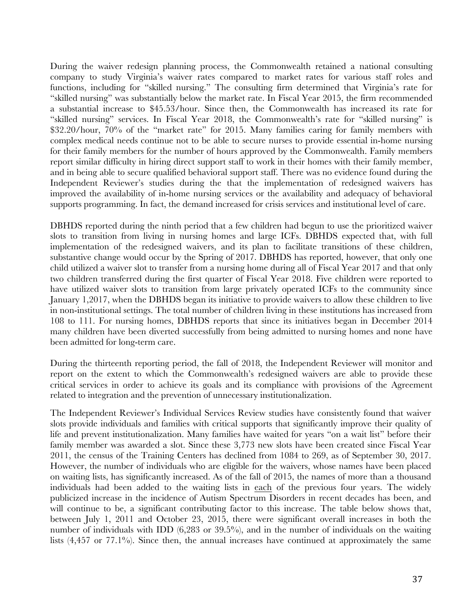During the waiver redesign planning process, the Commonwealth retained a national consulting company to study Virginia's waiver rates compared to market rates for various staff roles and functions, including for "skilled nursing." The consulting firm determined that Virginia's rate for "skilled nursing" was substantially below the market rate. In Fiscal Year 2015, the firm recommended a substantial increase to \$45.53/hour. Since then, the Commonwealth has increased its rate for "skilled nursing" services. In Fiscal Year 2018, the Commonwealth's rate for "skilled nursing" is \$32.20/hour, 70% of the "market rate" for 2015. Many families caring for family members with complex medical needs continue not to be able to secure nurses to provide essential in-home nursing for their family members for the number of hours approved by the Commonwealth. Family members report similar difficulty in hiring direct support staff to work in their homes with their family member, and in being able to secure qualified behavioral support staff. There was no evidence found during the Independent Reviewer's studies during the that the implementation of redesigned waivers has improved the availability of in-home nursing services or the availability and adequacy of behavioral supports programming. In fact, the demand increased for crisis services and institutional level of care.

DBHDS reported during the ninth period that a few children had begun to use the prioritized waiver slots to transition from living in nursing homes and large ICFs. DBHDS expected that, with full implementation of the redesigned waivers, and its plan to facilitate transitions of these children, substantive change would occur by the Spring of 2017. DBHDS has reported, however, that only one child utilized a waiver slot to transfer from a nursing home during all of Fiscal Year 2017 and that only two children transferred during the first quarter of Fiscal Year 2018. Five children were reported to have utilized waiver slots to transition from large privately operated ICFs to the community since January 1,2017, when the DBHDS began its initiative to provide waivers to allow these children to live in non-institutional settings. The total number of children living in these institutions has increased from 108 to 111. For nursing homes, DBHDS reports that since its initiatives began in December 2014 many children have been diverted successfully from being admitted to nursing homes and none have been admitted for long-term care.

During the thirteenth reporting period, the fall of 2018, the Independent Reviewer will monitor and report on the extent to which the Commonwealth's redesigned waivers are able to provide these critical services in order to achieve its goals and its compliance with provisions of the Agreement related to integration and the prevention of unnecessary institutionalization.

The Independent Reviewer's Individual Services Review studies have consistently found that waiver slots provide individuals and families with critical supports that significantly improve their quality of life and prevent institutionalization. Many families have waited for years "on a wait list" before their family member was awarded a slot. Since these 3,773 new slots have been created since Fiscal Year 2011, the census of the Training Centers has declined from 1084 to 269, as of September 30, 2017. However, the number of individuals who are eligible for the waivers, whose names have been placed on waiting lists, has significantly increased. As of the fall of 2015, the names of more than a thousand individuals had been added to the waiting lists in each of the previous four years. The widely publicized increase in the incidence of Autism Spectrum Disorders in recent decades has been, and will continue to be, a significant contributing factor to this increase. The table below shows that, between July 1, 2011 and October 23, 2015, there were significant overall increases in both the number of individuals with IDD (6,283 or 39.5%), and in the number of individuals on the waiting lists  $(4,457)$  or  $77.1\%$ ). Since then, the annual increases have continued at approximately the same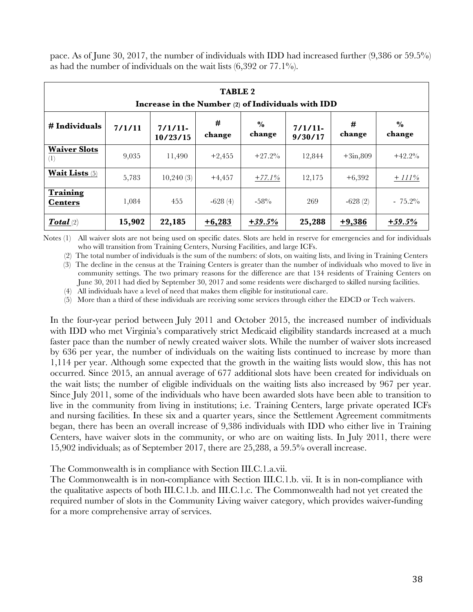pace. As of June 30, 2017, the number of individuals with IDD had increased further (9,386 or 59.5%) as had the number of individuals on the wait lists  $(6,392 \text{ or } 77.1\%)$ .

| <b>TABLE 2</b><br>Increase in the Number (2) of Individuals with IDD |                                                                                                                      |           |           |          |        |            |           |  |  |  |
|----------------------------------------------------------------------|----------------------------------------------------------------------------------------------------------------------|-----------|-----------|----------|--------|------------|-----------|--|--|--|
| # Individuals                                                        | #<br>#<br>$\frac{6}{9}$<br>7/1/11<br>7/1/11<br>7/1/11<br>change<br>change<br>change<br>change<br>10/23/15<br>9/30/17 |           |           |          |        |            |           |  |  |  |
| <b>Waiver Slots</b><br>(1)                                           | 9,035                                                                                                                | 11,490    | $+2,455$  | $+27.2%$ | 12,844 | $+3in,809$ | $+42.2%$  |  |  |  |
| <b>Wait Lists</b> (5)                                                | 5,783                                                                                                                | 10,240(3) | $+4,457$  | $+77.1%$ | 12,175 | $+6,392$   | $+ 111\%$ |  |  |  |
| Training<br><b>Centers</b>                                           | 1,084                                                                                                                | 455       | $-628(4)$ | $-58%$   | 269    | $-628(2)$  | $-75.2\%$ |  |  |  |
| Total(2)                                                             | 15,902                                                                                                               | 22,185    | $+6,283$  | $+39.5%$ | 25,288 | $+9,386$   | $+59.5%$  |  |  |  |

Notes (1) All waiver slots are not being used on specific dates. Slots are held in reserve for emergencies and for individuals who will transition from Training Centers, Nursing Facilities, and large ICFs.

(2) The total number of individuals is the sum of the numbers: of slots, on waiting lists, and living in Training Centers

 (3) The decline in the census at the Training Centers is greater than the number of individuals who moved to live in community settings. The two primary reasons for the difference are that 134 residents of Training Centers on June 30, 2011 had died by September 30, 2017 and some residents were discharged to skilled nursing facilities.

(4) All individuals have a level of need that makes them eligible for institutional care.

(5) More than a third of these individuals are receiving some services through either the EDCD or Tech waivers.

In the four-year period between July 2011 and October 2015, the increased number of individuals with IDD who met Virginia's comparatively strict Medicaid eligibility standards increased at a much faster pace than the number of newly created waiver slots. While the number of waiver slots increased by 636 per year, the number of individuals on the waiting lists continued to increase by more than 1,114 per year. Although some expected that the growth in the waiting lists would slow, this has not occurred. Since 2015, an annual average of 677 additional slots have been created for individuals on the wait lists; the number of eligible individuals on the waiting lists also increased by 967 per year. Since July 2011, some of the individuals who have been awarded slots have been able to transition to live in the community from living in institutions; i.e. Training Centers, large private operated ICFs and nursing facilities. In these six and a quarter years, since the Settlement Agreement commitments began, there has been an overall increase of 9,386 individuals with IDD who either live in Training Centers, have waiver slots in the community, or who are on waiting lists. In July 2011, there were 15,902 individuals; as of September 2017, there are 25,288, a 59.5% overall increase.

The Commonwealth is in compliance with Section III.C.1.a.vii.

The Commonwealth is in non-compliance with Section III.C.1.b. vii. It is in non-compliance with the qualitative aspects of both III.C.1.b. and III.C.1.c. The Commonwealth had not yet created the required number of slots in the Community Living waiver category, which provides waiver-funding for a more comprehensive array of services.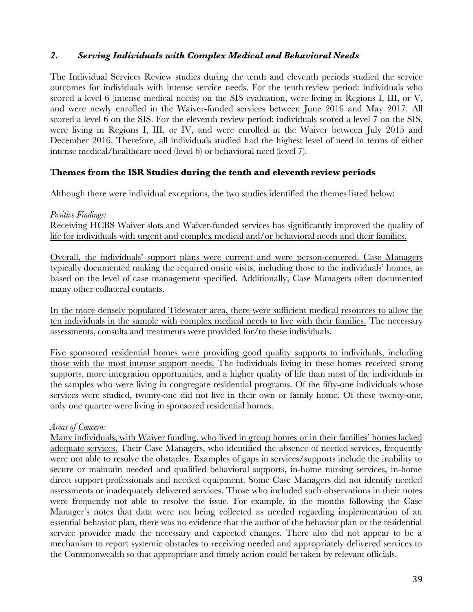#### *2. Serving Individuals with Complex Medical and Behavioral Needs*

The Individual Services Review studies during the tenth and eleventh periods studied the service outcomes for individuals with intense service needs. For the tenth review period: individuals who scored a level 6 (intense medical needs) on the SIS evaluation, were living in Regions I, III, or V, and were newly enrolled in the Waiver-funded services between June 2016 and May 2017. All scored a level 6 on the SIS. For the eleventh review period: individuals scored a level 7 on the SIS, were living in Regions I, III, or IV, and were enrolled in the Waiver between July 2015 and December 2016. Therefore, all individuals studied had the highest level of need in terms of either intense medical/healthcare need (level 6) or behavioral need (level 7).

#### **Themes from the ISR Studies during the tenth and eleventh review periods**

Although there were individual exceptions, the two studies identified the themes listed below:

*Positive Findings:* Receiving HCBS Waiver slots and Waiver-funded services has significantly improved the quality of life for individuals with urgent and complex medical and/or behavioral needs and their families.

Overall, the individuals' support plans were current and were person-centered. Case Managers typically documented making the required onsite visits, including those to the individuals' homes, as based on the level of case management specified. Additionally, Case Managers often documented many other collateral contacts.

In the more densely populated Tidewater area, there were sufficient medical resources to allow the ten individuals in the sample with complex medical needs to live with their families. The necessary assessments, consults and treatments were provided for/to these individuals.

Five sponsored residential homes were providing good quality supports to individuals, including those with the most intense support needs. The individuals living in these homes received strong supports, more integration opportunities, and a higher quality of life than most of the individuals in the samples who were living in congregate residential programs. Of the fifty-one individuals whose services were studied, twenty-one did not live in their own or family home. Of these twenty-one, only one quarter were living in sponsored residential homes.

#### *Areas of Concern:*

Many individuals, with Waiver funding, who lived in group homes or in their families' homes lacked adequate services. Their Case Managers, who identified the absence of needed services, frequently were not able to resolve the obstacles. Examples of gaps in services/supports include the inability to secure or maintain needed and qualified behavioral supports, in-home nursing services, in-home direct support professionals and needed equipment. Some Case Managers did not identify needed assessments or inadequately delivered services. Those who included such observations in their notes were frequently not able to resolve the issue. For example, in the months following the Case Manager's notes that data were not being collected as needed regarding implementation of an essential behavior plan, there was no evidence that the author of the behavior plan or the residential service provider made the necessary and expected changes. There also did not appear to be a mechanism to report systemic obstacles to receiving needed and appropriately delivered services to the Commonwealth so that appropriate and timely action could be taken by relevant officials.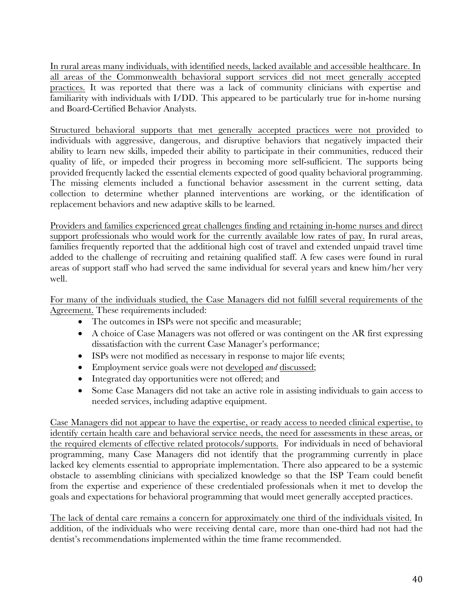In rural areas many individuals, with identified needs, lacked available and accessible healthcare. In all areas of the Commonwealth behavioral support services did not meet generally accepted practices. It was reported that there was a lack of community clinicians with expertise and familiarity with individuals with I/DD. This appeared to be particularly true for in-home nursing and Board-Certified Behavior Analysts.

Structured behavioral supports that met generally accepted practices were not provided to individuals with aggressive, dangerous, and disruptive behaviors that negatively impacted their ability to learn new skills, impeded their ability to participate in their communities, reduced their quality of life, or impeded their progress in becoming more self-sufficient. The supports being provided frequently lacked the essential elements expected of good quality behavioral programming. The missing elements included a functional behavior assessment in the current setting, data collection to determine whether planned interventions are working, or the identification of replacement behaviors and new adaptive skills to be learned.

Providers and families experienced great challenges finding and retaining in-home nurses and direct support professionals who would work for the currently available low rates of pay. In rural areas, families frequently reported that the additional high cost of travel and extended unpaid travel time added to the challenge of recruiting and retaining qualified staff. A few cases were found in rural areas of support staff who had served the same individual for several years and knew him/her very well.

For many of the individuals studied, the Case Managers did not fulfill several requirements of the Agreement. These requirements included:

- The outcomes in ISPs were not specific and measurable;
- A choice of Case Managers was not offered or was contingent on the AR first expressing dissatisfaction with the current Case Manager's performance;
- ISPs were not modified as necessary in response to major life events;
- Employment service goals were not developed *and* discussed;
- Integrated day opportunities were not offered; and
- Some Case Managers did not take an active role in assisting individuals to gain access to needed services, including adaptive equipment.

Case Managers did not appear to have the expertise, or ready access to needed clinical expertise, to identify certain health care and behavioral service needs, the need for assessments in these areas, or the required elements of effective related protocols/supports. For individuals in need of behavioral programming, many Case Managers did not identify that the programming currently in place lacked key elements essential to appropriate implementation. There also appeared to be a systemic obstacle to assembling clinicians with specialized knowledge so that the ISP Team could benefit from the expertise and experience of these credentialed professionals when it met to develop the goals and expectations for behavioral programming that would meet generally accepted practices.

The lack of dental care remains a concern for approximately one third of the individuals visited. In addition, of the individuals who were receiving dental care, more than one-third had not had the dentist's recommendations implemented within the time frame recommended.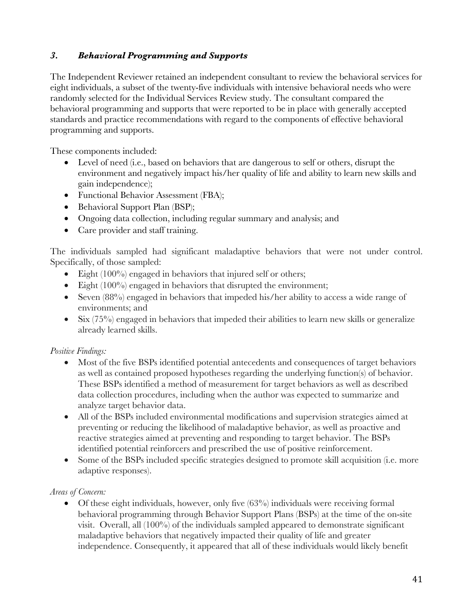## *3. Behavioral Programming and Supports*

The Independent Reviewer retained an independent consultant to review the behavioral services for eight individuals, a subset of the twenty-five individuals with intensive behavioral needs who were randomly selected for the Individual Services Review study. The consultant compared the behavioral programming and supports that were reported to be in place with generally accepted standards and practice recommendations with regard to the components of effective behavioral programming and supports.

These components included:

- Level of need (i.e., based on behaviors that are dangerous to self or others, disrupt the environment and negatively impact his/her quality of life and ability to learn new skills and gain independence);
- Functional Behavior Assessment (FBA);
- Behavioral Support Plan (BSP);
- Ongoing data collection, including regular summary and analysis; and
- Care provider and staff training.

The individuals sampled had significant maladaptive behaviors that were not under control. Specifically, of those sampled:

- Eight (100%) engaged in behaviors that injured self or others;
- Eight  $(100\%)$  engaged in behaviors that disrupted the environment;
- Seven (88%) engaged in behaviors that impeded his/her ability to access a wide range of environments; and
- Six (75%) engaged in behaviors that impeded their abilities to learn new skills or generalize already learned skills.

# *Positive Findings:*

- Most of the five BSPs identified potential antecedents and consequences of target behaviors as well as contained proposed hypotheses regarding the underlying function(s) of behavior. These BSPs identified a method of measurement for target behaviors as well as described data collection procedures, including when the author was expected to summarize and analyze target behavior data.
- All of the BSPs included environmental modifications and supervision strategies aimed at preventing or reducing the likelihood of maladaptive behavior, as well as proactive and reactive strategies aimed at preventing and responding to target behavior. The BSPs identified potential reinforcers and prescribed the use of positive reinforcement.
- Some of the BSPs included specific strategies designed to promote skill acquisition (i.e. more adaptive responses).

### *Areas of Concern:*

• Of these eight individuals, however, only five (63%) individuals were receiving formal behavioral programming through Behavior Support Plans (BSPs) at the time of the on-site visit. Overall, all (100%) of the individuals sampled appeared to demonstrate significant maladaptive behaviors that negatively impacted their quality of life and greater independence. Consequently, it appeared that all of these individuals would likely benefit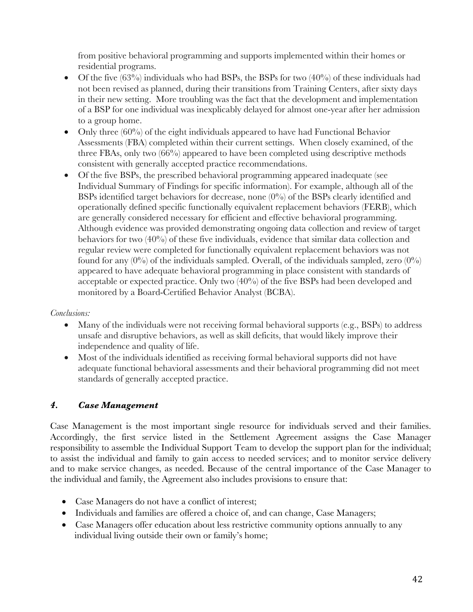from positive behavioral programming and supports implemented within their homes or residential programs.

- Of the five  $(63%)$  individuals who had BSPs, the BSPs for two  $(40%)$  of these individuals had not been revised as planned, during their transitions from Training Centers, after sixty days in their new setting. More troubling was the fact that the development and implementation of a BSP for one individual was inexplicably delayed for almost one-year after her admission to a group home.
- Only three (60%) of the eight individuals appeared to have had Functional Behavior Assessments (FBA) completed within their current settings. When closely examined, of the three FBAs, only two (66%) appeared to have been completed using descriptive methods consistent with generally accepted practice recommendations.
- Of the five BSPs, the prescribed behavioral programming appeared inadequate (see Individual Summary of Findings for specific information). For example, although all of the BSPs identified target behaviors for decrease, none (0%) of the BSPs clearly identified and operationally defined specific functionally equivalent replacement behaviors (FERB), which are generally considered necessary for efficient and effective behavioral programming. Although evidence was provided demonstrating ongoing data collection and review of target behaviors for two (40%) of these five individuals, evidence that similar data collection and regular review were completed for functionally equivalent replacement behaviors was not found for any  $(0\%)$  of the individuals sampled. Overall, of the individuals sampled, zero  $(0\%)$ appeared to have adequate behavioral programming in place consistent with standards of acceptable or expected practice. Only two (40%) of the five BSPs had been developed and monitored by a Board-Certified Behavior Analyst (BCBA).

### *Conclusions:*

- Many of the individuals were not receiving formal behavioral supports (e.g., BSPs) to address unsafe and disruptive behaviors, as well as skill deficits, that would likely improve their independence and quality of life.
- Most of the individuals identified as receiving formal behavioral supports did not have adequate functional behavioral assessments and their behavioral programming did not meet standards of generally accepted practice.

# *4. Case Management*

Case Management is the most important single resource for individuals served and their families. Accordingly, the first service listed in the Settlement Agreement assigns the Case Manager responsibility to assemble the Individual Support Team to develop the support plan for the individual; to assist the individual and family to gain access to needed services; and to monitor service delivery and to make service changes, as needed. Because of the central importance of the Case Manager to the individual and family, the Agreement also includes provisions to ensure that:

- Case Managers do not have a conflict of interest;
- Individuals and families are offered a choice of, and can change, Case Managers;
- Case Managers offer education about less restrictive community options annually to any individual living outside their own or family's home;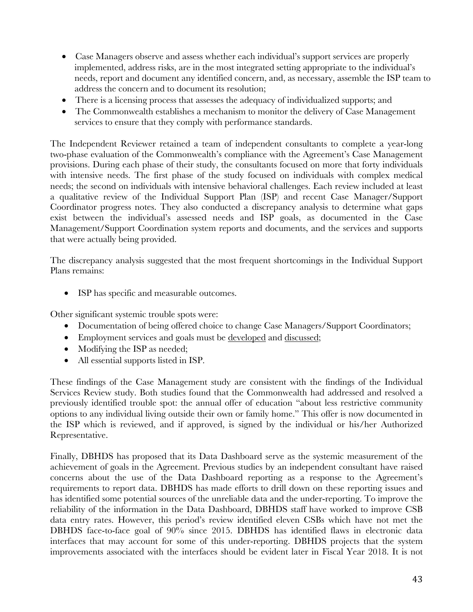- Case Managers observe and assess whether each individual's support services are properly implemented, address risks, are in the most integrated setting appropriate to the individual's needs, report and document any identified concern, and, as necessary, assemble the ISP team to address the concern and to document its resolution;
- There is a licensing process that assesses the adequacy of individualized supports; and
- The Commonwealth establishes a mechanism to monitor the delivery of Case Management services to ensure that they comply with performance standards.

The Independent Reviewer retained a team of independent consultants to complete a year-long two-phase evaluation of the Commonwealth's compliance with the Agreement's Case Management provisions. During each phase of their study, the consultants focused on more that forty individuals with intensive needs. The first phase of the study focused on individuals with complex medical needs; the second on individuals with intensive behavioral challenges. Each review included at least a qualitative review of the Individual Support Plan (ISP) and recent Case Manager/Support Coordinator progress notes. They also conducted a discrepancy analysis to determine what gaps exist between the individual's assessed needs and ISP goals, as documented in the Case Management/Support Coordination system reports and documents, and the services and supports that were actually being provided.

The discrepancy analysis suggested that the most frequent shortcomings in the Individual Support Plans remains:

• ISP has specific and measurable outcomes.

Other significant systemic trouble spots were:

- Documentation of being offered choice to change Case Managers/Support Coordinators;
- Employment services and goals must be developed and discussed;
- Modifying the ISP as needed;
- All essential supports listed in ISP.

These findings of the Case Management study are consistent with the findings of the Individual Services Review study. Both studies found that the Commonwealth had addressed and resolved a previously identified trouble spot: the annual offer of education "about less restrictive community options to any individual living outside their own or family home." This offer is now documented in the ISP which is reviewed, and if approved, is signed by the individual or his/her Authorized Representative.

Finally, DBHDS has proposed that its Data Dashboard serve as the systemic measurement of the achievement of goals in the Agreement. Previous studies by an independent consultant have raised concerns about the use of the Data Dashboard reporting as a response to the Agreement's requirements to report data. DBHDS has made efforts to drill down on these reporting issues and has identified some potential sources of the unreliable data and the under-reporting. To improve the reliability of the information in the Data Dashboard, DBHDS staff have worked to improve CSB data entry rates. However, this period's review identified eleven CSBs which have not met the DBHDS face-to-face goal of 90% since 2015. DBHDS has identified flaws in electronic data interfaces that may account for some of this under-reporting. DBHDS projects that the system improvements associated with the interfaces should be evident later in Fiscal Year 2018. It is not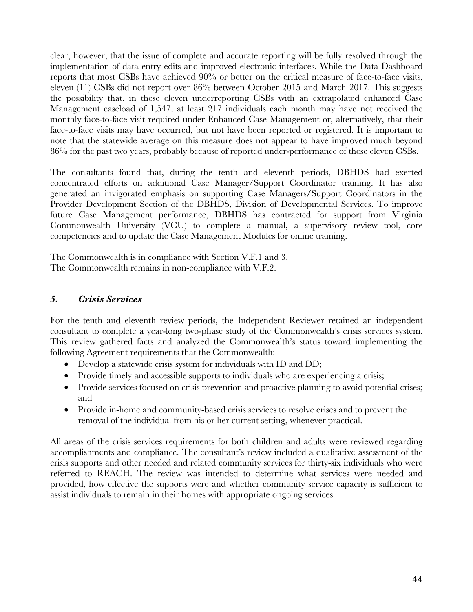clear, however, that the issue of complete and accurate reporting will be fully resolved through the implementation of data entry edits and improved electronic interfaces. While the Data Dashboard reports that most CSBs have achieved 90% or better on the critical measure of face-to-face visits, eleven (11) CSBs did not report over 86% between October 2015 and March 2017. This suggests the possibility that, in these eleven underreporting CSBs with an extrapolated enhanced Case Management caseload of 1,547, at least 217 individuals each month may have not received the monthly face-to-face visit required under Enhanced Case Management or, alternatively, that their face-to-face visits may have occurred, but not have been reported or registered. It is important to note that the statewide average on this measure does not appear to have improved much beyond 86% for the past two years, probably because of reported under-performance of these eleven CSBs.

The consultants found that, during the tenth and eleventh periods, DBHDS had exerted concentrated efforts on additional Case Manager/Support Coordinator training. It has also generated an invigorated emphasis on supporting Case Managers/Support Coordinators in the Provider Development Section of the DBHDS, Division of Developmental Services. To improve future Case Management performance, DBHDS has contracted for support from Virginia Commonwealth University (VCU) to complete a manual, a supervisory review tool, core competencies and to update the Case Management Modules for online training.

The Commonwealth is in compliance with Section V.F.1 and 3. The Commonwealth remains in non-compliance with V.F.2.

### *5. Crisis Services*

For the tenth and eleventh review periods, the Independent Reviewer retained an independent consultant to complete a year-long two-phase study of the Commonwealth's crisis services system. This review gathered facts and analyzed the Commonwealth's status toward implementing the following Agreement requirements that the Commonwealth:

- Develop a statewide crisis system for individuals with ID and DD;
- Provide timely and accessible supports to individuals who are experiencing a crisis;
- Provide services focused on crisis prevention and proactive planning to avoid potential crises; and
- Provide in-home and community-based crisis services to resolve crises and to prevent the removal of the individual from his or her current setting, whenever practical.

All areas of the crisis services requirements for both children and adults were reviewed regarding accomplishments and compliance. The consultant's review included a qualitative assessment of the crisis supports and other needed and related community services for thirty-six individuals who were referred to REACH. The review was intended to determine what services were needed and provided, how effective the supports were and whether community service capacity is sufficient to assist individuals to remain in their homes with appropriate ongoing services.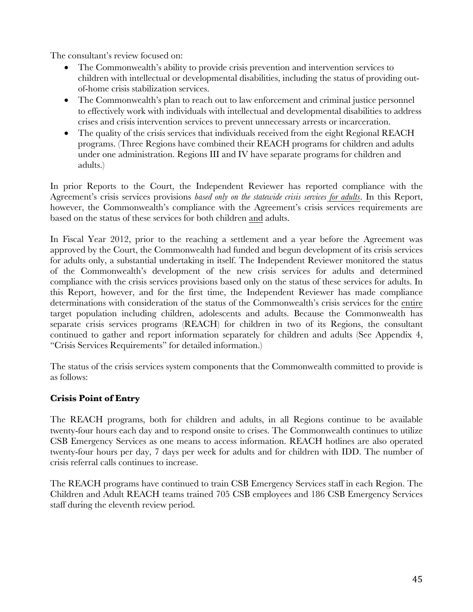The consultant's review focused on:

- The Commonwealth's ability to provide crisis prevention and intervention services to children with intellectual or developmental disabilities, including the status of providing outof-home crisis stabilization services.
- The Commonwealth's plan to reach out to law enforcement and criminal justice personnel to effectively work with individuals with intellectual and developmental disabilities to address crises and crisis intervention services to prevent unnecessary arrests or incarceration.
- The quality of the crisis services that individuals received from the eight Regional REACH programs. (Three Regions have combined their REACH programs for children and adults under one administration. Regions III and IV have separate programs for children and adults.)

In prior Reports to the Court, the Independent Reviewer has reported compliance with the Agreement's crisis services provisions *based only on the statewide crisis services for adults*. In this Report, however, the Commonwealth's compliance with the Agreement's crisis services requirements are based on the status of these services for both children and adults.

In Fiscal Year 2012, prior to the reaching a settlement and a year before the Agreement was approved by the Court, the Commonwealth had funded and begun development of its crisis services for adults only, a substantial undertaking in itself. The Independent Reviewer monitored the status of the Commonwealth's development of the new crisis services for adults and determined compliance with the crisis services provisions based only on the status of these services for adults. In this Report, however, and for the first time, the Independent Reviewer has made compliance determinations with consideration of the status of the Commonwealth's crisis services for the entire target population including children, adolescents and adults. Because the Commonwealth has separate crisis services programs (REACH) for children in two of its Regions, the consultant continued to gather and report information separately for children and adults (See Appendix 4, "Crisis Services Requirements" for detailed information.)

The status of the crisis services system components that the Commonwealth committed to provide is as follows:

### **Crisis Point of Entry**

The REACH programs, both for children and adults, in all Regions continue to be available twenty-four hours each day and to respond onsite to crises. The Commonwealth continues to utilize CSB Emergency Services as one means to access information. REACH hotlines are also operated twenty-four hours per day, 7 days per week for adults and for children with IDD. The number of crisis referral calls continues to increase.

The REACH programs have continued to train CSB Emergency Services staff in each Region. The Children and Adult REACH teams trained 705 CSB employees and 186 CSB Emergency Services staff during the eleventh review period.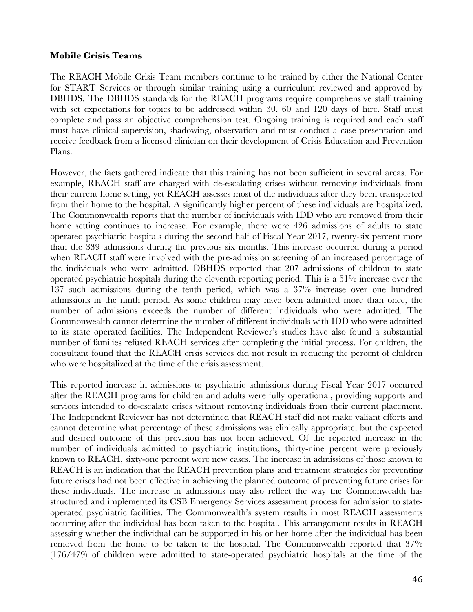#### **Mobile Crisis Teams**

The REACH Mobile Crisis Team members continue to be trained by either the National Center for START Services or through similar training using a curriculum reviewed and approved by DBHDS. The DBHDS standards for the REACH programs require comprehensive staff training with set expectations for topics to be addressed within 30, 60 and 120 days of hire. Staff must complete and pass an objective comprehension test. Ongoing training is required and each staff must have clinical supervision, shadowing, observation and must conduct a case presentation and receive feedback from a licensed clinician on their development of Crisis Education and Prevention Plans.

However, the facts gathered indicate that this training has not been sufficient in several areas. For example, REACH staff are charged with de-escalating crises without removing individuals from their current home setting, yet REACH assesses most of the individuals after they been transported from their home to the hospital. A significantly higher percent of these individuals are hospitalized. The Commonwealth reports that the number of individuals with IDD who are removed from their home setting continues to increase. For example, there were 426 admissions of adults to state operated psychiatric hospitals during the second half of Fiscal Year 2017, twenty-six percent more than the 339 admissions during the previous six months. This increase occurred during a period when REACH staff were involved with the pre-admission screening of an increased percentage of the individuals who were admitted. DBHDS reported that 207 admissions of children to state operated psychiatric hospitals during the eleventh reporting period. This is a 51% increase over the 137 such admissions during the tenth period, which was a 37% increase over one hundred admissions in the ninth period. As some children may have been admitted more than once, the number of admissions exceeds the number of different individuals who were admitted. The Commonwealth cannot determine the number of different individuals with IDD who were admitted to its state operated facilities. The Independent Reviewer's studies have also found a substantial number of families refused REACH services after completing the initial process. For children, the consultant found that the REACH crisis services did not result in reducing the percent of children who were hospitalized at the time of the crisis assessment.

This reported increase in admissions to psychiatric admissions during Fiscal Year 2017 occurred after the REACH programs for children and adults were fully operational, providing supports and services intended to de-escalate crises without removing individuals from their current placement. The Independent Reviewer has not determined that REACH staff did not make valiant efforts and cannot determine what percentage of these admissions was clinically appropriate, but the expected and desired outcome of this provision has not been achieved. Of the reported increase in the number of individuals admitted to psychiatric institutions, thirty-nine percent were previously known to REACH, sixty-one percent were new cases. The increase in admissions of those known to REACH is an indication that the REACH prevention plans and treatment strategies for preventing future crises had not been effective in achieving the planned outcome of preventing future crises for these individuals. The increase in admissions may also reflect the way the Commonwealth has structured and implemented its CSB Emergency Services assessment process for admission to stateoperated psychiatric facilities. The Commonwealth's system results in most REACH assessments occurring after the individual has been taken to the hospital. This arrangement results in REACH assessing whether the individual can be supported in his or her home after the individual has been removed from the home to be taken to the hospital. The Commonwealth reported that 37% (176/479) of children were admitted to state-operated psychiatric hospitals at the time of the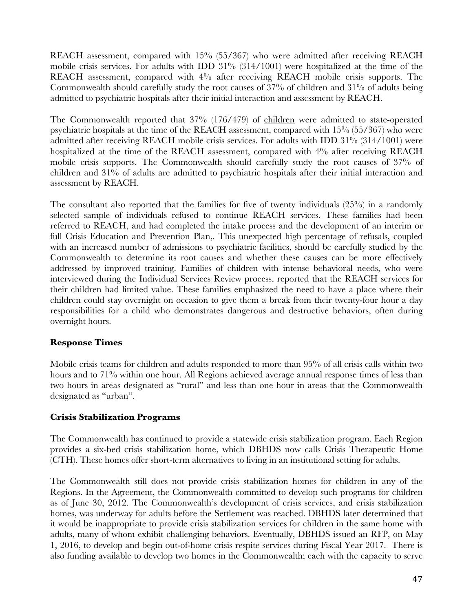REACH assessment, compared with 15% (55/367) who were admitted after receiving REACH mobile crisis services. For adults with IDD 31% (314/1001) were hospitalized at the time of the REACH assessment, compared with 4% after receiving REACH mobile crisis supports. The Commonwealth should carefully study the root causes of  $37\%$  of children and  $31\%$  of adults being admitted to psychiatric hospitals after their initial interaction and assessment by REACH.

The Commonwealth reported that 37% (176/479) of children were admitted to state-operated psychiatric hospitals at the time of the REACH assessment, compared with 15% (55/367) who were admitted after receiving REACH mobile crisis services. For adults with IDD 31% (314/1001) were hospitalized at the time of the REACH assessment, compared with  $4\%$  after receiving REACH mobile crisis supports. The Commonwealth should carefully study the root causes of 37% of children and 31% of adults are admitted to psychiatric hospitals after their initial interaction and assessment by REACH.

The consultant also reported that the families for five of twenty individuals  $(25%)$  in a randomly selected sample of individuals refused to continue REACH services. These families had been referred to REACH, and had completed the intake process and the development of an interim or full Crisis Education and Prevention Plan,. This unexpected high percentage of refusals, coupled with an increased number of admissions to psychiatric facilities, should be carefully studied by the Commonwealth to determine its root causes and whether these causes can be more effectively addressed by improved training. Families of children with intense behavioral needs, who were interviewed during the Individual Services Review process, reported that the REACH services for their children had limited value. These families emphasized the need to have a place where their children could stay overnight on occasion to give them a break from their twenty-four hour a day responsibilities for a child who demonstrates dangerous and destructive behaviors, often during overnight hours.

#### **Response Times**

Mobile crisis teams for children and adults responded to more than 95% of all crisis calls within two hours and to 71% within one hour. All Regions achieved average annual response times of less than two hours in areas designated as "rural" and less than one hour in areas that the Commonwealth designated as "urban".

### **Crisis Stabilization Programs**

The Commonwealth has continued to provide a statewide crisis stabilization program. Each Region provides a six-bed crisis stabilization home, which DBHDS now calls Crisis Therapeutic Home (CTH). These homes offer short-term alternatives to living in an institutional setting for adults.

The Commonwealth still does not provide crisis stabilization homes for children in any of the Regions. In the Agreement, the Commonwealth committed to develop such programs for children as of June 30, 2012. The Commonwealth's development of crisis services, and crisis stabilization homes, was underway for adults before the Settlement was reached. DBHDS later determined that it would be inappropriate to provide crisis stabilization services for children in the same home with adults, many of whom exhibit challenging behaviors. Eventually, DBHDS issued an RFP, on May 1, 2016, to develop and begin out-of-home crisis respite services during Fiscal Year 2017. There is also funding available to develop two homes in the Commonwealth; each with the capacity to serve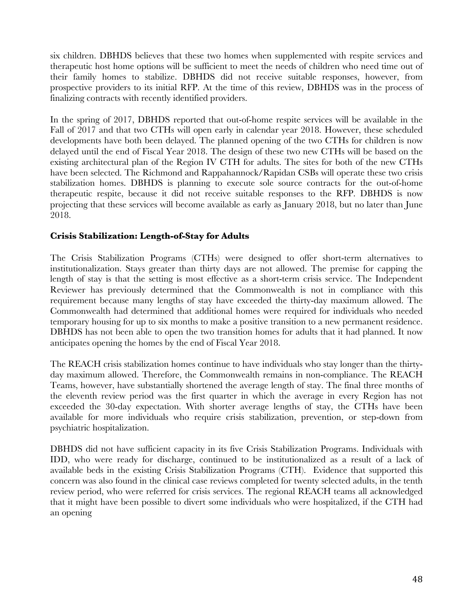six children. DBHDS believes that these two homes when supplemented with respite services and therapeutic host home options will be sufficient to meet the needs of children who need time out of their family homes to stabilize. DBHDS did not receive suitable responses, however, from prospective providers to its initial RFP. At the time of this review, DBHDS was in the process of finalizing contracts with recently identified providers.

In the spring of 2017, DBHDS reported that out-of-home respite services will be available in the Fall of 2017 and that two CTHs will open early in calendar year 2018. However, these scheduled developments have both been delayed. The planned opening of the two CTHs for children is now delayed until the end of Fiscal Year 2018. The design of these two new CTHs will be based on the existing architectural plan of the Region IV CTH for adults. The sites for both of the new CTHs have been selected. The Richmond and Rappahannock/Rapidan CSBs will operate these two crisis stabilization homes. DBHDS is planning to execute sole source contracts for the out-of-home therapeutic respite, because it did not receive suitable responses to the RFP. DBHDS is now projecting that these services will become available as early as January 2018, but no later than June 2018.

#### **Crisis Stabilization: Length-of-Stay for Adults**

The Crisis Stabilization Programs (CTHs) were designed to offer short-term alternatives to institutionalization. Stays greater than thirty days are not allowed. The premise for capping the length of stay is that the setting is most effective as a short-term crisis service. The Independent Reviewer has previously determined that the Commonwealth is not in compliance with this requirement because many lengths of stay have exceeded the thirty-day maximum allowed. The Commonwealth had determined that additional homes were required for individuals who needed temporary housing for up to six months to make a positive transition to a new permanent residence. DBHDS has not been able to open the two transition homes for adults that it had planned. It now anticipates opening the homes by the end of Fiscal Year 2018.

The REACH crisis stabilization homes continue to have individuals who stay longer than the thirtyday maximum allowed. Therefore, the Commonwealth remains in non-compliance. The REACH Teams, however, have substantially shortened the average length of stay. The final three months of the eleventh review period was the first quarter in which the average in every Region has not exceeded the 30-day expectation. With shorter average lengths of stay, the CTHs have been available for more individuals who require crisis stabilization, prevention, or step-down from psychiatric hospitalization.

DBHDS did not have sufficient capacity in its five Crisis Stabilization Programs. Individuals with IDD, who were ready for discharge, continued to be institutionalized as a result of a lack of available beds in the existing Crisis Stabilization Programs (CTH). Evidence that supported this concern was also found in the clinical case reviews completed for twenty selected adults, in the tenth review period, who were referred for crisis services. The regional REACH teams all acknowledged that it might have been possible to divert some individuals who were hospitalized, if the CTH had an opening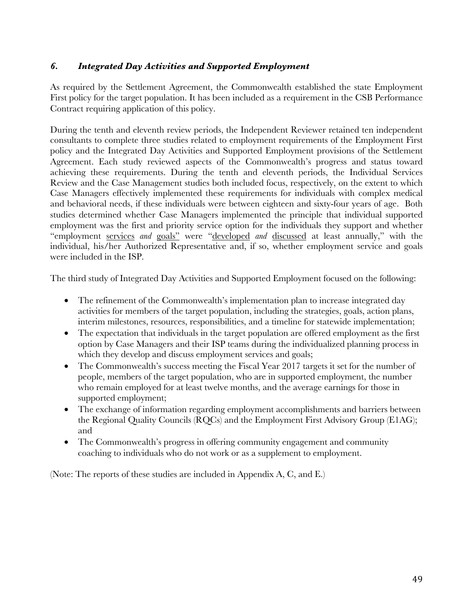## *6. Integrated Day Activities and Supported Employment*

As required by the Settlement Agreement, the Commonwealth established the state Employment First policy for the target population. It has been included as a requirement in the CSB Performance Contract requiring application of this policy.

During the tenth and eleventh review periods, the Independent Reviewer retained ten independent consultants to complete three studies related to employment requirements of the Employment First policy and the Integrated Day Activities and Supported Employment provisions of the Settlement Agreement. Each study reviewed aspects of the Commonwealth's progress and status toward achieving these requirements. During the tenth and eleventh periods, the Individual Services Review and the Case Management studies both included focus, respectively, on the extent to which Case Managers effectively implemented these requirements for individuals with complex medical and behavioral needs, if these individuals were between eighteen and sixty-four years of age. Both studies determined whether Case Managers implemented the principle that individual supported employment was the first and priority service option for the individuals they support and whether "employment services *and* goals" were "developed *and* discussed at least annually," with the individual, his/her Authorized Representative and, if so, whether employment service and goals were included in the ISP.

The third study of Integrated Day Activities and Supported Employment focused on the following:

- The refinement of the Commonwealth's implementation plan to increase integrated day activities for members of the target population, including the strategies, goals, action plans, interim milestones, resources, responsibilities, and a timeline for statewide implementation;
- The expectation that individuals in the target population are offered employment as the first option by Case Managers and their ISP teams during the individualized planning process in which they develop and discuss employment services and goals;
- The Commonwealth's success meeting the Fiscal Year 2017 targets it set for the number of people, members of the target population, who are in supported employment, the number who remain employed for at least twelve months, and the average earnings for those in supported employment;
- The exchange of information regarding employment accomplishments and barriers between the Regional Quality Councils (RQCs) and the Employment First Advisory Group (E1AG); and
- The Commonwealth's progress in offering community engagement and community coaching to individuals who do not work or as a supplement to employment.

(Note: The reports of these studies are included in Appendix A, C, and E.)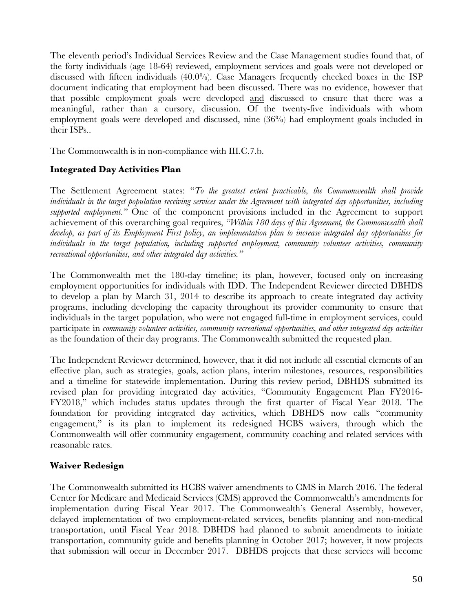The eleventh period's Individual Services Review and the Case Management studies found that, of the forty individuals (age 18-64) reviewed, employment services and goals were not developed or discussed with fifteen individuals (40.0%). Case Managers frequently checked boxes in the ISP document indicating that employment had been discussed. There was no evidence, however that that possible employment goals were developed and discussed to ensure that there was a meaningful, rather than a cursory, discussion. Of the twenty-five individuals with whom employment goals were developed and discussed, nine (36%) had employment goals included in their ISPs..

The Commonwealth is in non-compliance with III.C.7.b.

#### **Integrated Day Activities Plan**

The Settlement Agreement states: "*To the greatest extent practicable, the Commonwealth shall provide individuals in the target population receiving services under the Agreement with integrated day opportunities, including supported employment."* One of the component provisions included in the Agreement to support achievement of this overarching goal requires, *"Within 180 days of this Agreement, the Commonwealth shall develop, as part of its Employment First policy, an implementation plan to increase integrated day opportunities for individuals in the target population, including supported employment, community volunteer activities, community recreational opportunities, and other integrated day activities."* 

The Commonwealth met the 180-day timeline; its plan, however, focused only on increasing employment opportunities for individuals with IDD. The Independent Reviewer directed DBHDS to develop a plan by March 31, 2014 to describe its approach to create integrated day activity programs, including developing the capacity throughout its provider community to ensure that individuals in the target population, who were not engaged full-time in employment services, could participate in *community volunteer activities, community recreational opportunities, and other integrated day activities* as the foundation of their day programs. The Commonwealth submitted the requested plan.

The Independent Reviewer determined, however, that it did not include all essential elements of an effective plan, such as strategies, goals, action plans, interim milestones, resources, responsibilities and a timeline for statewide implementation. During this review period, DBHDS submitted its revised plan for providing integrated day activities, "Community Engagement Plan FY2016- FY2018," which includes status updates through the first quarter of Fiscal Year 2018. The foundation for providing integrated day activities, which DBHDS now calls "community engagement," is its plan to implement its redesigned HCBS waivers, through which the Commonwealth will offer community engagement, community coaching and related services with reasonable rates.

#### **Waiver Redesign**

The Commonwealth submitted its HCBS waiver amendments to CMS in March 2016. The federal Center for Medicare and Medicaid Services (CMS) approved the Commonwealth's amendments for implementation during Fiscal Year 2017. The Commonwealth's General Assembly, however, delayed implementation of two employment-related services, benefits planning and non-medical transportation, until Fiscal Year 2018. DBHDS had planned to submit amendments to initiate transportation, community guide and benefits planning in October 2017; however, it now projects that submission will occur in December 2017. DBHDS projects that these services will become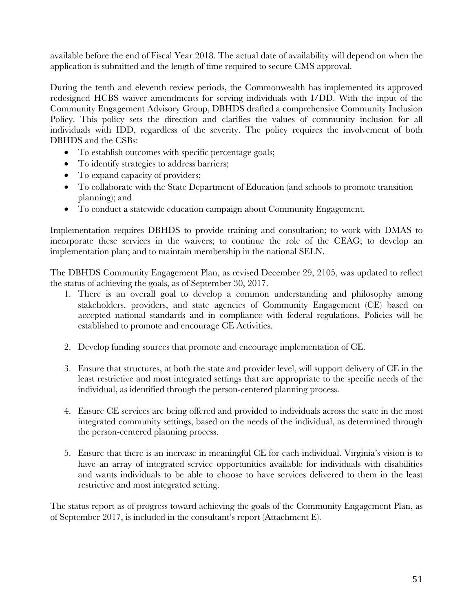available before the end of Fiscal Year 2018. The actual date of availability will depend on when the application is submitted and the length of time required to secure CMS approval.

During the tenth and eleventh review periods, the Commonwealth has implemented its approved redesigned HCBS waiver amendments for serving individuals with I/DD. With the input of the Community Engagement Advisory Group, DBHDS drafted a comprehensive Community Inclusion Policy. This policy sets the direction and clarifies the values of community inclusion for all individuals with IDD, regardless of the severity. The policy requires the involvement of both DBHDS and the CSBs:

- To establish outcomes with specific percentage goals;
- To identify strategies to address barriers;
- To expand capacity of providers;
- To collaborate with the State Department of Education (and schools to promote transition planning); and
- To conduct a statewide education campaign about Community Engagement.

Implementation requires DBHDS to provide training and consultation; to work with DMAS to incorporate these services in the waivers; to continue the role of the CEAG; to develop an implementation plan; and to maintain membership in the national SELN.

The DBHDS Community Engagement Plan, as revised December 29, 2105, was updated to reflect the status of achieving the goals, as of September 30, 2017.

- 1. There is an overall goal to develop a common understanding and philosophy among stakeholders, providers, and state agencies of Community Engagement (CE) based on accepted national standards and in compliance with federal regulations. Policies will be established to promote and encourage CE Activities.
- 2. Develop funding sources that promote and encourage implementation of CE.
- 3. Ensure that structures, at both the state and provider level, will support delivery of CE in the least restrictive and most integrated settings that are appropriate to the specific needs of the individual, as identified through the person-centered planning process.
- 4. Ensure CE services are being offered and provided to individuals across the state in the most integrated community settings, based on the needs of the individual, as determined through the person-centered planning process.
- 5. Ensure that there is an increase in meaningful CE for each individual. Virginia's vision is to have an array of integrated service opportunities available for individuals with disabilities and wants individuals to be able to choose to have services delivered to them in the least restrictive and most integrated setting.

The status report as of progress toward achieving the goals of the Community Engagement Plan, as of September 2017, is included in the consultant's report (Attachment E).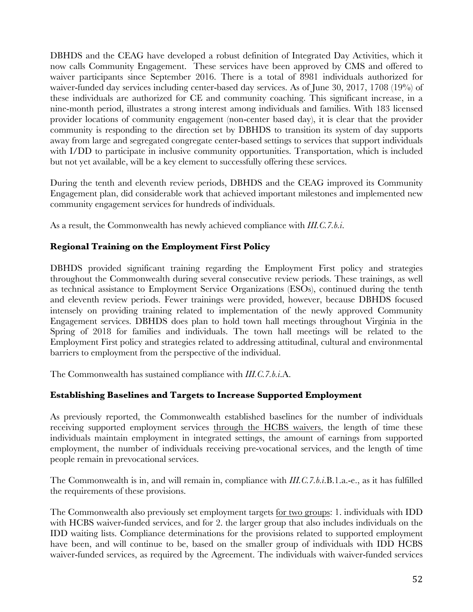DBHDS and the CEAG have developed a robust definition of Integrated Day Activities, which it now calls Community Engagement. These services have been approved by CMS and offered to waiver participants since September 2016. There is a total of 8981 individuals authorized for waiver-funded day services including center-based day services. As of June 30, 2017, 1708 (19%) of these individuals are authorized for CE and community coaching. This significant increase, in a nine-month period, illustrates a strong interest among individuals and families. With 183 licensed provider locations of community engagement (non-center based day), it is clear that the provider community is responding to the direction set by DBHDS to transition its system of day supports away from large and segregated congregate center-based settings to services that support individuals with I/DD to participate in inclusive community opportunities. Transportation, which is included but not yet available, will be a key element to successfully offering these services.

During the tenth and eleventh review periods, DBHDS and the CEAG improved its Community Engagement plan, did considerable work that achieved important milestones and implemented new community engagement services for hundreds of individuals.

As a result, the Commonwealth has newly achieved compliance with *III.C.7.b.i*.

### **Regional Training on the Employment First Policy**

DBHDS provided significant training regarding the Employment First policy and strategies throughout the Commonwealth during several consecutive review periods. These trainings, as well as technical assistance to Employment Service Organizations (ESOs), continued during the tenth and eleventh review periods. Fewer trainings were provided, however, because DBHDS focused intensely on providing training related to implementation of the newly approved Community Engagement services. DBHDS does plan to hold town hall meetings throughout Virginia in the Spring of 2018 for families and individuals. The town hall meetings will be related to the Employment First policy and strategies related to addressing attitudinal, cultural and environmental barriers to employment from the perspective of the individual.

The Commonwealth has sustained compliance with *III.C.7.b.i*.A.

### **Establishing Baselines and Targets to Increase Supported Employment**

As previously reported, the Commonwealth established baselines for the number of individuals receiving supported employment services through the HCBS waivers, the length of time these individuals maintain employment in integrated settings, the amount of earnings from supported employment, the number of individuals receiving pre-vocational services, and the length of time people remain in prevocational services.

The Commonwealth is in, and will remain in, compliance with *III.C.7.b.i*.B.1.a.-e., as it has fulfilled the requirements of these provisions.

The Commonwealth also previously set employment targets for two groups: 1. individuals with IDD with HCBS waiver-funded services, and for 2. the larger group that also includes individuals on the IDD waiting lists. Compliance determinations for the provisions related to supported employment have been, and will continue to be, based on the smaller group of individuals with IDD HCBS waiver-funded services, as required by the Agreement. The individuals with waiver-funded services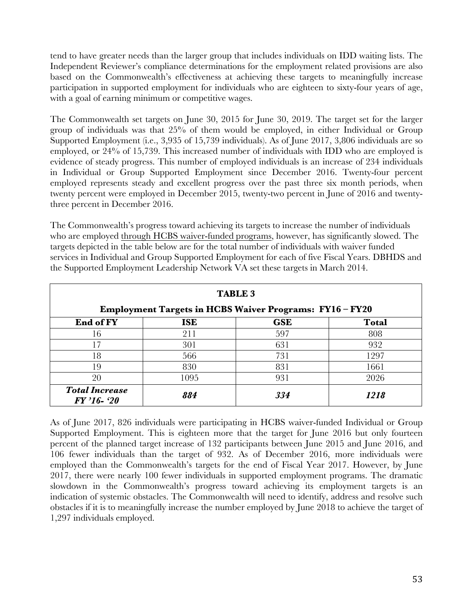tend to have greater needs than the larger group that includes individuals on IDD waiting lists. The Independent Reviewer's compliance determinations for the employment related provisions are also based on the Commonwealth's effectiveness at achieving these targets to meaningfully increase participation in supported employment for individuals who are eighteen to sixty-four years of age, with a goal of earning minimum or competitive wages.

The Commonwealth set targets on June 30, 2015 for June 30, 2019. The target set for the larger group of individuals was that 25% of them would be employed, in either Individual or Group Supported Employment (i.e., 3,935 of 15,739 individuals). As of June 2017, 3,806 individuals are so employed, or 24% of 15,739. This increased number of individuals with IDD who are employed is evidence of steady progress. This number of employed individuals is an increase of 234 individuals in Individual or Group Supported Employment since December 2016. Twenty-four percent employed represents steady and excellent progress over the past three six month periods, when twenty percent were employed in December 2015, twenty-two percent in June of 2016 and twentythree percent in December 2016.

The Commonwealth's progress toward achieving its targets to increase the number of individuals who are employed through HCBS waiver-funded programs, however, has significantly slowed. The targets depicted in the table below are for the total number of individuals with waiver funded services in Individual and Group Supported Employment for each of five Fiscal Years. DBHDS and the Supported Employment Leadership Network VA set these targets in March 2014.

| <b>TABLE 3</b>                                                 |            |            |              |  |  |  |  |  |  |
|----------------------------------------------------------------|------------|------------|--------------|--|--|--|--|--|--|
| <b>Employment Targets in HCBS Waiver Programs: FY16 - FY20</b> |            |            |              |  |  |  |  |  |  |
| End of FY                                                      | <b>ISE</b> | <b>GSE</b> | <b>Total</b> |  |  |  |  |  |  |
| 16                                                             | 211        | 597        | 808          |  |  |  |  |  |  |
| 17                                                             | 301        | 631        | 932          |  |  |  |  |  |  |
| 18                                                             | 566        | 731        | 1297         |  |  |  |  |  |  |
| 19                                                             | 830        | 831        | 1661         |  |  |  |  |  |  |
| 20                                                             | 1095       | 931        | 2026         |  |  |  |  |  |  |
| <b>Total Increase</b><br>FY '16-'20                            | 884        | 334        | 1218         |  |  |  |  |  |  |

As of June 2017, 826 individuals were participating in HCBS waiver-funded Individual or Group Supported Employment. This is eighteen more that the target for June 2016 but only fourteen percent of the planned target increase of 132 participants between June 2015 and June 2016, and 106 fewer individuals than the target of 932. As of December 2016, more individuals were employed than the Commonwealth's targets for the end of Fiscal Year 2017. However, by June 2017, there were nearly 100 fewer individuals in supported employment programs. The dramatic slowdown in the Commonwealth's progress toward achieving its employment targets is an indication of systemic obstacles. The Commonwealth will need to identify, address and resolve such obstacles if it is to meaningfully increase the number employed by June 2018 to achieve the target of 1,297 individuals employed.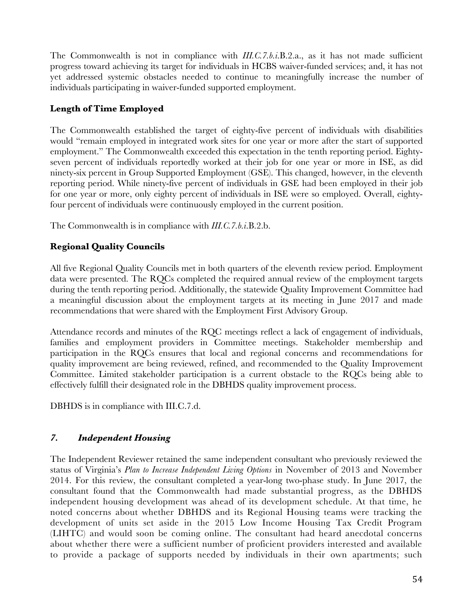The Commonwealth is not in compliance with *III.C.7.b.i*.B.2.a., as it has not made sufficient progress toward achieving its target for individuals in HCBS waiver-funded services; and, it has not yet addressed systemic obstacles needed to continue to meaningfully increase the number of individuals participating in waiver-funded supported employment.

## **Length of Time Employed**

The Commonwealth established the target of eighty-five percent of individuals with disabilities would "remain employed in integrated work sites for one year or more after the start of supported employment." The Commonwealth exceeded this expectation in the tenth reporting period. Eightyseven percent of individuals reportedly worked at their job for one year or more in ISE, as did ninety-six percent in Group Supported Employment (GSE). This changed, however, in the eleventh reporting period. While ninety-five percent of individuals in GSE had been employed in their job for one year or more, only eighty percent of individuals in ISE were so employed. Overall, eightyfour percent of individuals were continuously employed in the current position.

The Commonwealth is in compliance with *III.C.7.b.i*.B.2.b.

## **Regional Quality Councils**

All five Regional Quality Councils met in both quarters of the eleventh review period. Employment data were presented. The RQCs completed the required annual review of the employment targets during the tenth reporting period. Additionally, the statewide Quality Improvement Committee had a meaningful discussion about the employment targets at its meeting in June 2017 and made recommendations that were shared with the Employment First Advisory Group.

Attendance records and minutes of the RQC meetings reflect a lack of engagement of individuals, families and employment providers in Committee meetings. Stakeholder membership and participation in the RQCs ensures that local and regional concerns and recommendations for quality improvement are being reviewed, refined, and recommended to the Quality Improvement Committee. Limited stakeholder participation is a current obstacle to the RQCs being able to effectively fulfill their designated role in the DBHDS quality improvement process.

DBHDS is in compliance with III.C.7.d.

# *7. Independent Housing*

The Independent Reviewer retained the same independent consultant who previously reviewed the status of Virginia's *Plan to Increase Independent Living Options* in November of 2013 and November 2014. For this review, the consultant completed a year-long two-phase study. In June 2017, the consultant found that the Commonwealth had made substantial progress, as the DBHDS independent housing development was ahead of its development schedule. At that time, he noted concerns about whether DBHDS and its Regional Housing teams were tracking the development of units set aside in the 2015 Low Income Housing Tax Credit Program (LIHTC) and would soon be coming online. The consultant had heard anecdotal concerns about whether there were a sufficient number of proficient providers interested and available to provide a package of supports needed by individuals in their own apartments; such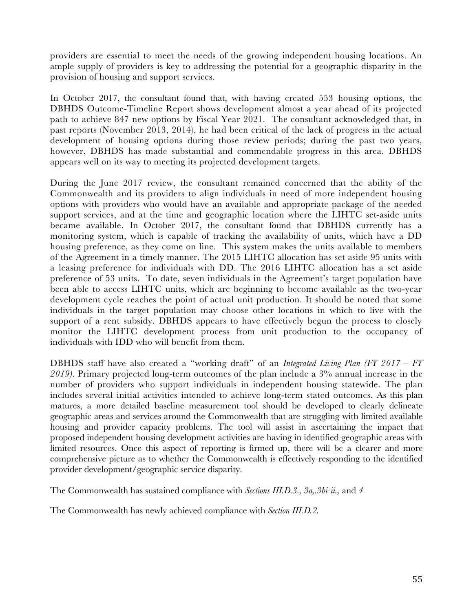providers are essential to meet the needs of the growing independent housing locations. An ample supply of providers is key to addressing the potential for a geographic disparity in the provision of housing and support services.

In October 2017, the consultant found that, with having created 553 housing options, the DBHDS Outcome-Timeline Report shows development almost a year ahead of its projected path to achieve 847 new options by Fiscal Year 2021. The consultant acknowledged that, in past reports (November 2013, 2014), he had been critical of the lack of progress in the actual development of housing options during those review periods; during the past two years, however, DBHDS has made substantial and commendable progress in this area. DBHDS appears well on its way to meeting its projected development targets.

During the June 2017 review, the consultant remained concerned that the ability of the Commonwealth and its providers to align individuals in need of more independent housing options with providers who would have an available and appropriate package of the needed support services, and at the time and geographic location where the LIHTC set-aside units became available. In October 2017, the consultant found that DBHDS currently has a monitoring system, which is capable of tracking the availability of units, which have a DD housing preference, as they come on line. This system makes the units available to members of the Agreement in a timely manner. The 2015 LIHTC allocation has set aside 95 units with a leasing preference for individuals with DD. The 2016 LIHTC allocation has a set aside preference of 53 units. To date, seven individuals in the Agreement's target population have been able to access LIHTC units, which are beginning to become available as the two-year development cycle reaches the point of actual unit production. It should be noted that some individuals in the target population may choose other locations in which to live with the support of a rent subsidy. DBHDS appears to have effectively begun the process to closely monitor the LIHTC development process from unit production to the occupancy of individuals with IDD who will benefit from them.

DBHDS staff have also created a "working draft" of an *Integrated Living Plan (FY 2017 – FY 2019).* Primary projected long-term outcomes of the plan include a 3% annual increase in the number of providers who support individuals in independent housing statewide. The plan includes several initial activities intended to achieve long-term stated outcomes. As this plan matures, a more detailed baseline measurement tool should be developed to clearly delineate geographic areas and services around the Commonwealth that are struggling with limited available housing and provider capacity problems. The tool will assist in ascertaining the impact that proposed independent housing development activities are having in identified geographic areas with limited resources. Once this aspect of reporting is firmed up, there will be a clearer and more comprehensive picture as to whether the Commonwealth is effectively responding to the identified provider development/geographic service disparity.

The Commonwealth has sustained compliance with *Sections III.D.3., 3a,.3bi-ii.,* and *4*

The Commonwealth has newly achieved compliance with *Section III.D.2.*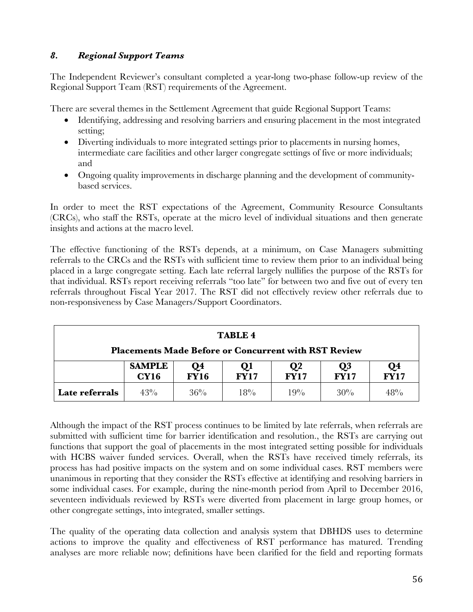## *8. Regional Support Teams*

The Independent Reviewer's consultant completed a year-long two-phase follow-up review of the Regional Support Team (RST) requirements of the Agreement.

There are several themes in the Settlement Agreement that guide Regional Support Teams:

- Identifying, addressing and resolving barriers and ensuring placement in the most integrated setting;
- Diverting individuals to more integrated settings prior to placements in nursing homes, intermediate care facilities and other larger congregate settings of five or more individuals; and
- Ongoing quality improvements in discharge planning and the development of communitybased services.

In order to meet the RST expectations of the Agreement, Community Resource Consultants (CRCs), who staff the RSTs, operate at the micro level of individual situations and then generate insights and actions at the macro level.

The effective functioning of the RSTs depends, at a minimum, on Case Managers submitting referrals to the CRCs and the RSTs with sufficient time to review them prior to an individual being placed in a large congregate setting. Each late referral largely nullifies the purpose of the RSTs for that individual. RSTs report receiving referrals "too late" for between two and five out of every ten referrals throughout Fiscal Year 2017. The RST did not effectively review other referrals due to non-responsiveness by Case Managers/Support Coordinators.

| <b>TABLE 4</b>                                              |                                                                                                                                                         |  |  |  |  |  |  |  |  |  |  |
|-------------------------------------------------------------|---------------------------------------------------------------------------------------------------------------------------------------------------------|--|--|--|--|--|--|--|--|--|--|
| <b>Placements Made Before or Concurrent with RST Review</b> |                                                                                                                                                         |  |  |  |  |  |  |  |  |  |  |
|                                                             | <b>SAMPLE</b><br>Q4<br>Q <sub>3</sub><br>$Q_4$<br>FY17<br>$\mathbf{Q}$<br>Qı<br><b>FY17</b><br><b>FY17</b><br><b>FY16</b><br><b>FY17</b><br><b>CY16</b> |  |  |  |  |  |  |  |  |  |  |
| Late referrals                                              | 43%<br>36%<br>18%<br>19%<br>30%<br>48%                                                                                                                  |  |  |  |  |  |  |  |  |  |  |

Although the impact of the RST process continues to be limited by late referrals, when referrals are submitted with sufficient time for barrier identification and resolution., the RSTs are carrying out functions that support the goal of placements in the most integrated setting possible for individuals with HCBS waiver funded services. Overall, when the RSTs have received timely referrals, its process has had positive impacts on the system and on some individual cases. RST members were unanimous in reporting that they consider the RSTs effective at identifying and resolving barriers in some individual cases. For example, during the nine-month period from April to December 2016, seventeen individuals reviewed by RSTs were diverted from placement in large group homes, or other congregate settings, into integrated, smaller settings.

The quality of the operating data collection and analysis system that DBHDS uses to determine actions to improve the quality and effectiveness of RST performance has matured. Trending analyses are more reliable now; definitions have been clarified for the field and reporting formats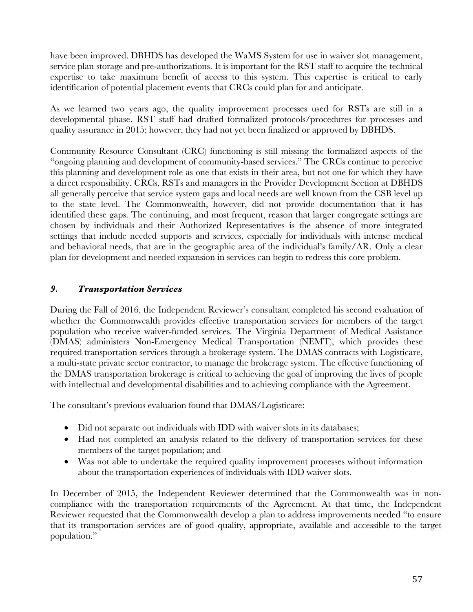have been improved. DBHDS has developed the WaMS System for use in waiver slot management, service plan storage and pre-authorizations. It is important for the RST staff to acquire the technical expertise to take maximum benefit of access to this system. This expertise is critical to early identification of potential placement events that CRCs could plan for and anticipate.

As we learned two years ago, the quality improvement processes used for RSTs are still in a developmental phase. RST staff had drafted formalized protocols/procedures for processes and quality assurance in 2015; however, they had not yet been finalized or approved by DBHDS.

Community Resource Consultant (CRC) functioning is still missing the formalized aspects of the "ongoing planning and development of community-based services." The CRCs continue to perceive this planning and development role as one that exists in their area, but not one for which they have a direct responsibility. CRCs, RSTs and managers in the Provider Development Section at DBHDS all generally perceive that service system gaps and local needs are well known from the CSB level up to the state level. The Commonwealth, however, did not provide documentation that it has identified these gaps. The continuing, and most frequent, reason that larger congregate settings are chosen by individuals and their Authorized Representatives is the absence of more integrated settings that include needed supports and services, especially for individuals with intense medical and behavioral needs, that are in the geographic area of the individual's family/AR. Only a clear plan for development and needed expansion in services can begin to redress this core problem.

### *9. Transportation Services*

During the Fall of 2016, the Independent Reviewer's consultant completed his second evaluation of whether the Commonwealth provides effective transportation services for members of the target population who receive waiver-funded services. The Virginia Department of Medical Assistance (DMAS) administers Non-Emergency Medical Transportation (NEMT), which provides these required transportation services through a brokerage system. The DMAS contracts with Logisticare, a multi-state private sector contractor, to manage the brokerage system. The effective functioning of the DMAS transportation brokerage is critical to achieving the goal of improving the lives of people with intellectual and developmental disabilities and to achieving compliance with the Agreement.

The consultant's previous evaluation found that DMAS/Logisticare:

- Did not separate out individuals with IDD with waiver slots in its databases;
- Had not completed an analysis related to the delivery of transportation services for these members of the target population; and
- Was not able to undertake the required quality improvement processes without information about the transportation experiences of individuals with IDD waiver slots.

In December of 2015, the Independent Reviewer determined that the Commonwealth was in noncompliance with the transportation requirements of the Agreement. At that time, the Independent Reviewer requested that the Commonwealth develop a plan to address improvements needed "to ensure that its transportation services are of good quality, appropriate, available and accessible to the target population."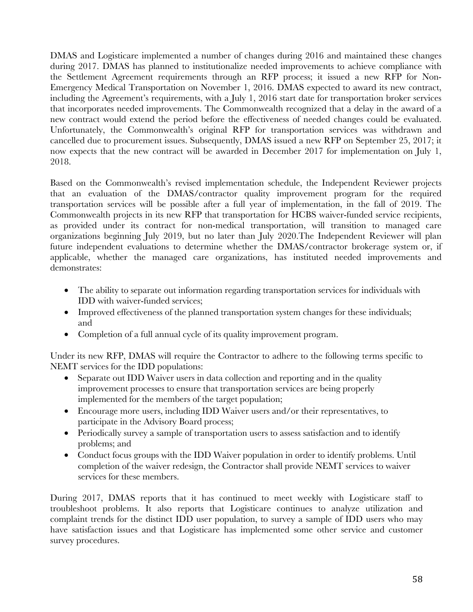DMAS and Logisticare implemented a number of changes during 2016 and maintained these changes during 2017. DMAS has planned to institutionalize needed improvements to achieve compliance with the Settlement Agreement requirements through an RFP process; it issued a new RFP for Non-Emergency Medical Transportation on November 1, 2016. DMAS expected to award its new contract, including the Agreement's requirements, with a July 1, 2016 start date for transportation broker services that incorporates needed improvements. The Commonwealth recognized that a delay in the award of a new contract would extend the period before the effectiveness of needed changes could be evaluated. Unfortunately, the Commonwealth's original RFP for transportation services was withdrawn and cancelled due to procurement issues. Subsequently, DMAS issued a new RFP on September 25, 2017; it now expects that the new contract will be awarded in December 2017 for implementation on July 1, 2018.

Based on the Commonwealth's revised implementation schedule, the Independent Reviewer projects that an evaluation of the DMAS/contractor quality improvement program for the required transportation services will be possible after a full year of implementation, in the fall of 2019. The Commonwealth projects in its new RFP that transportation for HCBS waiver-funded service recipients, as provided under its contract for non-medical transportation, will transition to managed care organizations beginning July 2019, but no later than July 2020.The Independent Reviewer will plan future independent evaluations to determine whether the DMAS/contractor brokerage system or, if applicable, whether the managed care organizations, has instituted needed improvements and demonstrates:

- The ability to separate out information regarding transportation services for individuals with IDD with waiver-funded services;
- Improved effectiveness of the planned transportation system changes for these individuals; and
- Completion of a full annual cycle of its quality improvement program.

Under its new RFP, DMAS will require the Contractor to adhere to the following terms specific to NEMT services for the IDD populations:

- Separate out IDD Waiver users in data collection and reporting and in the quality improvement processes to ensure that transportation services are being properly implemented for the members of the target population;
- Encourage more users, including IDD Waiver users and/or their representatives, to participate in the Advisory Board process;
- Periodically survey a sample of transportation users to assess satisfaction and to identify problems; and
- Conduct focus groups with the IDD Waiver population in order to identify problems. Until completion of the waiver redesign, the Contractor shall provide NEMT services to waiver services for these members.

During 2017, DMAS reports that it has continued to meet weekly with Logisticare staff to troubleshoot problems. It also reports that Logisticare continues to analyze utilization and complaint trends for the distinct IDD user population, to survey a sample of IDD users who may have satisfaction issues and that Logisticare has implemented some other service and customer survey procedures.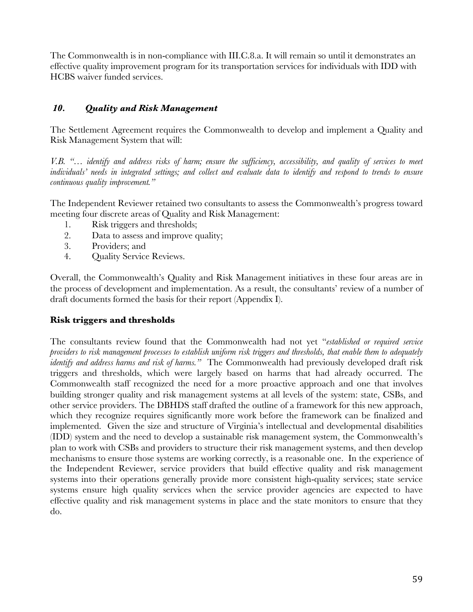The Commonwealth is in non-compliance with III.C.8.a. It will remain so until it demonstrates an effective quality improvement program for its transportation services for individuals with IDD with HCBS waiver funded services.

#### *10. Quality and Risk Management*

The Settlement Agreement requires the Commonwealth to develop and implement a Quality and Risk Management System that will:

*V.B. "… identify and address risks of harm; ensure the sufficiency, accessibility, and quality of services to meet individuals' needs in integrated settings; and collect and evaluate data to identify and respond to trends to ensure continuous quality improvement."* 

The Independent Reviewer retained two consultants to assess the Commonwealth's progress toward meeting four discrete areas of Quality and Risk Management:

- 1. Risk triggers and thresholds;
- 2. Data to assess and improve quality;
- 3. Providers; and
- 4. Quality Service Reviews.

Overall, the Commonwealth's Quality and Risk Management initiatives in these four areas are in the process of development and implementation. As a result, the consultants' review of a number of draft documents formed the basis for their report (Appendix I).

#### **Risk triggers and thresholds**

The consultants review found that the Commonwealth had not yet "*established or required service providers to risk management processes to establish uniform risk triggers and thresholds, that enable them to adequately identify and address harms and risk of harms."* The Commonwealth had previously developed draft risk triggers and thresholds, which were largely based on harms that had already occurred. The Commonwealth staff recognized the need for a more proactive approach and one that involves building stronger quality and risk management systems at all levels of the system: state, CSBs, and other service providers. The DBHDS staff drafted the outline of a framework for this new approach, which they recognize requires significantly more work before the framework can be finalized and implemented. Given the size and structure of Virginia's intellectual and developmental disabilities (IDD) system and the need to develop a sustainable risk management system, the Commonwealth's plan to work with CSBs and providers to structure their risk management systems, and then develop mechanisms to ensure those systems are working correctly, is a reasonable one. In the experience of the Independent Reviewer, service providers that build effective quality and risk management systems into their operations generally provide more consistent high-quality services; state service systems ensure high quality services when the service provider agencies are expected to have effective quality and risk management systems in place and the state monitors to ensure that they do.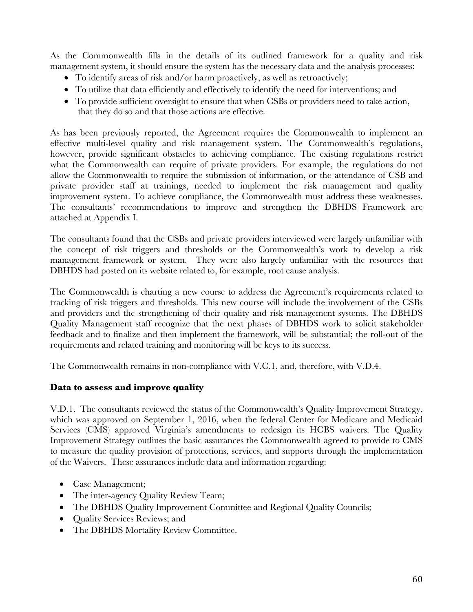As the Commonwealth fills in the details of its outlined framework for a quality and risk management system, it should ensure the system has the necessary data and the analysis processes:

- To identify areas of risk and/or harm proactively, as well as retroactively;
- To utilize that data efficiently and effectively to identify the need for interventions; and
- To provide sufficient oversight to ensure that when CSBs or providers need to take action, that they do so and that those actions are effective.

As has been previously reported, the Agreement requires the Commonwealth to implement an effective multi-level quality and risk management system. The Commonwealth's regulations, however, provide significant obstacles to achieving compliance. The existing regulations restrict what the Commonwealth can require of private providers. For example, the regulations do not allow the Commonwealth to require the submission of information, or the attendance of CSB and private provider staff at trainings, needed to implement the risk management and quality improvement system. To achieve compliance, the Commonwealth must address these weaknesses. The consultants' recommendations to improve and strengthen the DBHDS Framework are attached at Appendix I.

The consultants found that the CSBs and private providers interviewed were largely unfamiliar with the concept of risk triggers and thresholds or the Commonwealth's work to develop a risk management framework or system. They were also largely unfamiliar with the resources that DBHDS had posted on its website related to, for example, root cause analysis.

The Commonwealth is charting a new course to address the Agreement's requirements related to tracking of risk triggers and thresholds. This new course will include the involvement of the CSBs and providers and the strengthening of their quality and risk management systems. The DBHDS Quality Management staff recognize that the next phases of DBHDS work to solicit stakeholder feedback and to finalize and then implement the framework, will be substantial; the roll-out of the requirements and related training and monitoring will be keys to its success.

The Commonwealth remains in non-compliance with V.C.1, and, therefore, with V.D.4.

#### **Data to assess and improve quality**

V.D.1. The consultants reviewed the status of the Commonwealth's Quality Improvement Strategy, which was approved on September 1, 2016, when the federal Center for Medicare and Medicaid Services (CMS) approved Virginia's amendments to redesign its HCBS waivers. The Quality Improvement Strategy outlines the basic assurances the Commonwealth agreed to provide to CMS to measure the quality provision of protections, services, and supports through the implementation of the Waivers. These assurances include data and information regarding:

- Case Management;
- The inter-agency Quality Review Team;
- The DBHDS Quality Improvement Committee and Regional Quality Councils;
- Quality Services Reviews; and
- The DBHDS Mortality Review Committee.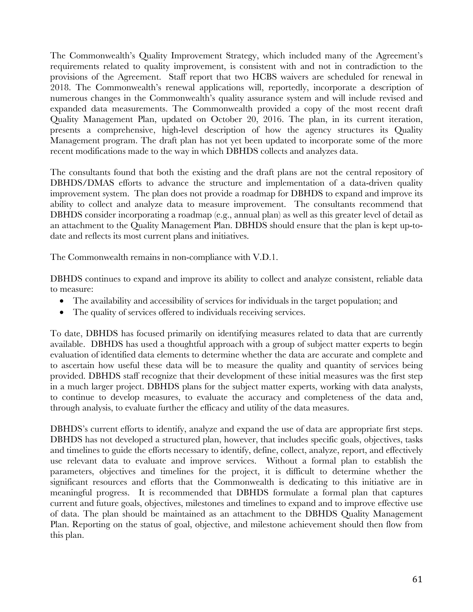The Commonwealth's Quality Improvement Strategy, which included many of the Agreement's requirements related to quality improvement, is consistent with and not in contradiction to the provisions of the Agreement. Staff report that two HCBS waivers are scheduled for renewal in 2018. The Commonwealth's renewal applications will, reportedly, incorporate a description of numerous changes in the Commonwealth's quality assurance system and will include revised and expanded data measurements. The Commonwealth provided a copy of the most recent draft Quality Management Plan, updated on October 20, 2016. The plan, in its current iteration, presents a comprehensive, high-level description of how the agency structures its Quality Management program. The draft plan has not yet been updated to incorporate some of the more recent modifications made to the way in which DBHDS collects and analyzes data.

The consultants found that both the existing and the draft plans are not the central repository of DBHDS/DMAS efforts to advance the structure and implementation of a data-driven quality improvement system. The plan does not provide a roadmap for DBHDS to expand and improve its ability to collect and analyze data to measure improvement. The consultants recommend that DBHDS consider incorporating a roadmap (e.g., annual plan) as well as this greater level of detail as an attachment to the Quality Management Plan. DBHDS should ensure that the plan is kept up-todate and reflects its most current plans and initiatives.

The Commonwealth remains in non-compliance with V.D.1.

DBHDS continues to expand and improve its ability to collect and analyze consistent, reliable data to measure:

- The availability and accessibility of services for individuals in the target population; and
- The quality of services offered to individuals receiving services.

To date, DBHDS has focused primarily on identifying measures related to data that are currently available. DBHDS has used a thoughtful approach with a group of subject matter experts to begin evaluation of identified data elements to determine whether the data are accurate and complete and to ascertain how useful these data will be to measure the quality and quantity of services being provided. DBHDS staff recognize that their development of these initial measures was the first step in a much larger project. DBHDS plans for the subject matter experts, working with data analysts, to continue to develop measures, to evaluate the accuracy and completeness of the data and, through analysis, to evaluate further the efficacy and utility of the data measures.

DBHDS's current efforts to identify, analyze and expand the use of data are appropriate first steps. DBHDS has not developed a structured plan, however, that includes specific goals, objectives, tasks and timelines to guide the efforts necessary to identify, define, collect, analyze, report, and effectively use relevant data to evaluate and improve services. Without a formal plan to establish the parameters, objectives and timelines for the project, it is difficult to determine whether the significant resources and efforts that the Commonwealth is dedicating to this initiative are in meaningful progress. It is recommended that DBHDS formulate a formal plan that captures current and future goals, objectives, milestones and timelines to expand and to improve effective use of data. The plan should be maintained as an attachment to the DBHDS Quality Management Plan. Reporting on the status of goal, objective, and milestone achievement should then flow from this plan.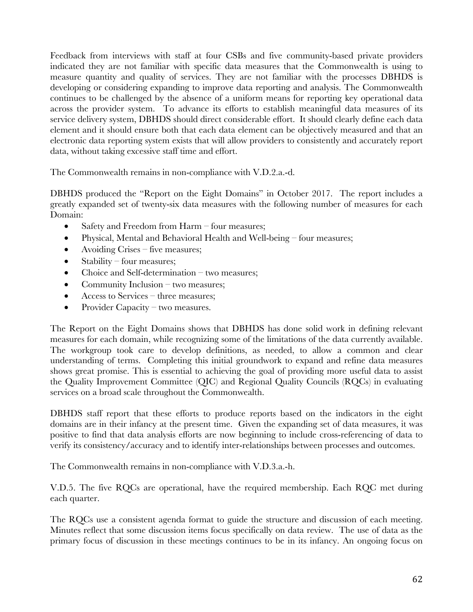Feedback from interviews with staff at four CSBs and five community-based private providers indicated they are not familiar with specific data measures that the Commonwealth is using to measure quantity and quality of services. They are not familiar with the processes DBHDS is developing or considering expanding to improve data reporting and analysis. The Commonwealth continues to be challenged by the absence of a uniform means for reporting key operational data across the provider system. To advance its efforts to establish meaningful data measures of its service delivery system, DBHDS should direct considerable effort. It should clearly define each data element and it should ensure both that each data element can be objectively measured and that an electronic data reporting system exists that will allow providers to consistently and accurately report data, without taking excessive staff time and effort.

The Commonwealth remains in non-compliance with V.D.2.a.-d.

DBHDS produced the "Report on the Eight Domains" in October 2017. The report includes a greatly expanded set of twenty-six data measures with the following number of measures for each Domain:

- Safety and Freedom from Harm four measures;
- Physical, Mental and Behavioral Health and Well-being four measures;
- Avoiding Crises five measures;
- Stability four measures;
- Choice and Self-determination  $-$  two measures;
- Community Inclusion two measures;
- Access to Services three measures;
- Provider Capacity two measures.

The Report on the Eight Domains shows that DBHDS has done solid work in defining relevant measures for each domain, while recognizing some of the limitations of the data currently available. The workgroup took care to develop definitions, as needed, to allow a common and clear understanding of terms. Completing this initial groundwork to expand and refine data measures shows great promise. This is essential to achieving the goal of providing more useful data to assist the Quality Improvement Committee (QIC) and Regional Quality Councils (RQCs) in evaluating services on a broad scale throughout the Commonwealth.

DBHDS staff report that these efforts to produce reports based on the indicators in the eight domains are in their infancy at the present time. Given the expanding set of data measures, it was positive to find that data analysis efforts are now beginning to include cross-referencing of data to verify its consistency/accuracy and to identify inter-relationships between processes and outcomes.

The Commonwealth remains in non-compliance with V.D.3.a.-h.

V.D.5. The five RQCs are operational, have the required membership. Each RQC met during each quarter.

The RQCs use a consistent agenda format to guide the structure and discussion of each meeting. Minutes reflect that some discussion items focus specifically on data review. The use of data as the primary focus of discussion in these meetings continues to be in its infancy. An ongoing focus on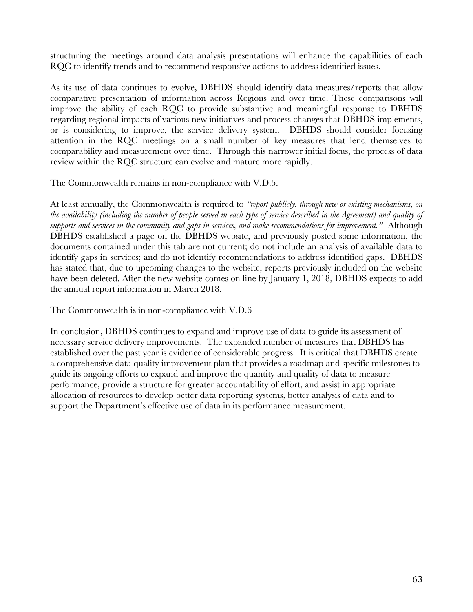structuring the meetings around data analysis presentations will enhance the capabilities of each RQC to identify trends and to recommend responsive actions to address identified issues.

As its use of data continues to evolve, DBHDS should identify data measures/reports that allow comparative presentation of information across Regions and over time. These comparisons will improve the ability of each RQC to provide substantive and meaningful response to DBHDS regarding regional impacts of various new initiatives and process changes that DBHDS implements, or is considering to improve, the service delivery system. DBHDS should consider focusing attention in the RQC meetings on a small number of key measures that lend themselves to comparability and measurement over time. Through this narrower initial focus, the process of data review within the RQC structure can evolve and mature more rapidly.

The Commonwealth remains in non-compliance with V.D.5.

At least annually, the Commonwealth is required to *"report publicly, through new or existing mechanisms, on the availability (including the number of people served in each type of service described in the Agreement) and quality of supports and services in the community and gaps in services, and make recommendations for improvement."* Although DBHDS established a page on the DBHDS website, and previously posted some information, the documents contained under this tab are not current; do not include an analysis of available data to identify gaps in services; and do not identify recommendations to address identified gaps. DBHDS has stated that, due to upcoming changes to the website, reports previously included on the website have been deleted. After the new website comes on line by January 1, 2018, DBHDS expects to add the annual report information in March 2018.

The Commonwealth is in non-compliance with V.D.6

In conclusion, DBHDS continues to expand and improve use of data to guide its assessment of necessary service delivery improvements. The expanded number of measures that DBHDS has established over the past year is evidence of considerable progress. It is critical that DBHDS create a comprehensive data quality improvement plan that provides a roadmap and specific milestones to guide its ongoing efforts to expand and improve the quantity and quality of data to measure performance, provide a structure for greater accountability of effort, and assist in appropriate allocation of resources to develop better data reporting systems, better analysis of data and to support the Department's effective use of data in its performance measurement.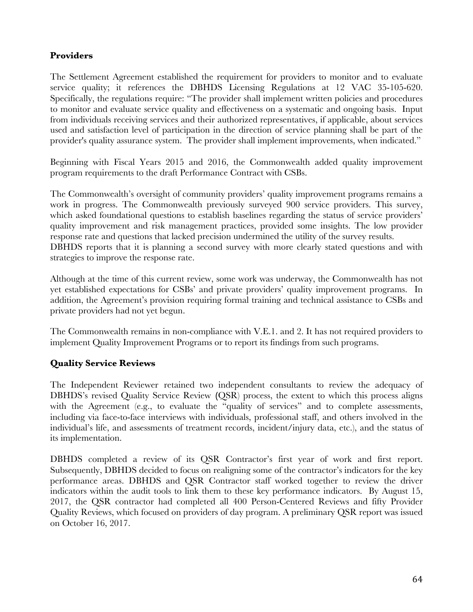## **Providers**

The Settlement Agreement established the requirement for providers to monitor and to evaluate service quality; it references the DBHDS Licensing Regulations at 12 VAC 35-105-620. Specifically, the regulations require: "The provider shall implement written policies and procedures to monitor and evaluate service quality and effectiveness on a systematic and ongoing basis. Input from individuals receiving services and their authorized representatives, if applicable, about services used and satisfaction level of participation in the direction of service planning shall be part of the provider's quality assurance system. The provider shall implement improvements, when indicated."

Beginning with Fiscal Years 2015 and 2016, the Commonwealth added quality improvement program requirements to the draft Performance Contract with CSBs.

The Commonwealth's oversight of community providers' quality improvement programs remains a work in progress. The Commonwealth previously surveyed 900 service providers. This survey, which asked foundational questions to establish baselines regarding the status of service providers' quality improvement and risk management practices, provided some insights. The low provider response rate and questions that lacked precision undermined the utility of the survey results. DBHDS reports that it is planning a second survey with more clearly stated questions and with strategies to improve the response rate.

Although at the time of this current review, some work was underway, the Commonwealth has not yet established expectations for CSBs' and private providers' quality improvement programs. In addition, the Agreement's provision requiring formal training and technical assistance to CSBs and private providers had not yet begun.

The Commonwealth remains in non-compliance with V.E.1. and 2. It has not required providers to implement Quality Improvement Programs or to report its findings from such programs.

### **Quality Service Reviews**

The Independent Reviewer retained two independent consultants to review the adequacy of DBHDS's revised Quality Service Review **(**QSR) process, the extent to which this process aligns with the Agreement (e.g., to evaluate the "quality of services" and to complete assessments, including via face-to-face interviews with individuals, professional staff, and others involved in the individual's life, and assessments of treatment records, incident/injury data, etc.), and the status of its implementation.

DBHDS completed a review of its QSR Contractor's first year of work and first report. Subsequently, DBHDS decided to focus on realigning some of the contractor's indicators for the key performance areas. DBHDS and QSR Contractor staff worked together to review the driver indicators within the audit tools to link them to these key performance indicators. By August 15, 2017, the QSR contractor had completed all 400 Person-Centered Reviews and fifty Provider Quality Reviews, which focused on providers of day program. A preliminary QSR report was issued on October 16, 2017.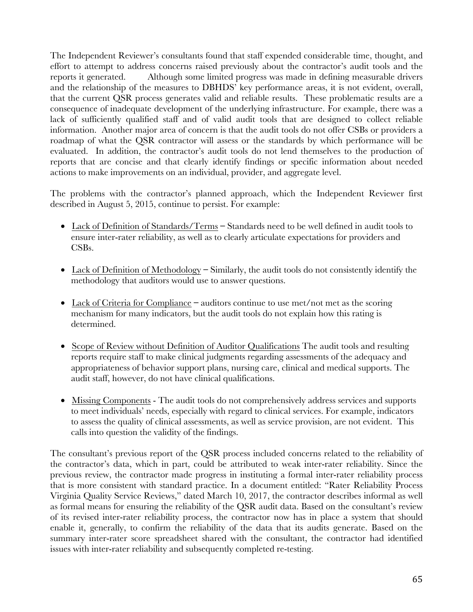The Independent Reviewer's consultants found that staff expended considerable time, thought, and effort to attempt to address concerns raised previously about the contractor's audit tools and the reports it generated. Although some limited progress was made in defining measurable drivers and the relationship of the measures to DBHDS' key performance areas, it is not evident, overall, that the current QSR process generates valid and reliable results. These problematic results are a consequence of inadequate development of the underlying infrastructure. For example, there was a lack of sufficiently qualified staff and of valid audit tools that are designed to collect reliable information. Another major area of concern is that the audit tools do not offer CSBs or providers a roadmap of what the QSR contractor will assess or the standards by which performance will be evaluated. In addition, the contractor's audit tools do not lend themselves to the production of reports that are concise and that clearly identify findings or specific information about needed actions to make improvements on an individual, provider, and aggregate level.

The problems with the contractor's planned approach, which the Independent Reviewer first described in August 5, 2015, continue to persist. For example:

- Lack of Definition of Standards/Terms **–** Standards need to be well defined in audit tools to ensure inter-rater reliability, as well as to clearly articulate expectations for providers and CSBs.
- Lack of Definition of Methodology **–** Similarly, the audit tools do not consistently identify the methodology that auditors would use to answer questions.
- Lack of Criteria for Compliance **–** auditors continue to use met/not met as the scoring mechanism for many indicators, but the audit tools do not explain how this rating is determined.
- Scope of Review without Definition of Auditor Qualifications The audit tools and resulting reports require staff to make clinical judgments regarding assessments of the adequacy and appropriateness of behavior support plans, nursing care, clinical and medical supports. The audit staff, however, do not have clinical qualifications.
- Missing Components The audit tools do not comprehensively address services and supports to meet individuals' needs, especially with regard to clinical services. For example, indicators to assess the quality of clinical assessments, as well as service provision, are not evident. This calls into question the validity of the findings.

The consultant's previous report of the QSR process included concerns related to the reliability of the contractor's data, which in part, could be attributed to weak inter-rater reliability. Since the previous review, the contractor made progress in instituting a formal inter-rater reliability process that is more consistent with standard practice. In a document entitled: "Rater Reliability Process Virginia Quality Service Reviews," dated March 10, 2017, the contractor describes informal as well as formal means for ensuring the reliability of the QSR audit data. Based on the consultant's review of its revised inter-rater reliability process, the contractor now has in place a system that should enable it, generally, to confirm the reliability of the data that its audits generate. Based on the summary inter-rater score spreadsheet shared with the consultant, the contractor had identified issues with inter-rater reliability and subsequently completed re-testing.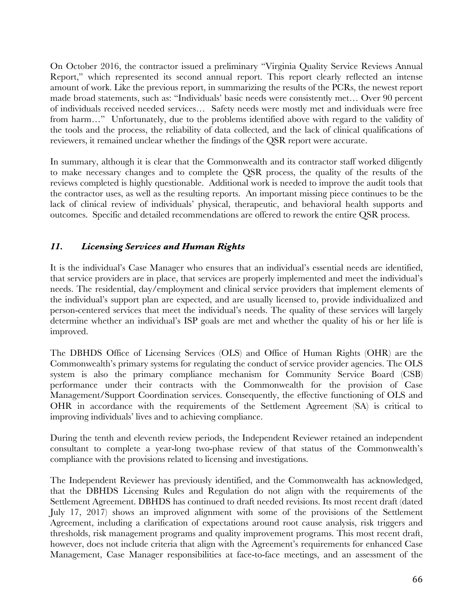On October 2016, the contractor issued a preliminary "Virginia Quality Service Reviews Annual Report," which represented its second annual report. This report clearly reflected an intense amount of work. Like the previous report, in summarizing the results of the PCRs, the newest report made broad statements, such as: "Individuals' basic needs were consistently met… Over 90 percent of individuals received needed services… Safety needs were mostly met and individuals were free from harm…" Unfortunately, due to the problems identified above with regard to the validity of the tools and the process, the reliability of data collected, and the lack of clinical qualifications of reviewers, it remained unclear whether the findings of the QSR report were accurate.

In summary, although it is clear that the Commonwealth and its contractor staff worked diligently to make necessary changes and to complete the QSR process, the quality of the results of the reviews completed is highly questionable. Additional work is needed to improve the audit tools that the contractor uses, as well as the resulting reports. An important missing piece continues to be the lack of clinical review of individuals' physical, therapeutic, and behavioral health supports and outcomes. Specific and detailed recommendations are offered to rework the entire QSR process.

#### *11. Licensing Services and Human Rights*

It is the individual's Case Manager who ensures that an individual's essential needs are identified, that service providers are in place, that services are properly implemented and meet the individual's needs. The residential, day/employment and clinical service providers that implement elements of the individual's support plan are expected, and are usually licensed to, provide individualized and person-centered services that meet the individual's needs. The quality of these services will largely determine whether an individual's ISP goals are met and whether the quality of his or her life is improved.

The DBHDS Office of Licensing Services (OLS) and Office of Human Rights (OHR) are the Commonwealth's primary systems for regulating the conduct of service provider agencies. The OLS system is also the primary compliance mechanism for Community Service Board (CSB) performance under their contracts with the Commonwealth for the provision of Case Management/Support Coordination services. Consequently, the effective functioning of OLS and OHR in accordance with the requirements of the Settlement Agreement (SA) is critical to improving individuals' lives and to achieving compliance.

During the tenth and eleventh review periods, the Independent Reviewer retained an independent consultant to complete a year-long two-phase review of that status of the Commonwealth's compliance with the provisions related to licensing and investigations.

The Independent Reviewer has previously identified, and the Commonwealth has acknowledged, that the DBHDS Licensing Rules and Regulation do not align with the requirements of the Settlement Agreement. DBHDS has continued to draft needed revisions. Its most recent draft (dated July 17, 2017) shows an improved alignment with some of the provisions of the Settlement Agreement, including a clarification of expectations around root cause analysis, risk triggers and thresholds, risk management programs and quality improvement programs. This most recent draft, however, does not include criteria that align with the Agreement's requirements for enhanced Case Management, Case Manager responsibilities at face-to-face meetings, and an assessment of the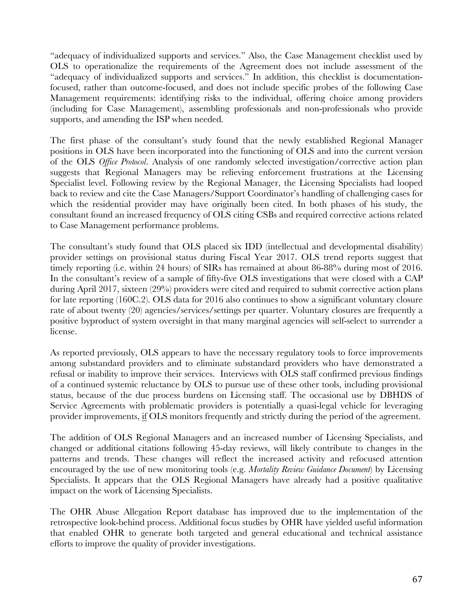"adequacy of individualized supports and services." Also, the Case Management checklist used by OLS to operationalize the requirements of the Agreement does not include assessment of the "adequacy of individualized supports and services." In addition, this checklist is documentationfocused, rather than outcome-focused, and does not include specific probes of the following Case Management requirements: identifying risks to the individual, offering choice among providers (including for Case Management), assembling professionals and non-professionals who provide supports, and amending the ISP when needed.

The first phase of the consultant's study found that the newly established Regional Manager positions in OLS have been incorporated into the functioning of OLS and into the current version of the OLS *Office Protocol*. Analysis of one randomly selected investigation/corrective action plan suggests that Regional Managers may be relieving enforcement frustrations at the Licensing Specialist level. Following review by the Regional Manager, the Licensing Specialists had looped back to review and cite the Case Managers/Support Coordinator's handling of challenging cases for which the residential provider may have originally been cited. In both phases of his study, the consultant found an increased frequency of OLS citing CSBs and required corrective actions related to Case Management performance problems.

The consultant's study found that OLS placed six IDD (intellectual and developmental disability) provider settings on provisional status during Fiscal Year 2017. OLS trend reports suggest that timely reporting (i.e. within 24 hours) of SIRs has remained at about 86-88% during most of 2016. In the consultant's review of a sample of fifty-five OLS investigations that were closed with a CAP during April 2017, sixteen (29%) providers were cited and required to submit corrective action plans for late reporting (160C.2). OLS data for 2016 also continues to show a significant voluntary closure rate of about twenty (20) agencies/services/settings per quarter. Voluntary closures are frequently a positive byproduct of system oversight in that many marginal agencies will self-select to surrender a license.

As reported previously, OLS appears to have the necessary regulatory tools to force improvements among substandard providers and to eliminate substandard providers who have demonstrated a refusal or inability to improve their services. Interviews with OLS staff confirmed previous findings of a continued systemic reluctance by OLS to pursue use of these other tools, including provisional status, because of the due process burdens on Licensing staff. The occasional use by DBHDS of Service Agreements with problematic providers is potentially a quasi-legal vehicle for leveraging provider improvements, if OLS monitors frequently and strictly during the period of the agreement.

The addition of OLS Regional Managers and an increased number of Licensing Specialists, and changed or additional citations following 45-day reviews, will likely contribute to changes in the patterns and trends. These changes will reflect the increased activity and refocused attention encouraged by the use of new monitoring tools (e.g. *Mortality Review Guidance Document*) by Licensing Specialists. It appears that the OLS Regional Managers have already had a positive qualitative impact on the work of Licensing Specialists.

The OHR Abuse Allegation Report database has improved due to the implementation of the retrospective look-behind process. Additional focus studies by OHR have yielded useful information that enabled OHR to generate both targeted and general educational and technical assistance efforts to improve the quality of provider investigations.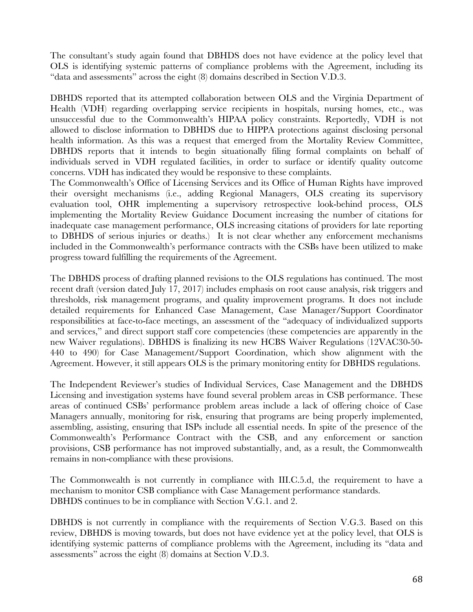The consultant's study again found that DBHDS does not have evidence at the policy level that OLS is identifying systemic patterns of compliance problems with the Agreement, including its "data and assessments" across the eight (8) domains described in Section V.D.3.

DBHDS reported that its attempted collaboration between OLS and the Virginia Department of Health (VDH) regarding overlapping service recipients in hospitals, nursing homes, etc., was unsuccessful due to the Commonwealth's HIPAA policy constraints. Reportedly, VDH is not allowed to disclose information to DBHDS due to HIPPA protections against disclosing personal health information. As this was a request that emerged from the Mortality Review Committee, DBHDS reports that it intends to begin situationally filing formal complaints on behalf of individuals served in VDH regulated facilities, in order to surface or identify quality outcome concerns. VDH has indicated they would be responsive to these complaints.

The Commonwealth's Office of Licensing Services and its Office of Human Rights have improved their oversight mechanisms (i.e., adding Regional Managers, OLS creating its supervisory evaluation tool, OHR implementing a supervisory retrospective look-behind process, OLS implementing the Mortality Review Guidance Document increasing the number of citations for inadequate case management performance, OLS increasing citations of providers for late reporting to DBHDS of serious injuries or deaths.) It is not clear whether any enforcement mechanisms included in the Commonwealth's performance contracts with the CSBs have been utilized to make progress toward fulfilling the requirements of the Agreement.

The DBHDS process of drafting planned revisions to the OLS regulations has continued. The most recent draft (version dated July 17, 2017) includes emphasis on root cause analysis, risk triggers and thresholds, risk management programs, and quality improvement programs. It does not include detailed requirements for Enhanced Case Management, Case Manager/Support Coordinator responsibilities at face-to-face meetings, an assessment of the "adequacy of individualized supports and services," and direct support staff core competencies (these competencies are apparently in the new Waiver regulations). DBHDS is finalizing its new HCBS Waiver Regulations (12VAC30-50- 440 to 490) for Case Management/Support Coordination, which show alignment with the Agreement. However, it still appears OLS is the primary monitoring entity for DBHDS regulations.

The Independent Reviewer's studies of Individual Services, Case Management and the DBHDS Licensing and investigation systems have found several problem areas in CSB performance. These areas of continued CSBs' performance problem areas include a lack of offering choice of Case Managers annually, monitoring for risk, ensuring that programs are being properly implemented, assembling, assisting, ensuring that ISPs include all essential needs. In spite of the presence of the Commonwealth's Performance Contract with the CSB, and any enforcement or sanction provisions, CSB performance has not improved substantially, and, as a result, the Commonwealth remains in non-compliance with these provisions.

The Commonwealth is not currently in compliance with III.C.5.d, the requirement to have a mechanism to monitor CSB compliance with Case Management performance standards. DBHDS continues to be in compliance with Section V.G.1. and 2.

DBHDS is not currently in compliance with the requirements of Section V.G.3. Based on this review, DBHDS is moving towards, but does not have evidence yet at the policy level, that OLS is identifying systemic patterns of compliance problems with the Agreement, including its "data and assessments" across the eight (8) domains at Section V.D.3.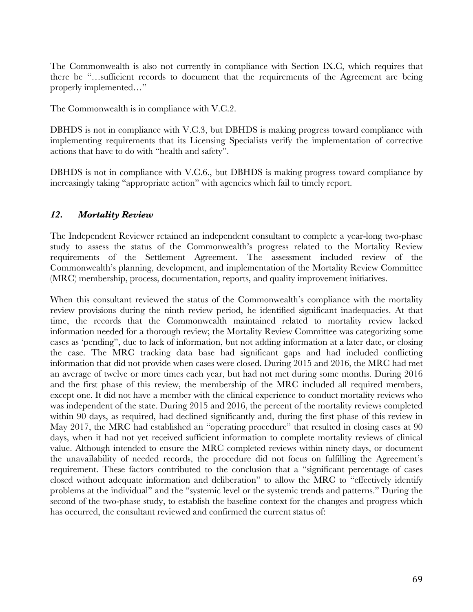The Commonwealth is also not currently in compliance with Section IX.C, which requires that there be "…sufficient records to document that the requirements of the Agreement are being properly implemented…"

The Commonwealth is in compliance with V.C.2.

DBHDS is not in compliance with V.C.3, but DBHDS is making progress toward compliance with implementing requirements that its Licensing Specialists verify the implementation of corrective actions that have to do with "health and safety".

DBHDS is not in compliance with V.C.6., but DBHDS is making progress toward compliance by increasingly taking "appropriate action" with agencies which fail to timely report.

#### *12. Mortality Review*

The Independent Reviewer retained an independent consultant to complete a year-long two-phase study to assess the status of the Commonwealth's progress related to the Mortality Review requirements of the Settlement Agreement. The assessment included review of the Commonwealth's planning, development, and implementation of the Mortality Review Committee (MRC) membership, process, documentation, reports, and quality improvement initiatives.

When this consultant reviewed the status of the Commonwealth's compliance with the mortality review provisions during the ninth review period, he identified significant inadequacies. At that time, the records that the Commonwealth maintained related to mortality review lacked information needed for a thorough review; the Mortality Review Committee was categorizing some cases as 'pending", due to lack of information, but not adding information at a later date, or closing the case. The MRC tracking data base had significant gaps and had included conflicting information that did not provide when cases were closed. During 2015 and 2016, the MRC had met an average of twelve or more times each year, but had not met during some months. During 2016 and the first phase of this review, the membership of the MRC included all required members, except one. It did not have a member with the clinical experience to conduct mortality reviews who was independent of the state. During 2015 and 2016, the percent of the mortality reviews completed within 90 days, as required, had declined significantly and, during the first phase of this review in May 2017, the MRC had established an "operating procedure" that resulted in closing cases at 90 days, when it had not yet received sufficient information to complete mortality reviews of clinical value. Although intended to ensure the MRC completed reviews within ninety days, or document the unavailability of needed records, the procedure did not focus on fulfilling the Agreement's requirement. These factors contributed to the conclusion that a "significant percentage of cases closed without adequate information and deliberation" to allow the MRC to "effectively identify problems at the individual" and the "systemic level or the systemic trends and patterns." During the second of the two-phase study, to establish the baseline context for the changes and progress which has occurred, the consultant reviewed and confirmed the current status of: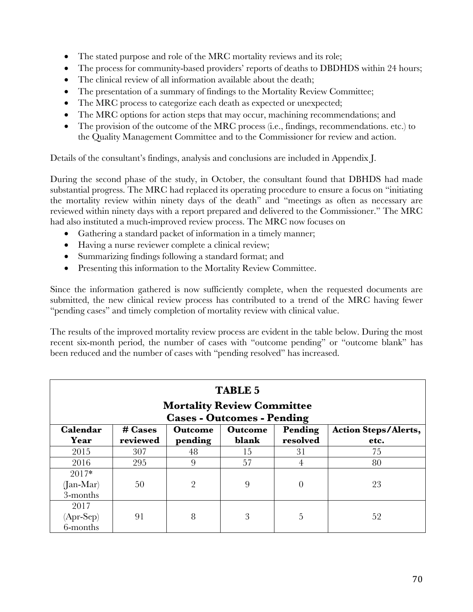- The stated purpose and role of the MRC mortality reviews and its role;
- The process for community-based providers' reports of deaths to DBDHDS within 24 hours;
- The clinical review of all information available about the death;
- The presentation of a summary of findings to the Mortality Review Committee;
- The MRC process to categorize each death as expected or unexpected;
- The MRC options for action steps that may occur, machining recommendations; and
- The provision of the outcome of the MRC process (i.e., findings, recommendations. etc.) to the Quality Management Committee and to the Commissioner for review and action.

Details of the consultant's findings, analysis and conclusions are included in Appendix J.

During the second phase of the study, in October, the consultant found that DBHDS had made substantial progress. The MRC had replaced its operating procedure to ensure a focus on "initiating the mortality review within ninety days of the death" and "meetings as often as necessary are reviewed within ninety days with a report prepared and delivered to the Commissioner." The MRC had also instituted a much-improved review process. The MRC now focuses on

- Gathering a standard packet of information in a timely manner;
- Having a nurse reviewer complete a clinical review;
- Summarizing findings following a standard format; and
- Presenting this information to the Mortality Review Committee.

Since the information gathered is now sufficiently complete, when the requested documents are submitted, the new clinical review process has contributed to a trend of the MRC having fewer "pending cases" and timely completion of mortality review with clinical value.

The results of the improved mortality review process are evident in the table below. During the most recent six-month period, the number of cases with "outcome pending" or "outcome blank" has been reduced and the number of cases with "pending resolved" has increased.

| <b>TABLE 5</b><br><b>Mortality Review Committee</b><br><b>Cases - Outcomes - Pending</b> |                                                                                          |                |       |          |      |  |  |  |  |
|------------------------------------------------------------------------------------------|------------------------------------------------------------------------------------------|----------------|-------|----------|------|--|--|--|--|
| Calendar                                                                                 | Pending<br><b>Action Steps/Alerts,</b><br>$\#$ Cases<br><b>Outcome</b><br><b>Outcome</b> |                |       |          |      |  |  |  |  |
| Year                                                                                     | reviewed                                                                                 | pending        | blank | resolved | etc. |  |  |  |  |
| 2015                                                                                     | 307                                                                                      | 48             | 15    | 31       | 75.  |  |  |  |  |
| 2016                                                                                     | 295                                                                                      | 9              | 57    | 4        | 80   |  |  |  |  |
| $2017*$<br>$(Jan-Mar)$<br>3-months                                                       | 50                                                                                       | $\overline{2}$ | 9     | 0        | 23   |  |  |  |  |
| 2017<br>$(Apr-Sep)$<br>6-months                                                          | 91                                                                                       | 8              | 3     | 5        | 52   |  |  |  |  |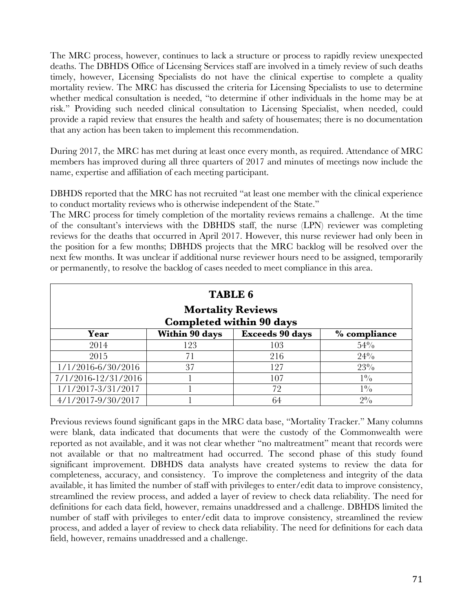The MRC process, however, continues to lack a structure or process to rapidly review unexpected deaths. The DBHDS Office of Licensing Services staff are involved in a timely review of such deaths timely, however, Licensing Specialists do not have the clinical expertise to complete a quality mortality review. The MRC has discussed the criteria for Licensing Specialists to use to determine whether medical consultation is needed, "to determine if other individuals in the home may be at risk." Providing such needed clinical consultation to Licensing Specialist, when needed, could provide a rapid review that ensures the health and safety of housemates; there is no documentation that any action has been taken to implement this recommendation.

During 2017, the MRC has met during at least once every month, as required. Attendance of MRC members has improved during all three quarters of 2017 and minutes of meetings now include the name, expertise and affiliation of each meeting participant.

DBHDS reported that the MRC has not recruited "at least one member with the clinical experience to conduct mortality reviews who is otherwise independent of the State."

The MRC process for timely completion of the mortality reviews remains a challenge. At the time of the consultant's interviews with the DBHDS staff, the nurse (LPN) reviewer was completing reviews for the deaths that occurred in April 2017. However, this nurse reviewer had only been in the position for a few months; DBHDS projects that the MRC backlog will be resolved over the next few months. It was unclear if additional nurse reviewer hours need to be assigned, temporarily or permanently, to resolve the backlog of cases needed to meet compliance in this area.

| <b>TABLE 6</b><br><b>Mortality Reviews</b><br><b>Completed within 90 days</b> |                     |     |       |  |  |  |  |  |  |  |
|-------------------------------------------------------------------------------|---------------------|-----|-------|--|--|--|--|--|--|--|
| Within 90 days<br><b>Exceeds 90 days</b><br>% compliance<br>Year              |                     |     |       |  |  |  |  |  |  |  |
| 2014                                                                          | 54%<br>123<br>103   |     |       |  |  |  |  |  |  |  |
| 2015                                                                          | 71                  | 216 | 24%   |  |  |  |  |  |  |  |
| 1/1/2016-6/30/2016                                                            | 37<br>$23\%$<br>127 |     |       |  |  |  |  |  |  |  |
| 7/1/2016-12/31/2016                                                           |                     | 107 | $1\%$ |  |  |  |  |  |  |  |
| 1/1/2017-3/31/2017                                                            |                     | 72  | $1\%$ |  |  |  |  |  |  |  |
| 4/1/2017-9/30/2017                                                            |                     | 64  | $2\%$ |  |  |  |  |  |  |  |

Previous reviews found significant gaps in the MRC data base, "Mortality Tracker." Many columns were blank, data indicated that documents that were the custody of the Commonwealth were reported as not available, and it was not clear whether "no maltreatment" meant that records were not available or that no maltreatment had occurred. The second phase of this study found significant improvement. DBHDS data analysts have created systems to review the data for completeness, accuracy, and consistency. To improve the completeness and integrity of the data available, it has limited the number of staff with privileges to enter/edit data to improve consistency, streamlined the review process, and added a layer of review to check data reliability. The need for definitions for each data field, however, remains unaddressed and a challenge. DBHDS limited the number of staff with privileges to enter/edit data to improve consistency, streamlined the review process, and added a layer of review to check data reliability. The need for definitions for each data field, however, remains unaddressed and a challenge.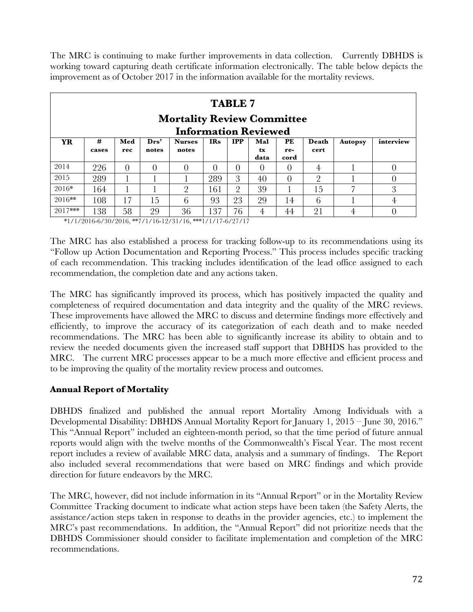The MRC is continuing to make further improvements in data collection. Currently DBHDS is working toward capturing death certificate information electronically. The table below depicts the improvement as of October 2017 in the information available for the mortality reviews.

| <b>TABLE 7</b><br><b>Mortality Review Committee</b><br><b>Information Reviewed</b> |            |            |                           |                        |            |                |                   |                   |               |                |           |
|------------------------------------------------------------------------------------|------------|------------|---------------------------|------------------------|------------|----------------|-------------------|-------------------|---------------|----------------|-----------|
| <b>YR</b>                                                                          | #<br>cases | Med<br>rec | $\mathbf{Drs}^*$<br>notes | <b>Nurses</b><br>notes | <b>IRs</b> | <b>IPP</b>     | Mal<br>tx<br>data | PE<br>re-<br>cord | Death<br>cert | <b>Autopsy</b> | interview |
| 2014                                                                               | 226        | $\Omega$   | $\Omega$                  |                        | 0          | $\Omega$       | 0                 |                   | 4             |                | 0         |
| 2015                                                                               | 289        |            |                           |                        | 289        | 3              | 40                | $\Omega$          | $\Omega$      |                | $\Omega$  |
| 2016*                                                                              | 164        |            |                           | $\Omega$               | 161        | $\overline{2}$ | 39                |                   | 15            |                | 3         |
| 2016**                                                                             | 108        | 17         | 15                        | 6                      | 93         | 23             | 29                | 14                | 6             |                | 4         |
| $2017***$                                                                          | 138        | 58         | 29                        | 36                     | 137        | 76             | 4                 | 44                | 21            | 4              |           |

\*1/1/2016-6/30/2016, \*\*7/1/16-12/31/16, \*\*\*1/1/17-6/27/17

The MRC has also established a process for tracking follow-up to its recommendations using its "Follow up Action Documentation and Reporting Process." This process includes specific tracking of each recommendation. This tracking includes identification of the lead office assigned to each recommendation, the completion date and any actions taken.

The MRC has significantly improved its process, which has positively impacted the quality and completeness of required documentation and data integrity and the quality of the MRC reviews. These improvements have allowed the MRC to discuss and determine findings more effectively and efficiently, to improve the accuracy of its categorization of each death and to make needed recommendations. The MRC has been able to significantly increase its ability to obtain and to review the needed documents given the increased staff support that DBHDS has provided to the MRC. The current MRC processes appear to be a much more effective and efficient process and to be improving the quality of the mortality review process and outcomes.

#### **Annual Report of Mortality**

DBHDS finalized and published the annual report Mortality Among Individuals with a Developmental Disability: DBHDS Annual Mortality Report for January 1, 2015 – June 30, 2016." This "Annual Report" included an eighteen-month period, so that the time period of future annual reports would align with the twelve months of the Commonwealth's Fiscal Year. The most recent report includes a review of available MRC data, analysis and a summary of findings. The Report also included several recommendations that were based on MRC findings and which provide direction for future endeavors by the MRC.

The MRC, however, did not include information in its "Annual Report" or in the Mortality Review Committee Tracking document to indicate what action steps have been taken (the Safety Alerts, the assistance/action steps taken in response to deaths in the provider agencies, etc.) to implement the MRC's past recommendations. In addition, the "Annual Report" did not prioritize needs that the DBHDS Commissioner should consider to facilitate implementation and completion of the MRC recommendations.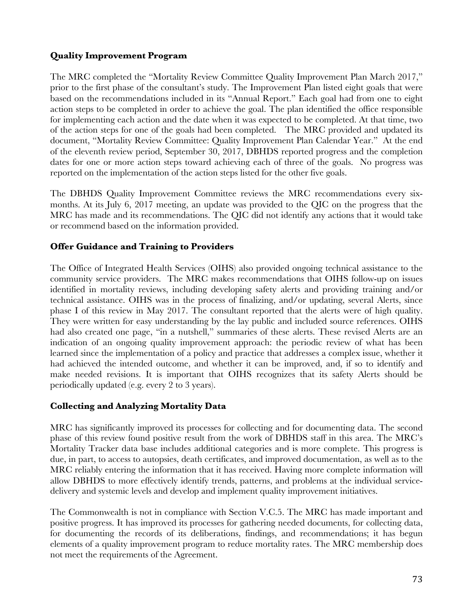## **Quality Improvement Program**

The MRC completed the "Mortality Review Committee Quality Improvement Plan March 2017," prior to the first phase of the consultant's study. The Improvement Plan listed eight goals that were based on the recommendations included in its "Annual Report." Each goal had from one to eight action steps to be completed in order to achieve the goal. The plan identified the office responsible for implementing each action and the date when it was expected to be completed. At that time, two of the action steps for one of the goals had been completed. The MRC provided and updated its document, "Mortality Review Committee: Quality Improvement Plan Calendar Year." At the end of the eleventh review period, September 30, 2017, DBHDS reported progress and the completion dates for one or more action steps toward achieving each of three of the goals. No progress was reported on the implementation of the action steps listed for the other five goals.

The DBHDS Quality Improvement Committee reviews the MRC recommendations every sixmonths. At its July 6, 2017 meeting, an update was provided to the QIC on the progress that the MRC has made and its recommendations. The QIC did not identify any actions that it would take or recommend based on the information provided.

## **Offer Guidance and Training to Providers**

The Office of Integrated Health Services (OIHS) also provided ongoing technical assistance to the community service providers. The MRC makes recommendations that OIHS follow-up on issues identified in mortality reviews, including developing safety alerts and providing training and/or technical assistance. OIHS was in the process of finalizing, and/or updating, several Alerts, since phase I of this review in May 2017. The consultant reported that the alerts were of high quality. They were written for easy understanding by the lay public and included source references. OIHS had also created one page, "in a nutshell," summaries of these alerts. These revised Alerts are an indication of an ongoing quality improvement approach: the periodic review of what has been learned since the implementation of a policy and practice that addresses a complex issue, whether it had achieved the intended outcome, and whether it can be improved, and, if so to identify and make needed revisions. It is important that OIHS recognizes that its safety Alerts should be periodically updated (e.g. every 2 to 3 years).

#### **Collecting and Analyzing Mortality Data**

MRC has significantly improved its processes for collecting and for documenting data. The second phase of this review found positive result from the work of DBHDS staff in this area. The MRC's Mortality Tracker data base includes additional categories and is more complete. This progress is due, in part, to access to autopsies, death certificates, and improved documentation, as well as to the MRC reliably entering the information that it has received. Having more complete information will allow DBHDS to more effectively identify trends, patterns, and problems at the individual servicedelivery and systemic levels and develop and implement quality improvement initiatives.

The Commonwealth is not in compliance with Section V.C.5. The MRC has made important and positive progress. It has improved its processes for gathering needed documents, for collecting data, for documenting the records of its deliberations, findings, and recommendations; it has begun elements of a quality improvement program to reduce mortality rates. The MRC membership does not meet the requirements of the Agreement.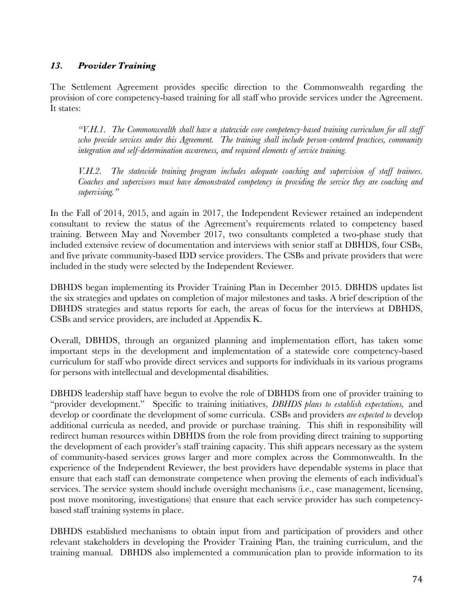## *13. Provider Training*

The Settlement Agreement provides specific direction to the Commonwealth regarding the provision of core competency-based training for all staff who provide services under the Agreement. It states:

*"V.H.1. The Commonwealth shall have a statewide core competency-based training curriculum for all staff who provide services under this Agreement. The training shall include person-centered practices, community integration and self-determination awareness, and required elements of service training.* 

*V.H.2. The statewide training program includes adequate coaching and supervision of staff trainees. Coaches and supervisors must have demonstrated competency in providing the service they are coaching and supervising."*

In the Fall of 2014, 2015, and again in 2017, the Independent Reviewer retained an independent consultant to review the status of the Agreement's requirements related to competency based training. Between May and November 2017, two consultants completed a two-phase study that included extensive review of documentation and interviews with senior staff at DBHDS, four CSBs, and five private community-based IDD service providers. The CSBs and private providers that were included in the study were selected by the Independent Reviewer.

DBHDS began implementing its Provider Training Plan in December 2015. DBHDS updates list the six strategies and updates on completion of major milestones and tasks. A brief description of the DBHDS strategies and status reports for each, the areas of focus for the interviews at DBHDS, CSBs and service providers, are included at Appendix K.

Overall, DBHDS, through an organized planning and implementation effort, has taken some important steps in the development and implementation of a statewide core competency-based curriculum for staff who provide direct services and supports for individuals in its various programs for persons with intellectual and developmental disabilities.

DBHDS leadership staff have begun to evolve the role of DBHDS from one of provider training to "provider development." Specific to training initiatives, *DBHDS plans to establish expectations,* and develop or coordinate the development of some curricula. CSBs and providers *are expected to* develop additional curricula as needed, and provide or purchase training. This shift in responsibility will redirect human resources within DBHDS from the role from providing direct training to supporting the development of each provider's staff training capacity. This shift appears necessary as the system of community-based services grows larger and more complex across the Commonwealth. In the experience of the Independent Reviewer, the best providers have dependable systems in place that ensure that each staff can demonstrate competence when proving the elements of each individual's services. The service system should include oversight mechanisms (i.e., case management, licensing, post move monitoring, investigations) that ensure that each service provider has such competencybased staff training systems in place.

DBHDS established mechanisms to obtain input from and participation of providers and other relevant stakeholders in developing the Provider Training Plan, the training curriculum, and the training manual. DBHDS also implemented a communication plan to provide information to its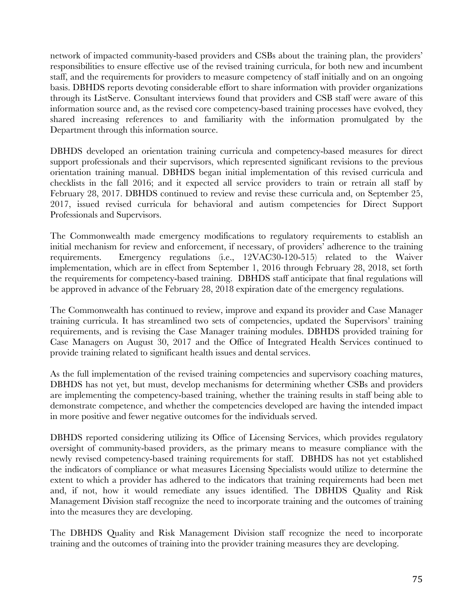network of impacted community-based providers and CSBs about the training plan, the providers' responsibilities to ensure effective use of the revised training curricula, for both new and incumbent staff, and the requirements for providers to measure competency of staff initially and on an ongoing basis. DBHDS reports devoting considerable effort to share information with provider organizations through its ListServe. Consultant interviews found that providers and CSB staff were aware of this information source and, as the revised core competency-based training processes have evolved, they shared increasing references to and familiarity with the information promulgated by the Department through this information source.

DBHDS developed an orientation training curricula and competency-based measures for direct support professionals and their supervisors, which represented significant revisions to the previous orientation training manual. DBHDS began initial implementation of this revised curricula and checklists in the fall 2016; and it expected all service providers to train or retrain all staff by February 28, 2017. DBHDS continued to review and revise these curricula and, on September 25, 2017, issued revised curricula for behavioral and autism competencies for Direct Support Professionals and Supervisors.

The Commonwealth made emergency modifications to regulatory requirements to establish an initial mechanism for review and enforcement, if necessary, of providers' adherence to the training requirements. Emergency regulations (i.e., 12VAC30-120-515) related to the Waiver implementation, which are in effect from September 1, 2016 through February 28, 2018, set forth the requirements for competency-based training. DBHDS staff anticipate that final regulations will be approved in advance of the February 28, 2018 expiration date of the emergency regulations.

The Commonwealth has continued to review, improve and expand its provider and Case Manager training curricula. It has streamlined two sets of competencies, updated the Supervisors' training requirements, and is revising the Case Manager training modules. DBHDS provided training for Case Managers on August 30, 2017 and the Office of Integrated Health Services continued to provide training related to significant health issues and dental services.

As the full implementation of the revised training competencies and supervisory coaching matures, DBHDS has not yet, but must, develop mechanisms for determining whether CSBs and providers are implementing the competency-based training, whether the training results in staff being able to demonstrate competence, and whether the competencies developed are having the intended impact in more positive and fewer negative outcomes for the individuals served.

DBHDS reported considering utilizing its Office of Licensing Services, which provides regulatory oversight of community-based providers, as the primary means to measure compliance with the newly revised competency-based training requirements for staff. DBHDS has not yet established the indicators of compliance or what measures Licensing Specialists would utilize to determine the extent to which a provider has adhered to the indicators that training requirements had been met and, if not, how it would remediate any issues identified. The DBHDS Quality and Risk Management Division staff recognize the need to incorporate training and the outcomes of training into the measures they are developing.

The DBHDS Quality and Risk Management Division staff recognize the need to incorporate training and the outcomes of training into the provider training measures they are developing.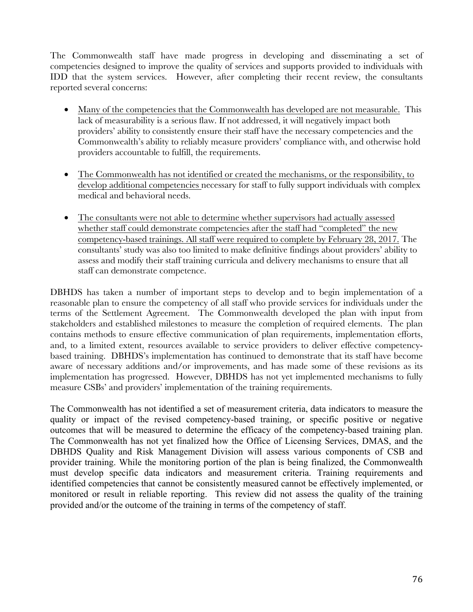The Commonwealth staff have made progress in developing and disseminating a set of competencies designed to improve the quality of services and supports provided to individuals with IDD that the system services. However, after completing their recent review, the consultants reported several concerns:

- Many of the competencies that the Commonwealth has developed are not measurable. This lack of measurability is a serious flaw. If not addressed, it will negatively impact both providers' ability to consistently ensure their staff have the necessary competencies and the Commonwealth's ability to reliably measure providers' compliance with, and otherwise hold providers accountable to fulfill, the requirements.
- The Commonwealth has not identified or created the mechanisms, or the responsibility, to develop additional competencies necessary for staff to fully support individuals with complex medical and behavioral needs.
- The consultants were not able to determine whether supervisors had actually assessed whether staff could demonstrate competencies after the staff had "completed" the new competency-based trainings. All staff were required to complete by February 28, 2017. The consultants' study was also too limited to make definitive findings about providers' ability to assess and modify their staff training curricula and delivery mechanisms to ensure that all staff can demonstrate competence.

DBHDS has taken a number of important steps to develop and to begin implementation of a reasonable plan to ensure the competency of all staff who provide services for individuals under the terms of the Settlement Agreement. The Commonwealth developed the plan with input from stakeholders and established milestones to measure the completion of required elements. The plan contains methods to ensure effective communication of plan requirements, implementation efforts, and, to a limited extent, resources available to service providers to deliver effective competencybased training. DBHDS's implementation has continued to demonstrate that its staff have become aware of necessary additions and/or improvements, and has made some of these revisions as its implementation has progressed. However, DBHDS has not yet implemented mechanisms to fully measure CSBs' and providers' implementation of the training requirements.

The Commonwealth has not identified a set of measurement criteria, data indicators to measure the quality or impact of the revised competency-based training, or specific positive or negative outcomes that will be measured to determine the efficacy of the competency-based training plan. The Commonwealth has not yet finalized how the Office of Licensing Services, DMAS, and the DBHDS Quality and Risk Management Division will assess various components of CSB and provider training. While the monitoring portion of the plan is being finalized, the Commonwealth must develop specific data indicators and measurement criteria. Training requirements and identified competencies that cannot be consistently measured cannot be effectively implemented, or monitored or result in reliable reporting. This review did not assess the quality of the training provided and/or the outcome of the training in terms of the competency of staff.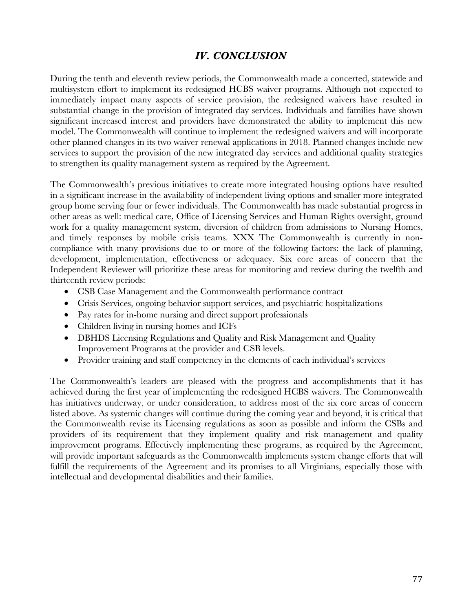## *IV. CONCLUSION*

During the tenth and eleventh review periods, the Commonwealth made a concerted, statewide and multisystem effort to implement its redesigned HCBS waiver programs. Although not expected to immediately impact many aspects of service provision, the redesigned waivers have resulted in substantial change in the provision of integrated day services. Individuals and families have shown significant increased interest and providers have demonstrated the ability to implement this new model. The Commonwealth will continue to implement the redesigned waivers and will incorporate other planned changes in its two waiver renewal applications in 2018. Planned changes include new services to support the provision of the new integrated day services and additional quality strategies to strengthen its quality management system as required by the Agreement.

The Commonwealth's previous initiatives to create more integrated housing options have resulted in a significant increase in the availability of independent living options and smaller more integrated group home serving four or fewer individuals. The Commonwealth has made substantial progress in other areas as well: medical care, Office of Licensing Services and Human Rights oversight, ground work for a quality management system, diversion of children from admissions to Nursing Homes, and timely responses by mobile crisis teams. XXX The Commonwealth is currently in noncompliance with many provisions due to or more of the following factors: the lack of planning, development, implementation, effectiveness or adequacy. Six core areas of concern that the Independent Reviewer will prioritize these areas for monitoring and review during the twelfth and thirteenth review periods:

- CSB Case Management and the Commonwealth performance contract
- Crisis Services, ongoing behavior support services, and psychiatric hospitalizations
- Pay rates for in-home nursing and direct support professionals
- Children living in nursing homes and ICFs
- DBHDS Licensing Regulations and Quality and Risk Management and Quality Improvement Programs at the provider and CSB levels.
- Provider training and staff competency in the elements of each individual's services

The Commonwealth's leaders are pleased with the progress and accomplishments that it has achieved during the first year of implementing the redesigned HCBS waivers. The Commonwealth has initiatives underway, or under consideration, to address most of the six core areas of concern listed above. As systemic changes will continue during the coming year and beyond, it is critical that the Commonwealth revise its Licensing regulations as soon as possible and inform the CSBs and providers of its requirement that they implement quality and risk management and quality improvement programs. Effectively implementing these programs, as required by the Agreement, will provide important safeguards as the Commonwealth implements system change efforts that will fulfill the requirements of the Agreement and its promises to all Virginians, especially those with intellectual and developmental disabilities and their families.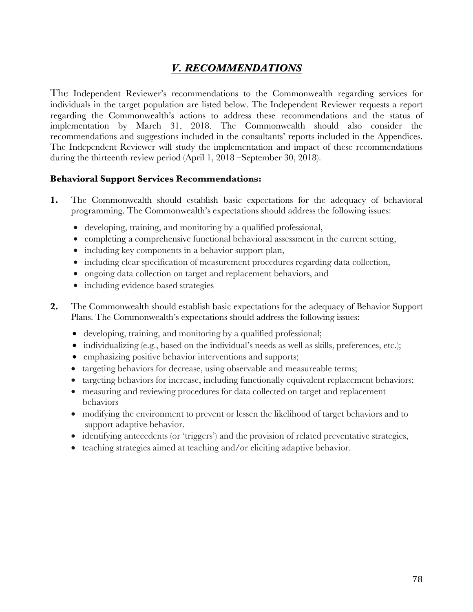# *V. RECOMMENDATIONS*

The Independent Reviewer's recommendations to the Commonwealth regarding services for individuals in the target population are listed below. The Independent Reviewer requests a report regarding the Commonwealth's actions to address these recommendations and the status of implementation by March 31, 2018. The Commonwealth should also consider the recommendations and suggestions included in the consultants' reports included in the Appendices. The Independent Reviewer will study the implementation and impact of these recommendations during the thirteenth review period (April 1, 2018 –September 30, 2018).

#### **Behavioral Support Services Recommendations:**

- **1.** The Commonwealth should establish basic expectations for the adequacy of behavioral programming. The Commonwealth's expectations should address the following issues:
	- developing, training, and monitoring by a qualified professional,
	- completing a comprehensive functional behavioral assessment in the current setting,
	- including key components in a behavior support plan,
	- including clear specification of measurement procedures regarding data collection,
	- ongoing data collection on target and replacement behaviors, and
	- including evidence based strategies
- **2.** The Commonwealth should establish basic expectations for the adequacy of Behavior Support Plans. The Commonwealth's expectations should address the following issues:
	- • developing, training, and monitoring by a qualified professional;
	- individualizing  $(e.g.,$  based on the individual's needs as well as skills, preferences, etc.);
	- emphasizing positive behavior interventions and supports;
	- targeting behaviors for decrease, using observable and measureable terms;
	- targeting behaviors for increase, including functionally equivalent replacement behaviors;
	- measuring and reviewing procedures for data collected on target and replacement behaviors
	- modifying the environment to prevent or lessen the likelihood of target behaviors and to support adaptive behavior.
	- identifying antecedents (or 'triggers') and the provision of related preventative strategies,
	- teaching strategies aimed at teaching and/or eliciting adaptive behavior.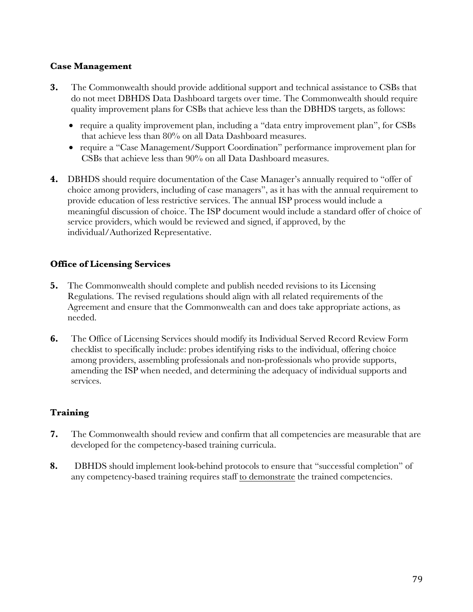## **Case Management**

- **3.** The Commonwealth should provide additional support and technical assistance to CSBs that do not meet DBHDS Data Dashboard targets over time. The Commonwealth should require quality improvement plans for CSBs that achieve less than the DBHDS targets, as follows:
	- require a quality improvement plan, including a "data entry improvement plan", for CSBs that achieve less than 80% on all Data Dashboard measures.
	- • require a "Case Management/Support Coordination" performance improvement plan for CSBs that achieve less than 90% on all Data Dashboard measures.
- **4.** DBHDS should require documentation of the Case Manager's annually required to "offer of choice among providers, including of case managers", as it has with the annual requirement to provide education of less restrictive services. The annual ISP process would include a meaningful discussion of choice. The ISP document would include a standard offer of choice of service providers, which would be reviewed and signed, if approved, by the individual/Authorized Representative.

## **Office of Licensing Services**

- **5.** The Commonwealth should complete and publish needed revisions to its Licensing Regulations. The revised regulations should align with all related requirements of the Agreement and ensure that the Commonwealth can and does take appropriate actions, as needed.
- **6.** The Office of Licensing Services should modify its Individual Served Record Review Form checklist to specifically include: probes identifying risks to the individual, offering choice among providers, assembling professionals and non-professionals who provide supports, amending the ISP when needed, and determining the adequacy of individual supports and services.

#### **Training**

- **7.** The Commonwealth should review and confirm that all competencies are measurable that are developed for the competency-based training curricula.
- **8.** DBHDS should implement look-behind protocols to ensure that "successful completion" of any competency-based training requires staff to demonstrate the trained competencies.